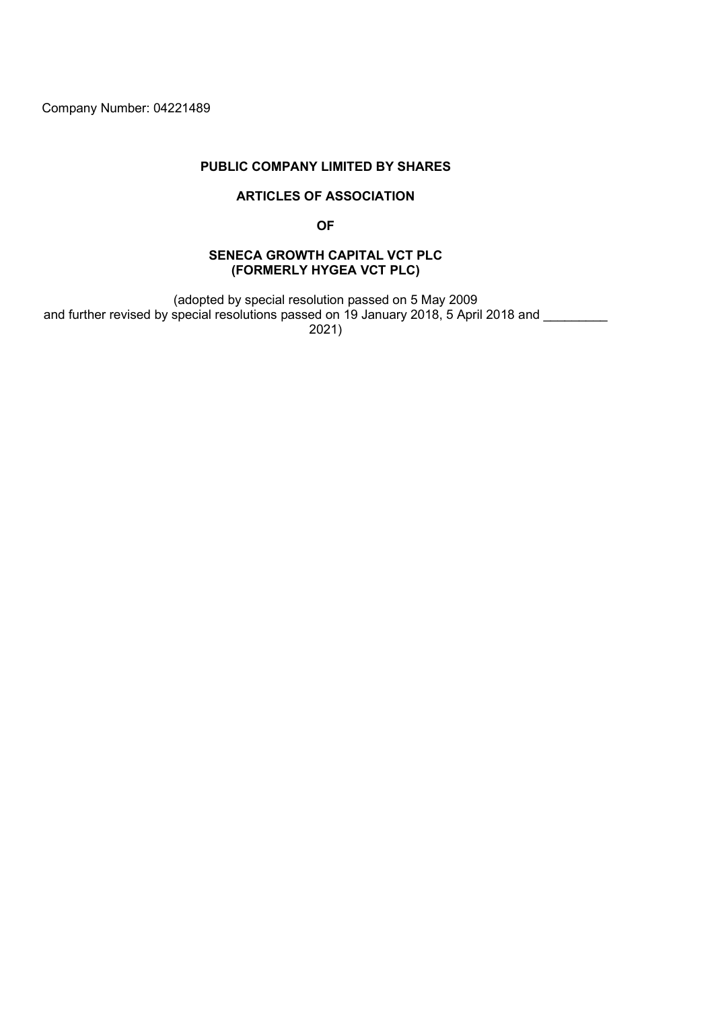Company Number: 04221489

## PUBLIC COMPANY LIMITED BY SHARES

## ARTICLES OF ASSOCIATION

OF

## SENECA GROWTH CAPITAL VCT PLC (FORMERLY HYGEA VCT PLC)

(adopted by special resolution passed on 5 May 2009 and further revised by special resolutions passed on 19 January 2018, 5 April 2018 and \_\_\_\_\_\_\_\_ 2021)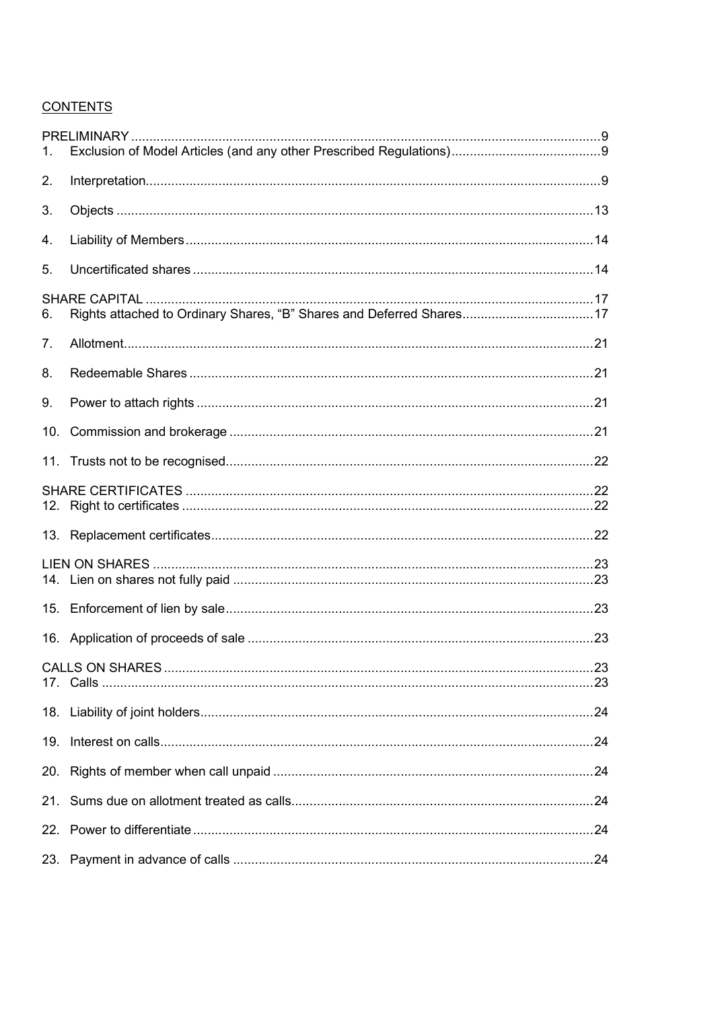# **CONTENTS**

| 2.             |                                                                      |  |
|----------------|----------------------------------------------------------------------|--|
| 3.             |                                                                      |  |
| 4.             |                                                                      |  |
| 5.             |                                                                      |  |
| 6.             | Rights attached to Ordinary Shares, "B" Shares and Deferred Shares17 |  |
| 7 <sub>1</sub> |                                                                      |  |
| 8.             |                                                                      |  |
| 9.             |                                                                      |  |
| 10.            |                                                                      |  |
|                |                                                                      |  |
|                |                                                                      |  |
|                |                                                                      |  |
|                |                                                                      |  |
|                |                                                                      |  |
|                |                                                                      |  |
|                |                                                                      |  |
|                |                                                                      |  |
|                |                                                                      |  |
|                |                                                                      |  |
|                |                                                                      |  |
|                |                                                                      |  |
|                |                                                                      |  |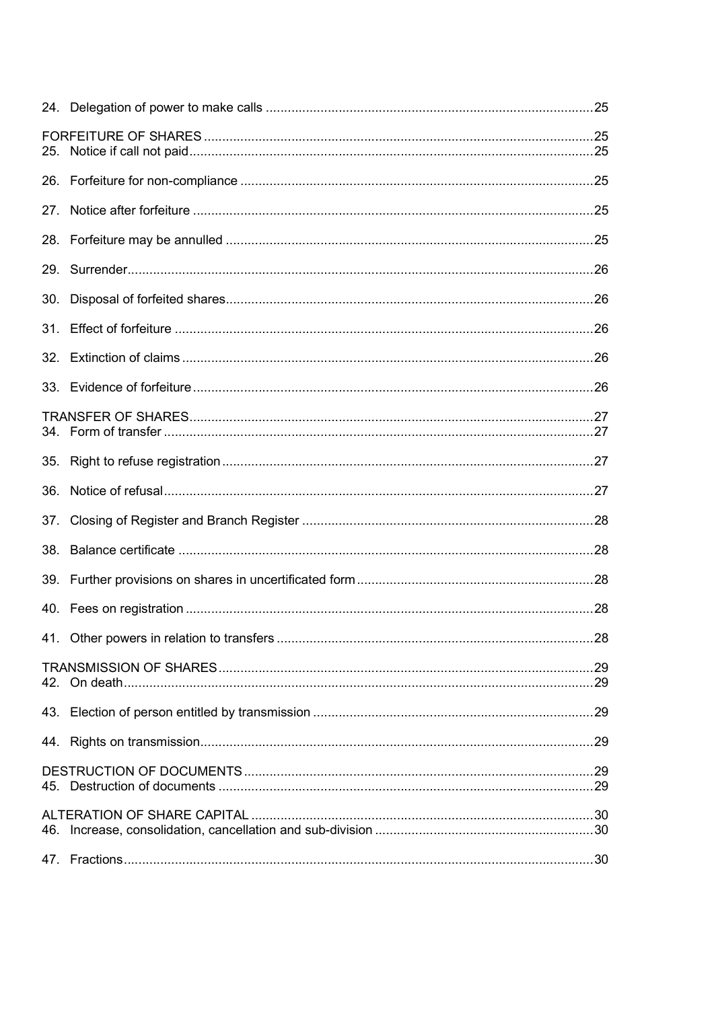| 27. |  |
|-----|--|
|     |  |
|     |  |
| 30. |  |
| 31. |  |
|     |  |
|     |  |
|     |  |
| 35. |  |
| 36. |  |
|     |  |
| 38. |  |
|     |  |
|     |  |
|     |  |
|     |  |
|     |  |
|     |  |
|     |  |
|     |  |
|     |  |
|     |  |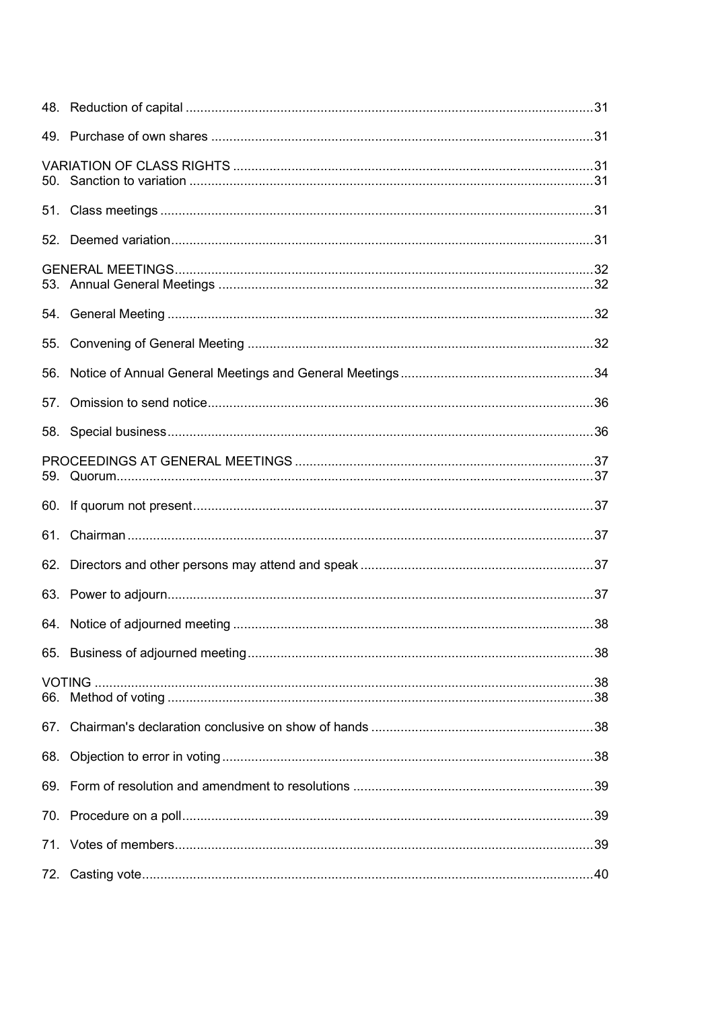| 55. |  |
|-----|--|
| 56. |  |
| 57. |  |
|     |  |
|     |  |
|     |  |
|     |  |
|     |  |
|     |  |
|     |  |
|     |  |
|     |  |
|     |  |
|     |  |
|     |  |
|     |  |
| 68. |  |
|     |  |
|     |  |
|     |  |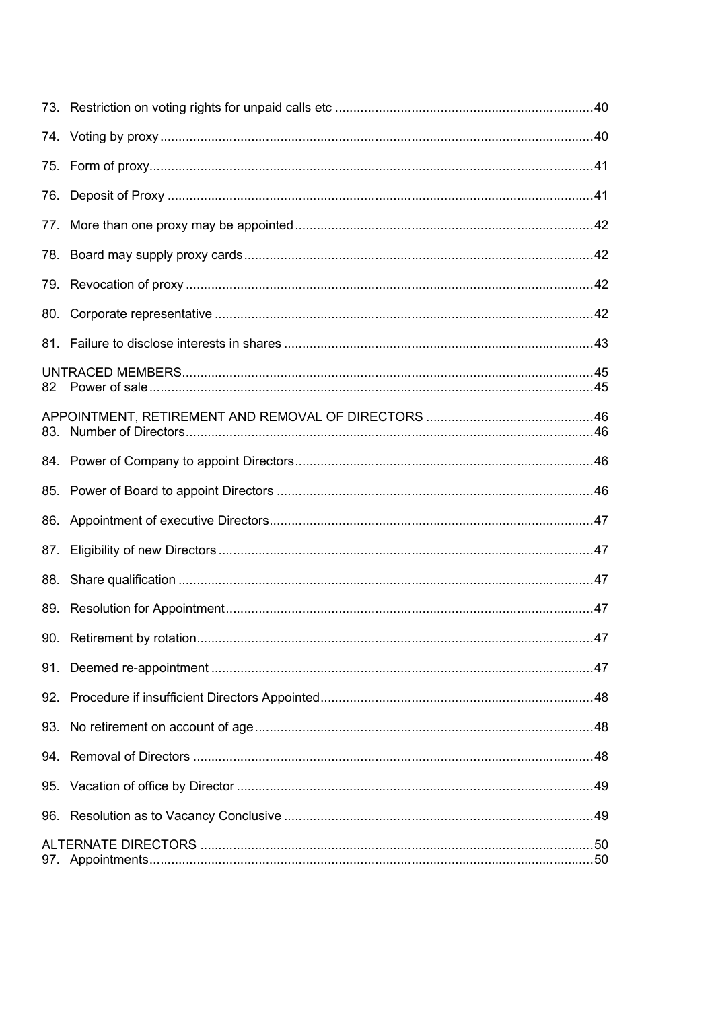| 76. |  |
|-----|--|
|     |  |
|     |  |
|     |  |
| 80. |  |
|     |  |
| 82  |  |
|     |  |
|     |  |
|     |  |
|     |  |
| 87. |  |
|     |  |
|     |  |
|     |  |
|     |  |
|     |  |
|     |  |
|     |  |
|     |  |
|     |  |
|     |  |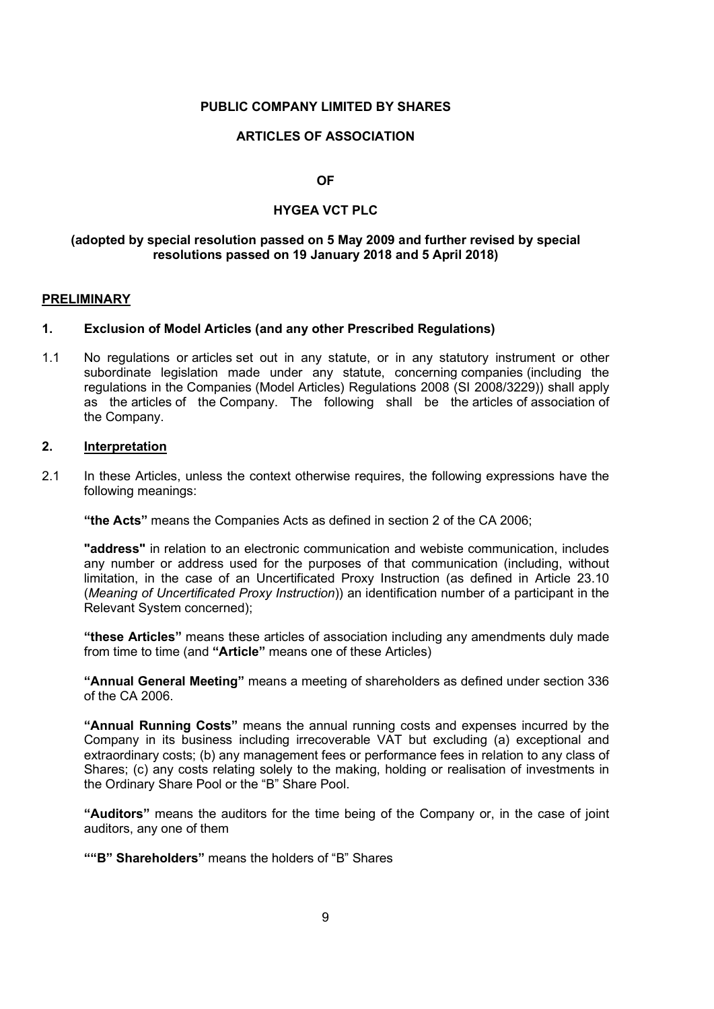### PUBLIC COMPANY LIMITED BY SHARES

#### ARTICLES OF ASSOCIATION

OF

### HYGEA VCT PLC

### (adopted by special resolution passed on 5 May 2009 and further revised by special resolutions passed on 19 January 2018 and 5 April 2018)

#### PRELIMINARY

#### 1. Exclusion of Model Articles (and any other Prescribed Regulations)

1.1 No regulations or articles set out in any statute, or in any statutory instrument or other subordinate legislation made under any statute, concerning companies (including the regulations in the Companies (Model Articles) Regulations 2008 (SI 2008/3229)) shall apply as the articles of the Company. The following shall be the articles of association of the Company.

### 2. Interpretation

2.1 In these Articles, unless the context otherwise requires, the following expressions have the following meanings:

"the Acts" means the Companies Acts as defined in section 2 of the CA 2006;

"address" in relation to an electronic communication and webiste communication, includes any number or address used for the purposes of that communication (including, without limitation, in the case of an Uncertificated Proxy Instruction (as defined in Article 23.10 (Meaning of Uncertificated Proxy Instruction)) an identification number of a participant in the Relevant System concerned);

"these Articles" means these articles of association including any amendments duly made from time to time (and "Article" means one of these Articles)

"Annual General Meeting" means a meeting of shareholders as defined under section 336 of the CA 2006.

"Annual Running Costs" means the annual running costs and expenses incurred by the Company in its business including irrecoverable VAT but excluding (a) exceptional and extraordinary costs; (b) any management fees or performance fees in relation to any class of Shares; (c) any costs relating solely to the making, holding or realisation of investments in the Ordinary Share Pool or the "B" Share Pool.

"Auditors" means the auditors for the time being of the Company or, in the case of joint auditors, any one of them

""B" Shareholders" means the holders of "B" Shares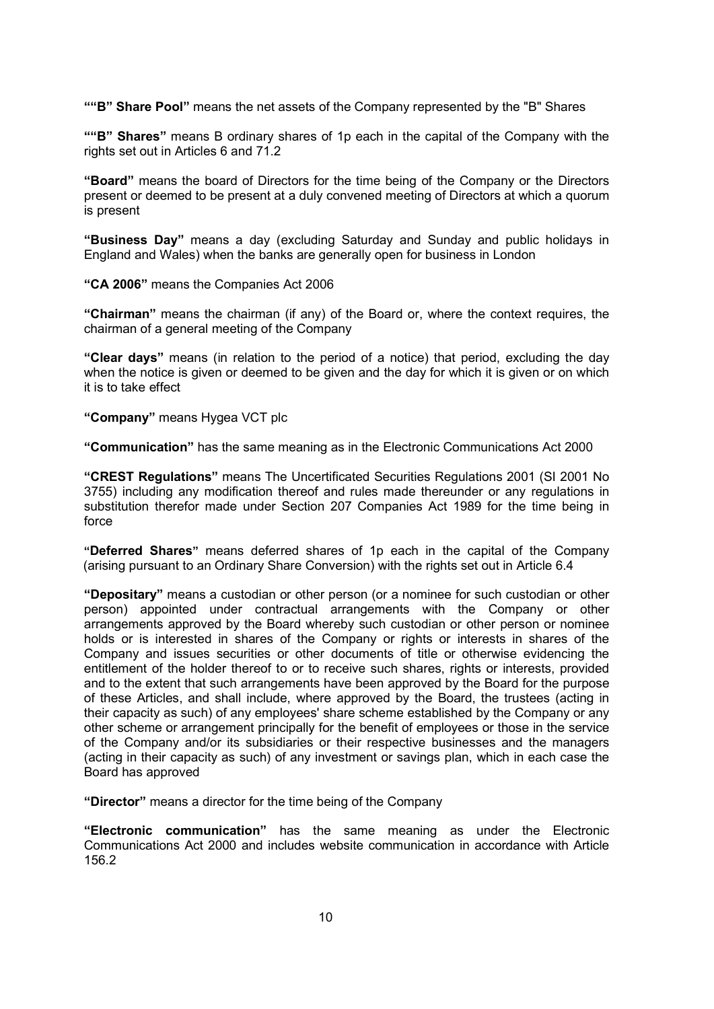""B" Share Pool" means the net assets of the Company represented by the "B" Shares"

""B" Shares" means B ordinary shares of 1p each in the capital of the Company with the rights set out in Articles 6 and 71.2

"Board" means the board of Directors for the time being of the Company or the Directors present or deemed to be present at a duly convened meeting of Directors at which a quorum is present

"Business Day" means a day (excluding Saturday and Sunday and public holidays in England and Wales) when the banks are generally open for business in London

"CA 2006" means the Companies Act 2006

"Chairman" means the chairman (if any) of the Board or, where the context requires, the chairman of a general meeting of the Company

"Clear days" means (in relation to the period of a notice) that period, excluding the day when the notice is given or deemed to be given and the day for which it is given or on which it is to take effect

"Company" means Hygea VCT plc

"Communication" has the same meaning as in the Electronic Communications Act 2000

"CREST Regulations" means The Uncertificated Securities Regulations 2001 (SI 2001 No 3755) including any modification thereof and rules made thereunder or any regulations in substitution therefor made under Section 207 Companies Act 1989 for the time being in force

"Deferred Shares" means deferred shares of 1p each in the capital of the Company (arising pursuant to an Ordinary Share Conversion) with the rights set out in Article 6.4

"Depositary" means a custodian or other person (or a nominee for such custodian or other person) appointed under contractual arrangements with the Company or other arrangements approved by the Board whereby such custodian or other person or nominee holds or is interested in shares of the Company or rights or interests in shares of the Company and issues securities or other documents of title or otherwise evidencing the entitlement of the holder thereof to or to receive such shares, rights or interests, provided and to the extent that such arrangements have been approved by the Board for the purpose of these Articles, and shall include, where approved by the Board, the trustees (acting in their capacity as such) of any employees' share scheme established by the Company or any other scheme or arrangement principally for the benefit of employees or those in the service of the Company and/or its subsidiaries or their respective businesses and the managers (acting in their capacity as such) of any investment or savings plan, which in each case the Board has approved

"Director" means a director for the time being of the Company

"Electronic communication" has the same meaning as under the Electronic Communications Act 2000 and includes website communication in accordance with Article 156.2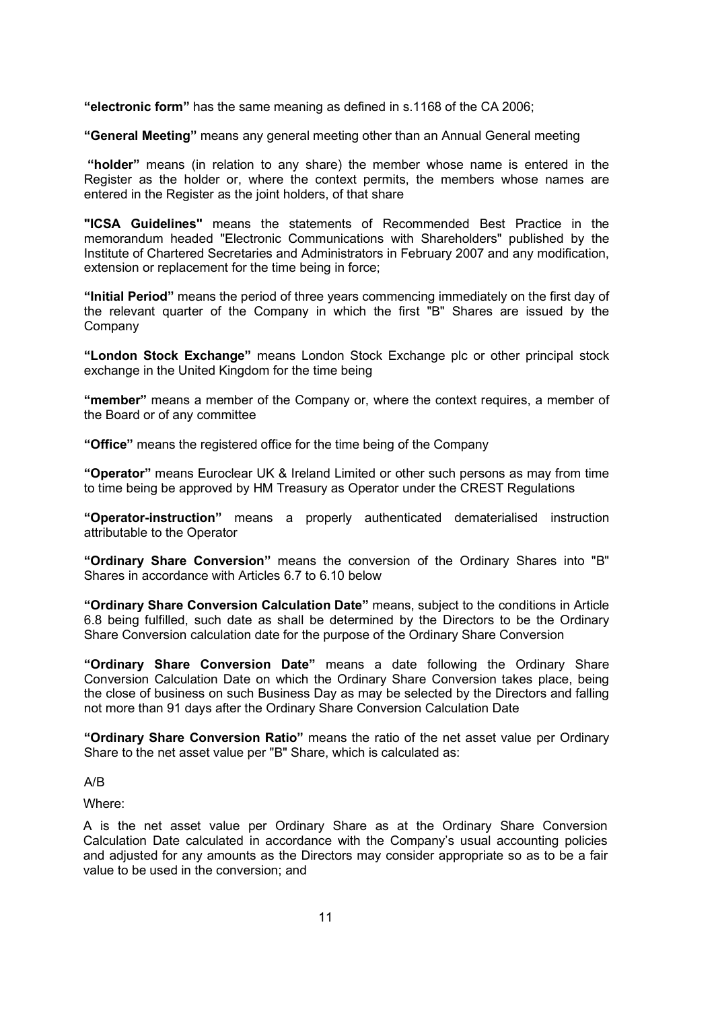"electronic form" has the same meaning as defined in s.1168 of the CA 2006;

"General Meeting" means any general meeting other than an Annual General meeting

 "holder" means (in relation to any share) the member whose name is entered in the Register as the holder or, where the context permits, the members whose names are entered in the Register as the joint holders, of that share

"ICSA Guidelines" means the statements of Recommended Best Practice in the memorandum headed "Electronic Communications with Shareholders" published by the Institute of Chartered Secretaries and Administrators in February 2007 and any modification, extension or replacement for the time being in force;

"Initial Period" means the period of three years commencing immediately on the first day of the relevant quarter of the Company in which the first "B" Shares are issued by the Company

"London Stock Exchange" means London Stock Exchange plc or other principal stock exchange in the United Kingdom for the time being

"member" means a member of the Company or, where the context requires, a member of the Board or of any committee

"Office" means the registered office for the time being of the Company

"Operator" means Euroclear UK & Ireland Limited or other such persons as may from time to time being be approved by HM Treasury as Operator under the CREST Regulations

"Operator-instruction" means a properly authenticated dematerialised instruction attributable to the Operator

"Ordinary Share Conversion" means the conversion of the Ordinary Shares into "B" Shares in accordance with Articles 6.7 to 6.10 below

"Ordinary Share Conversion Calculation Date" means, subject to the conditions in Article 6.8 being fulfilled, such date as shall be determined by the Directors to be the Ordinary Share Conversion calculation date for the purpose of the Ordinary Share Conversion

"Ordinary Share Conversion Date" means a date following the Ordinary Share Conversion Calculation Date on which the Ordinary Share Conversion takes place, being the close of business on such Business Day as may be selected by the Directors and falling not more than 91 days after the Ordinary Share Conversion Calculation Date

"Ordinary Share Conversion Ratio" means the ratio of the net asset value per Ordinary Share to the net asset value per "B" Share, which is calculated as:

A/B

Where:

A is the net asset value per Ordinary Share as at the Ordinary Share Conversion Calculation Date calculated in accordance with the Company's usual accounting policies and adjusted for any amounts as the Directors may consider appropriate so as to be a fair value to be used in the conversion; and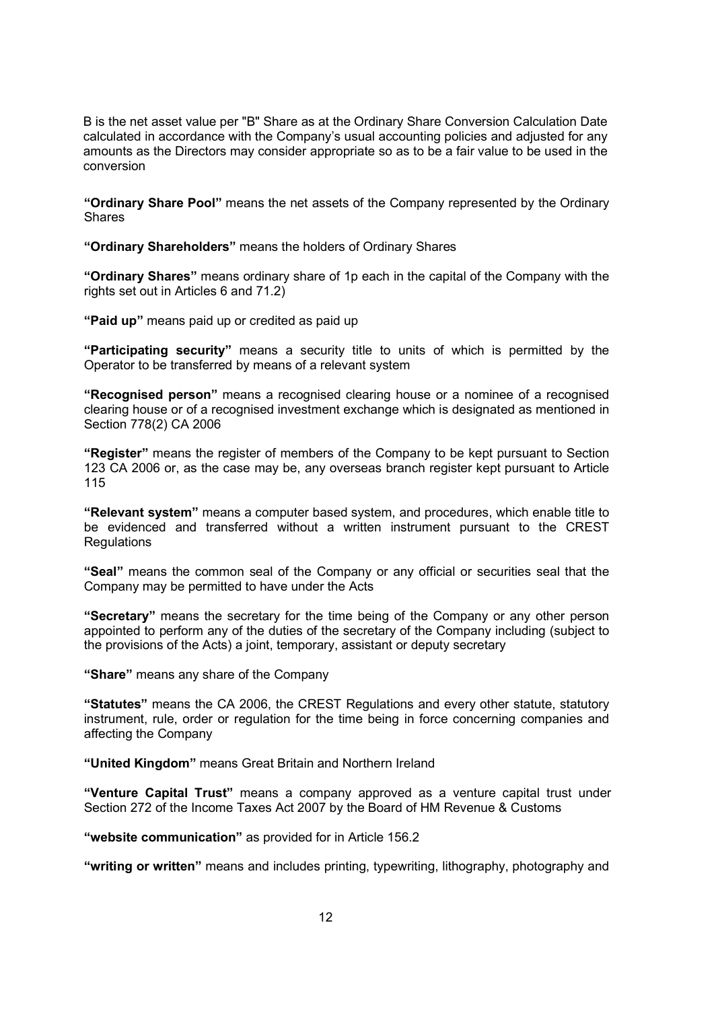B is the net asset value per "B" Share as at the Ordinary Share Conversion Calculation Date calculated in accordance with the Company's usual accounting policies and adjusted for any amounts as the Directors may consider appropriate so as to be a fair value to be used in the conversion

"Ordinary Share Pool" means the net assets of the Company represented by the Ordinary Shares

"Ordinary Shareholders" means the holders of Ordinary Shares

"Ordinary Shares" means ordinary share of 1p each in the capital of the Company with the rights set out in Articles 6 and 71.2)

"Paid up" means paid up or credited as paid up

"Participating security" means a security title to units of which is permitted by the Operator to be transferred by means of a relevant system

"Recognised person" means a recognised clearing house or a nominee of a recognised clearing house or of a recognised investment exchange which is designated as mentioned in Section 778(2) CA 2006

"Register" means the register of members of the Company to be kept pursuant to Section 123 CA 2006 or, as the case may be, any overseas branch register kept pursuant to Article 115

"Relevant system" means a computer based system, and procedures, which enable title to be evidenced and transferred without a written instrument pursuant to the CREST **Regulations** 

"Seal" means the common seal of the Company or any official or securities seal that the Company may be permitted to have under the Acts

"Secretary" means the secretary for the time being of the Company or any other person appointed to perform any of the duties of the secretary of the Company including (subject to the provisions of the Acts) a joint, temporary, assistant or deputy secretary

"Share" means any share of the Company

"Statutes" means the CA 2006, the CREST Regulations and every other statute, statutory instrument, rule, order or regulation for the time being in force concerning companies and affecting the Company

"United Kingdom" means Great Britain and Northern Ireland

"Venture Capital Trust" means a company approved as a venture capital trust under Section 272 of the Income Taxes Act 2007 by the Board of HM Revenue & Customs

"website communication" as provided for in Article 156.2

"writing or written" means and includes printing, typewriting, lithography, photography and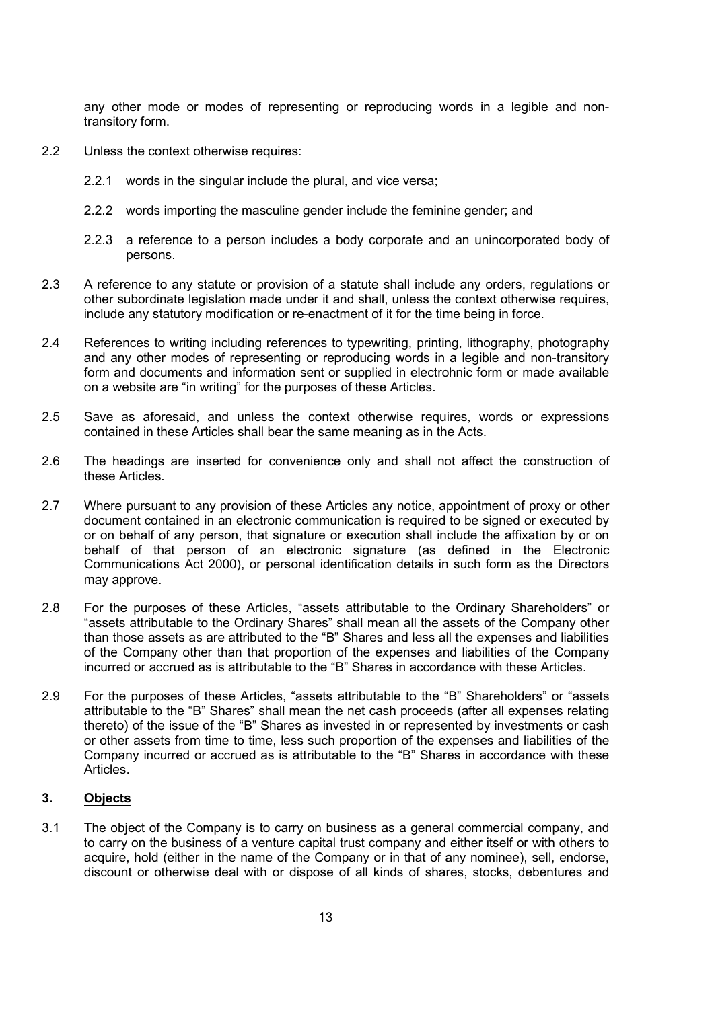any other mode or modes of representing or reproducing words in a legible and nontransitory form.

- 2.2 Unless the context otherwise requires:
	- 2.2.1 words in the singular include the plural, and vice versa;
	- 2.2.2 words importing the masculine gender include the feminine gender; and
	- 2.2.3 a reference to a person includes a body corporate and an unincorporated body of persons.
- 2.3 A reference to any statute or provision of a statute shall include any orders, regulations or other subordinate legislation made under it and shall, unless the context otherwise requires, include any statutory modification or re-enactment of it for the time being in force.
- 2.4 References to writing including references to typewriting, printing, lithography, photography and any other modes of representing or reproducing words in a legible and non-transitory form and documents and information sent or supplied in electrohnic form or made available on a website are "in writing" for the purposes of these Articles.
- 2.5 Save as aforesaid, and unless the context otherwise requires, words or expressions contained in these Articles shall bear the same meaning as in the Acts.
- 2.6 The headings are inserted for convenience only and shall not affect the construction of these Articles.
- 2.7 Where pursuant to any provision of these Articles any notice, appointment of proxy or other document contained in an electronic communication is required to be signed or executed by or on behalf of any person, that signature or execution shall include the affixation by or on behalf of that person of an electronic signature (as defined in the Electronic Communications Act 2000), or personal identification details in such form as the Directors may approve.
- 2.8 For the purposes of these Articles, "assets attributable to the Ordinary Shareholders" or "assets attributable to the Ordinary Shares" shall mean all the assets of the Company other than those assets as are attributed to the "B" Shares and less all the expenses and liabilities of the Company other than that proportion of the expenses and liabilities of the Company incurred or accrued as is attributable to the "B" Shares in accordance with these Articles.
- 2.9 For the purposes of these Articles, "assets attributable to the "B" Shareholders" or "assets attributable to the "B" Shares" shall mean the net cash proceeds (after all expenses relating thereto) of the issue of the "B" Shares as invested in or represented by investments or cash or other assets from time to time, less such proportion of the expenses and liabilities of the Company incurred or accrued as is attributable to the "B" Shares in accordance with these Articles.

## 3. Objects

3.1 The object of the Company is to carry on business as a general commercial company, and to carry on the business of a venture capital trust company and either itself or with others to acquire, hold (either in the name of the Company or in that of any nominee), sell, endorse, discount or otherwise deal with or dispose of all kinds of shares, stocks, debentures and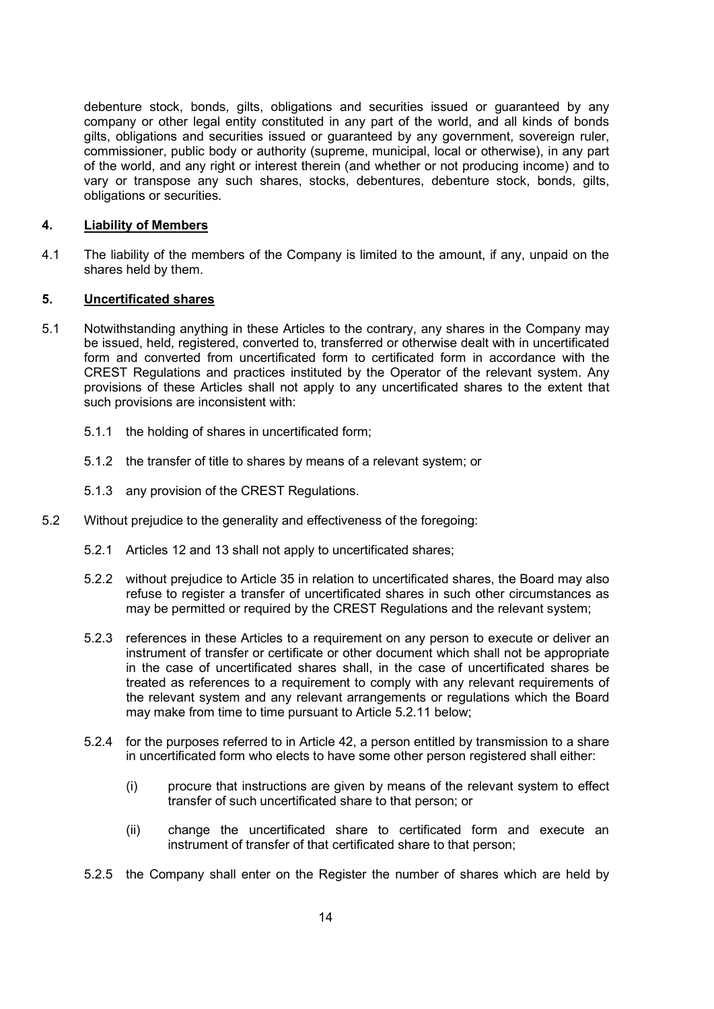debenture stock, bonds, gilts, obligations and securities issued or guaranteed by any company or other legal entity constituted in any part of the world, and all kinds of bonds gilts, obligations and securities issued or guaranteed by any government, sovereign ruler, commissioner, public body or authority (supreme, municipal, local or otherwise), in any part of the world, and any right or interest therein (and whether or not producing income) and to vary or transpose any such shares, stocks, debentures, debenture stock, bonds, gilts, obligations or securities.

### 4. Liability of Members

4.1 The liability of the members of the Company is limited to the amount, if any, unpaid on the shares held by them.

#### 5. Uncertificated shares

- 5.1 Notwithstanding anything in these Articles to the contrary, any shares in the Company may be issued, held, registered, converted to, transferred or otherwise dealt with in uncertificated form and converted from uncertificated form to certificated form in accordance with the CREST Regulations and practices instituted by the Operator of the relevant system. Any provisions of these Articles shall not apply to any uncertificated shares to the extent that such provisions are inconsistent with:
	- 5.1.1 the holding of shares in uncertificated form;
	- 5.1.2 the transfer of title to shares by means of a relevant system; or
	- 5.1.3 any provision of the CREST Regulations.
- 5.2 Without prejudice to the generality and effectiveness of the foregoing:
	- 5.2.1 Articles 12 and 13 shall not apply to uncertificated shares;
	- 5.2.2 without prejudice to Article 35 in relation to uncertificated shares, the Board may also refuse to register a transfer of uncertificated shares in such other circumstances as may be permitted or required by the CREST Regulations and the relevant system;
	- 5.2.3 references in these Articles to a requirement on any person to execute or deliver an instrument of transfer or certificate or other document which shall not be appropriate in the case of uncertificated shares shall, in the case of uncertificated shares be treated as references to a requirement to comply with any relevant requirements of the relevant system and any relevant arrangements or regulations which the Board may make from time to time pursuant to Article 5.2.11 below;
	- 5.2.4 for the purposes referred to in Article 42, a person entitled by transmission to a share in uncertificated form who elects to have some other person registered shall either:
		- (i) procure that instructions are given by means of the relevant system to effect transfer of such uncertificated share to that person; or
		- (ii) change the uncertificated share to certificated form and execute an instrument of transfer of that certificated share to that person;
	- 5.2.5 the Company shall enter on the Register the number of shares which are held by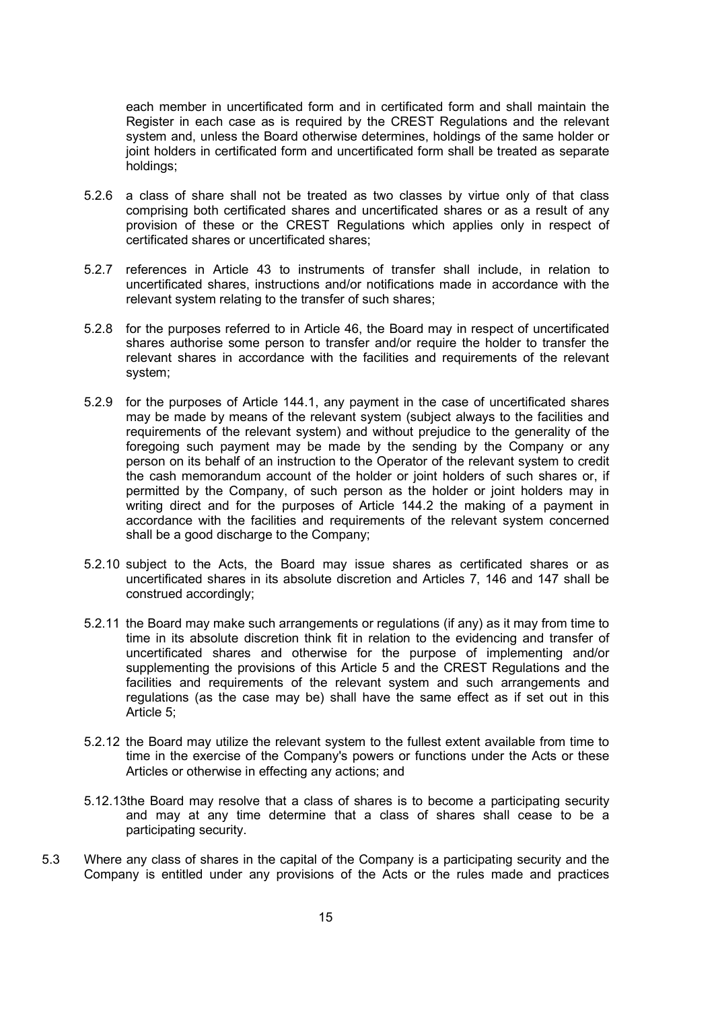each member in uncertificated form and in certificated form and shall maintain the Register in each case as is required by the CREST Regulations and the relevant system and, unless the Board otherwise determines, holdings of the same holder or joint holders in certificated form and uncertificated form shall be treated as separate holdings;

- 5.2.6 a class of share shall not be treated as two classes by virtue only of that class comprising both certificated shares and uncertificated shares or as a result of any provision of these or the CREST Regulations which applies only in respect of certificated shares or uncertificated shares;
- 5.2.7 references in Article 43 to instruments of transfer shall include, in relation to uncertificated shares, instructions and/or notifications made in accordance with the relevant system relating to the transfer of such shares;
- 5.2.8 for the purposes referred to in Article 46, the Board may in respect of uncertificated shares authorise some person to transfer and/or require the holder to transfer the relevant shares in accordance with the facilities and requirements of the relevant system;
- 5.2.9 for the purposes of Article 144.1, any payment in the case of uncertificated shares may be made by means of the relevant system (subject always to the facilities and requirements of the relevant system) and without prejudice to the generality of the foregoing such payment may be made by the sending by the Company or any person on its behalf of an instruction to the Operator of the relevant system to credit the cash memorandum account of the holder or joint holders of such shares or, if permitted by the Company, of such person as the holder or joint holders may in writing direct and for the purposes of Article 144.2 the making of a payment in accordance with the facilities and requirements of the relevant system concerned shall be a good discharge to the Company;
- 5.2.10 subject to the Acts, the Board may issue shares as certificated shares or as uncertificated shares in its absolute discretion and Articles 7, 146 and 147 shall be construed accordingly;
- 5.2.11 the Board may make such arrangements or regulations (if any) as it may from time to time in its absolute discretion think fit in relation to the evidencing and transfer of uncertificated shares and otherwise for the purpose of implementing and/or supplementing the provisions of this Article 5 and the CREST Regulations and the facilities and requirements of the relevant system and such arrangements and regulations (as the case may be) shall have the same effect as if set out in this Article 5;
- 5.2.12 the Board may utilize the relevant system to the fullest extent available from time to time in the exercise of the Company's powers or functions under the Acts or these Articles or otherwise in effecting any actions; and
- 5.12.13the Board may resolve that a class of shares is to become a participating security and may at any time determine that a class of shares shall cease to be a participating security.
- 5.3 Where any class of shares in the capital of the Company is a participating security and the Company is entitled under any provisions of the Acts or the rules made and practices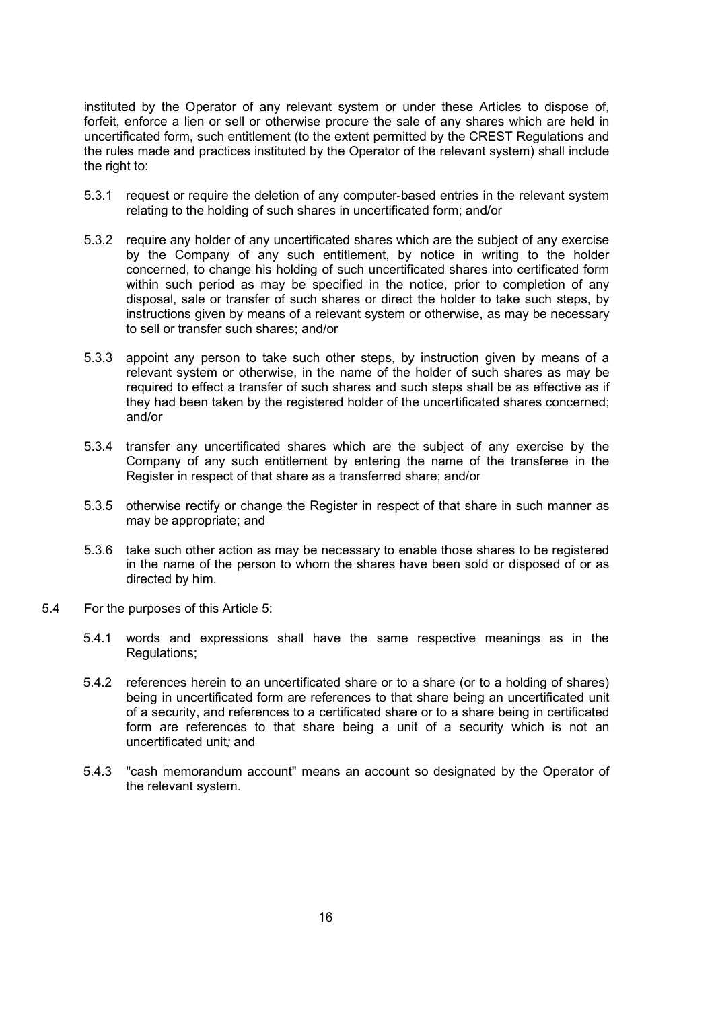instituted by the Operator of any relevant system or under these Articles to dispose of, forfeit, enforce a lien or sell or otherwise procure the sale of any shares which are held in uncertificated form, such entitlement (to the extent permitted by the CREST Regulations and the rules made and practices instituted by the Operator of the relevant system) shall include the right to:

- 5.3.1 request or require the deletion of any computer-based entries in the relevant system relating to the holding of such shares in uncertificated form; and/or
- 5.3.2 require any holder of any uncertificated shares which are the subject of any exercise by the Company of any such entitlement, by notice in writing to the holder concerned, to change his holding of such uncertificated shares into certificated form within such period as may be specified in the notice, prior to completion of any disposal, sale or transfer of such shares or direct the holder to take such steps, by instructions given by means of a relevant system or otherwise, as may be necessary to sell or transfer such shares; and/or
- 5.3.3 appoint any person to take such other steps, by instruction given by means of a relevant system or otherwise, in the name of the holder of such shares as may be required to effect a transfer of such shares and such steps shall be as effective as if they had been taken by the registered holder of the uncertificated shares concerned; and/or
- 5.3.4 transfer any uncertificated shares which are the subject of any exercise by the Company of any such entitlement by entering the name of the transferee in the Register in respect of that share as a transferred share; and/or
- 5.3.5 otherwise rectify or change the Register in respect of that share in such manner as may be appropriate; and
- 5.3.6 take such other action as may be necessary to enable those shares to be registered in the name of the person to whom the shares have been sold or disposed of or as directed by him.
- 5.4 For the purposes of this Article 5:
	- 5.4.1 words and expressions shall have the same respective meanings as in the Regulations;
	- 5.4.2 references herein to an uncertificated share or to a share (or to a holding of shares) being in uncertificated form are references to that share being an uncertificated unit of a security, and references to a certificated share or to a share being in certificated form are references to that share being a unit of a security which is not an uncertificated unit; and
	- 5.4.3 "cash memorandum account" means an account so designated by the Operator of the relevant system.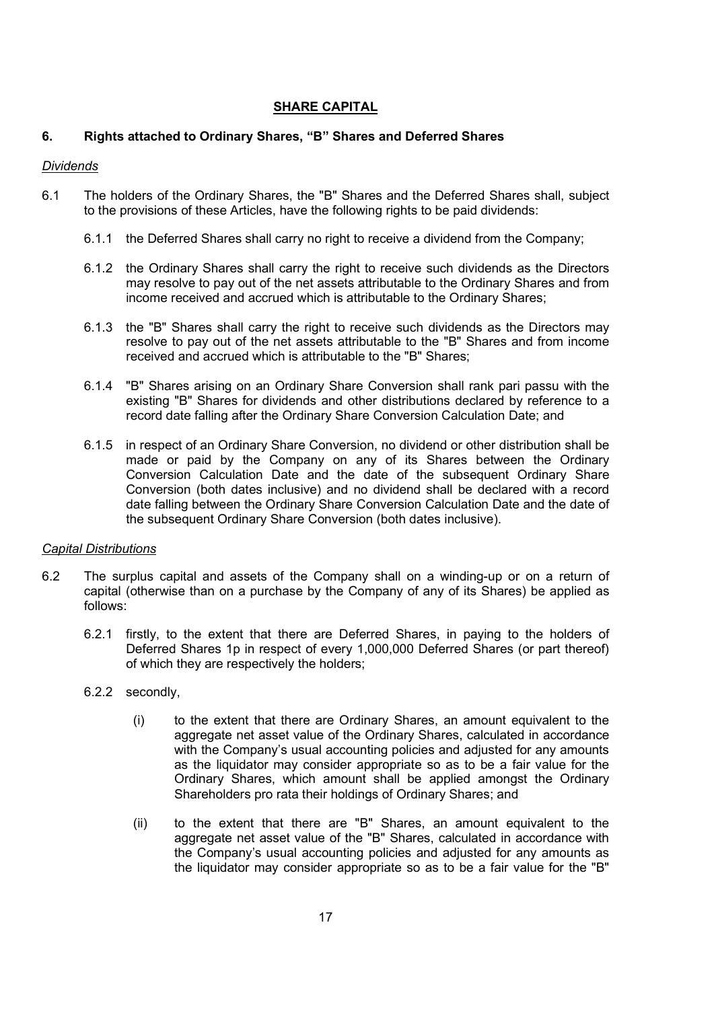## SHARE CAPITAL

## 6. Rights attached to Ordinary Shares, "B" Shares and Deferred Shares

### **Dividends**

- 6.1 The holders of the Ordinary Shares, the "B" Shares and the Deferred Shares shall, subject to the provisions of these Articles, have the following rights to be paid dividends:
	- 6.1.1 the Deferred Shares shall carry no right to receive a dividend from the Company;
	- 6.1.2 the Ordinary Shares shall carry the right to receive such dividends as the Directors may resolve to pay out of the net assets attributable to the Ordinary Shares and from income received and accrued which is attributable to the Ordinary Shares;
	- 6.1.3 the "B" Shares shall carry the right to receive such dividends as the Directors may resolve to pay out of the net assets attributable to the "B" Shares and from income received and accrued which is attributable to the "B" Shares;
	- 6.1.4 "B" Shares arising on an Ordinary Share Conversion shall rank pari passu with the existing "B" Shares for dividends and other distributions declared by reference to a record date falling after the Ordinary Share Conversion Calculation Date; and
	- 6.1.5 in respect of an Ordinary Share Conversion, no dividend or other distribution shall be made or paid by the Company on any of its Shares between the Ordinary Conversion Calculation Date and the date of the subsequent Ordinary Share Conversion (both dates inclusive) and no dividend shall be declared with a record date falling between the Ordinary Share Conversion Calculation Date and the date of the subsequent Ordinary Share Conversion (both dates inclusive).

### Capital Distributions

- 6.2 The surplus capital and assets of the Company shall on a winding-up or on a return of capital (otherwise than on a purchase by the Company of any of its Shares) be applied as follows:
	- 6.2.1 firstly, to the extent that there are Deferred Shares, in paying to the holders of Deferred Shares 1p in respect of every 1,000,000 Deferred Shares (or part thereof) of which they are respectively the holders;
	- 6.2.2 secondly,
		- (i) to the extent that there are Ordinary Shares, an amount equivalent to the aggregate net asset value of the Ordinary Shares, calculated in accordance with the Company's usual accounting policies and adjusted for any amounts as the liquidator may consider appropriate so as to be a fair value for the Ordinary Shares, which amount shall be applied amongst the Ordinary Shareholders pro rata their holdings of Ordinary Shares; and
		- (ii) to the extent that there are "B" Shares, an amount equivalent to the aggregate net asset value of the "B" Shares, calculated in accordance with the Company's usual accounting policies and adjusted for any amounts as the liquidator may consider appropriate so as to be a fair value for the "B"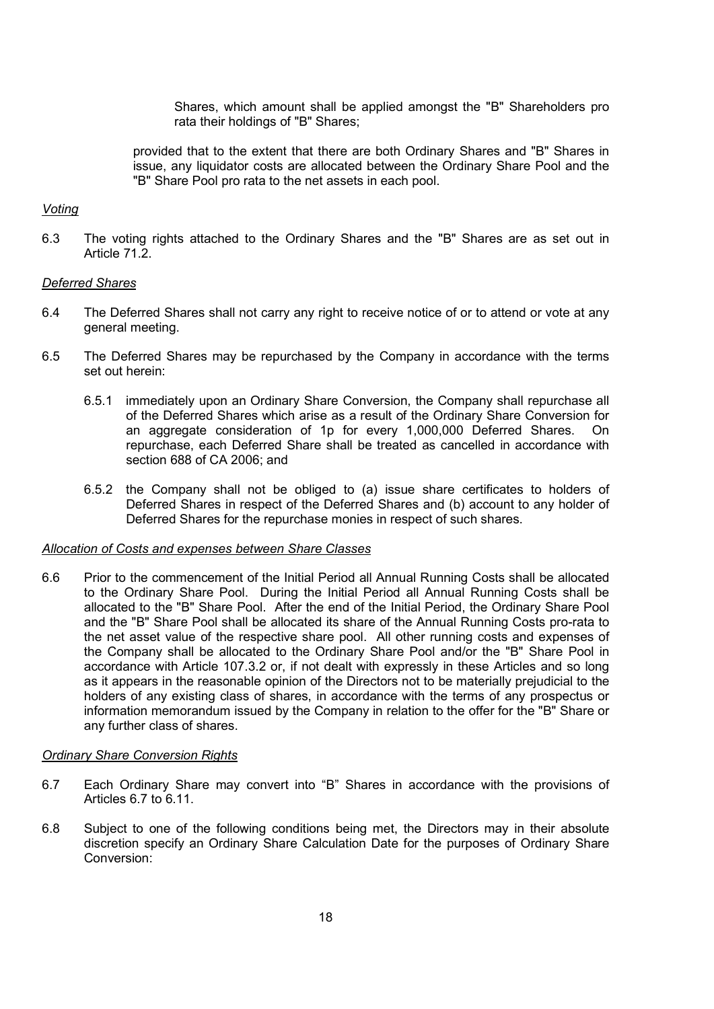Shares, which amount shall be applied amongst the "B" Shareholders pro rata their holdings of "B" Shares;

provided that to the extent that there are both Ordinary Shares and "B" Shares in issue, any liquidator costs are allocated between the Ordinary Share Pool and the "B" Share Pool pro rata to the net assets in each pool.

#### Voting

6.3 The voting rights attached to the Ordinary Shares and the "B" Shares are as set out in Article 71.2.

### Deferred Shares

- 6.4 The Deferred Shares shall not carry any right to receive notice of or to attend or vote at any general meeting.
- 6.5 The Deferred Shares may be repurchased by the Company in accordance with the terms set out herein:
	- 6.5.1 immediately upon an Ordinary Share Conversion, the Company shall repurchase all of the Deferred Shares which arise as a result of the Ordinary Share Conversion for an aggregate consideration of 1p for every 1,000,000 Deferred Shares. On repurchase, each Deferred Share shall be treated as cancelled in accordance with section 688 of CA 2006; and
	- 6.5.2 the Company shall not be obliged to (a) issue share certificates to holders of Deferred Shares in respect of the Deferred Shares and (b) account to any holder of Deferred Shares for the repurchase monies in respect of such shares.

#### Allocation of Costs and expenses between Share Classes

6.6 Prior to the commencement of the Initial Period all Annual Running Costs shall be allocated to the Ordinary Share Pool. During the Initial Period all Annual Running Costs shall be allocated to the "B" Share Pool. After the end of the Initial Period, the Ordinary Share Pool and the "B" Share Pool shall be allocated its share of the Annual Running Costs pro-rata to the net asset value of the respective share pool. All other running costs and expenses of the Company shall be allocated to the Ordinary Share Pool and/or the "B" Share Pool in accordance with Article 107.3.2 or, if not dealt with expressly in these Articles and so long as it appears in the reasonable opinion of the Directors not to be materially prejudicial to the holders of any existing class of shares, in accordance with the terms of any prospectus or information memorandum issued by the Company in relation to the offer for the "B" Share or any further class of shares.

#### **Ordinary Share Conversion Rights**

- 6.7 Each Ordinary Share may convert into "B" Shares in accordance with the provisions of Articles 6.7 to 6.11.
- 6.8 Subject to one of the following conditions being met, the Directors may in their absolute discretion specify an Ordinary Share Calculation Date for the purposes of Ordinary Share Conversion: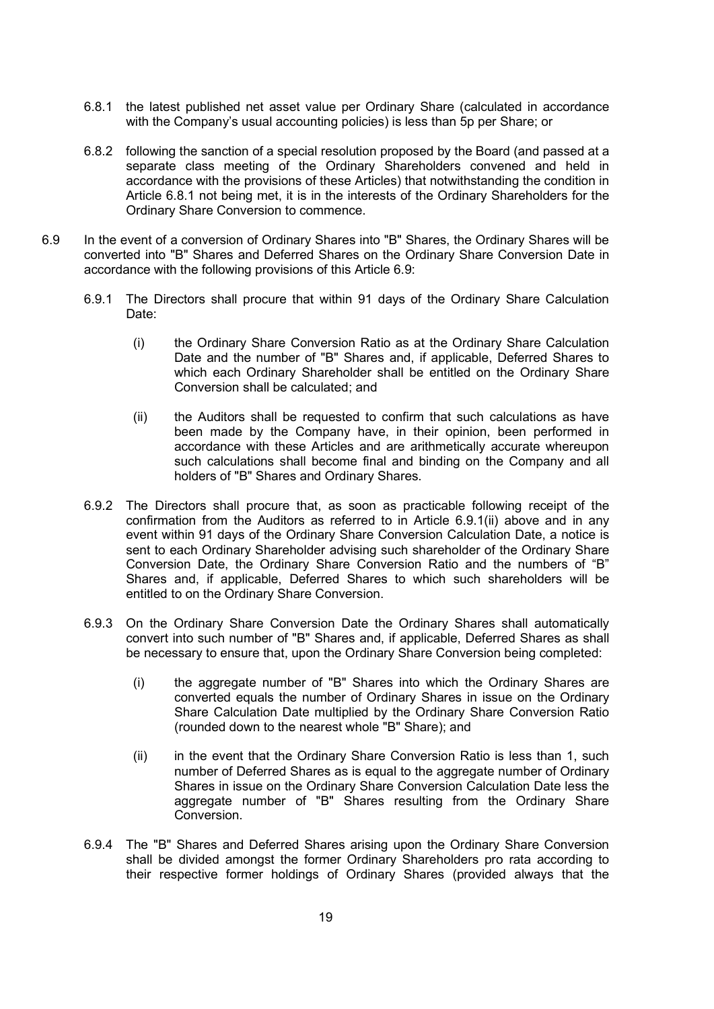- 6.8.1 the latest published net asset value per Ordinary Share (calculated in accordance with the Company's usual accounting policies) is less than 5p per Share; or
- 6.8.2 following the sanction of a special resolution proposed by the Board (and passed at a separate class meeting of the Ordinary Shareholders convened and held in accordance with the provisions of these Articles) that notwithstanding the condition in Article 6.8.1 not being met, it is in the interests of the Ordinary Shareholders for the Ordinary Share Conversion to commence.
- 6.9 In the event of a conversion of Ordinary Shares into "B" Shares, the Ordinary Shares will be converted into "B" Shares and Deferred Shares on the Ordinary Share Conversion Date in accordance with the following provisions of this Article 6.9:
	- 6.9.1 The Directors shall procure that within 91 days of the Ordinary Share Calculation Date:
		- (i) the Ordinary Share Conversion Ratio as at the Ordinary Share Calculation Date and the number of "B" Shares and, if applicable, Deferred Shares to which each Ordinary Shareholder shall be entitled on the Ordinary Share Conversion shall be calculated; and
		- (ii) the Auditors shall be requested to confirm that such calculations as have been made by the Company have, in their opinion, been performed in accordance with these Articles and are arithmetically accurate whereupon such calculations shall become final and binding on the Company and all holders of "B" Shares and Ordinary Shares.
	- 6.9.2 The Directors shall procure that, as soon as practicable following receipt of the confirmation from the Auditors as referred to in Article 6.9.1(ii) above and in any event within 91 days of the Ordinary Share Conversion Calculation Date, a notice is sent to each Ordinary Shareholder advising such shareholder of the Ordinary Share Conversion Date, the Ordinary Share Conversion Ratio and the numbers of "B" Shares and, if applicable, Deferred Shares to which such shareholders will be entitled to on the Ordinary Share Conversion.
	- 6.9.3 On the Ordinary Share Conversion Date the Ordinary Shares shall automatically convert into such number of "B" Shares and, if applicable, Deferred Shares as shall be necessary to ensure that, upon the Ordinary Share Conversion being completed:
		- (i) the aggregate number of "B" Shares into which the Ordinary Shares are converted equals the number of Ordinary Shares in issue on the Ordinary Share Calculation Date multiplied by the Ordinary Share Conversion Ratio (rounded down to the nearest whole "B" Share); and
		- (ii) in the event that the Ordinary Share Conversion Ratio is less than 1, such number of Deferred Shares as is equal to the aggregate number of Ordinary Shares in issue on the Ordinary Share Conversion Calculation Date less the aggregate number of "B" Shares resulting from the Ordinary Share Conversion.
	- 6.9.4 The "B" Shares and Deferred Shares arising upon the Ordinary Share Conversion shall be divided amongst the former Ordinary Shareholders pro rata according to their respective former holdings of Ordinary Shares (provided always that the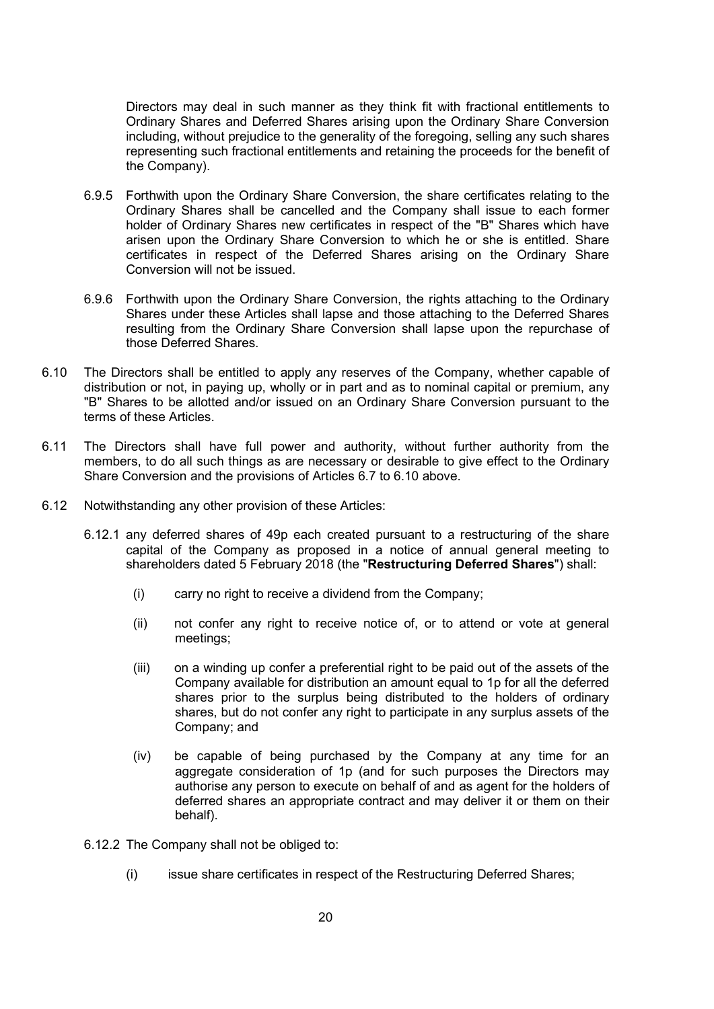Directors may deal in such manner as they think fit with fractional entitlements to Ordinary Shares and Deferred Shares arising upon the Ordinary Share Conversion including, without prejudice to the generality of the foregoing, selling any such shares representing such fractional entitlements and retaining the proceeds for the benefit of the Company).

- 6.9.5 Forthwith upon the Ordinary Share Conversion, the share certificates relating to the Ordinary Shares shall be cancelled and the Company shall issue to each former holder of Ordinary Shares new certificates in respect of the "B" Shares which have arisen upon the Ordinary Share Conversion to which he or she is entitled. Share certificates in respect of the Deferred Shares arising on the Ordinary Share Conversion will not be issued.
- 6.9.6 Forthwith upon the Ordinary Share Conversion, the rights attaching to the Ordinary Shares under these Articles shall lapse and those attaching to the Deferred Shares resulting from the Ordinary Share Conversion shall lapse upon the repurchase of those Deferred Shares.
- 6.10 The Directors shall be entitled to apply any reserves of the Company, whether capable of distribution or not, in paying up, wholly or in part and as to nominal capital or premium, any "B" Shares to be allotted and/or issued on an Ordinary Share Conversion pursuant to the terms of these Articles.
- 6.11 The Directors shall have full power and authority, without further authority from the members, to do all such things as are necessary or desirable to give effect to the Ordinary Share Conversion and the provisions of Articles 6.7 to 6.10 above.
- 6.12 Notwithstanding any other provision of these Articles:
	- 6.12.1 any deferred shares of 49p each created pursuant to a restructuring of the share capital of the Company as proposed in a notice of annual general meeting to shareholders dated 5 February 2018 (the "Restructuring Deferred Shares") shall:
		- (i) carry no right to receive a dividend from the Company;
		- (ii) not confer any right to receive notice of, or to attend or vote at general meetings;
		- (iii) on a winding up confer a preferential right to be paid out of the assets of the Company available for distribution an amount equal to 1p for all the deferred shares prior to the surplus being distributed to the holders of ordinary shares, but do not confer any right to participate in any surplus assets of the Company; and
		- (iv) be capable of being purchased by the Company at any time for an aggregate consideration of 1p (and for such purposes the Directors may authorise any person to execute on behalf of and as agent for the holders of deferred shares an appropriate contract and may deliver it or them on their behalf).
	- 6.12.2 The Company shall not be obliged to:
		- (i) issue share certificates in respect of the Restructuring Deferred Shares;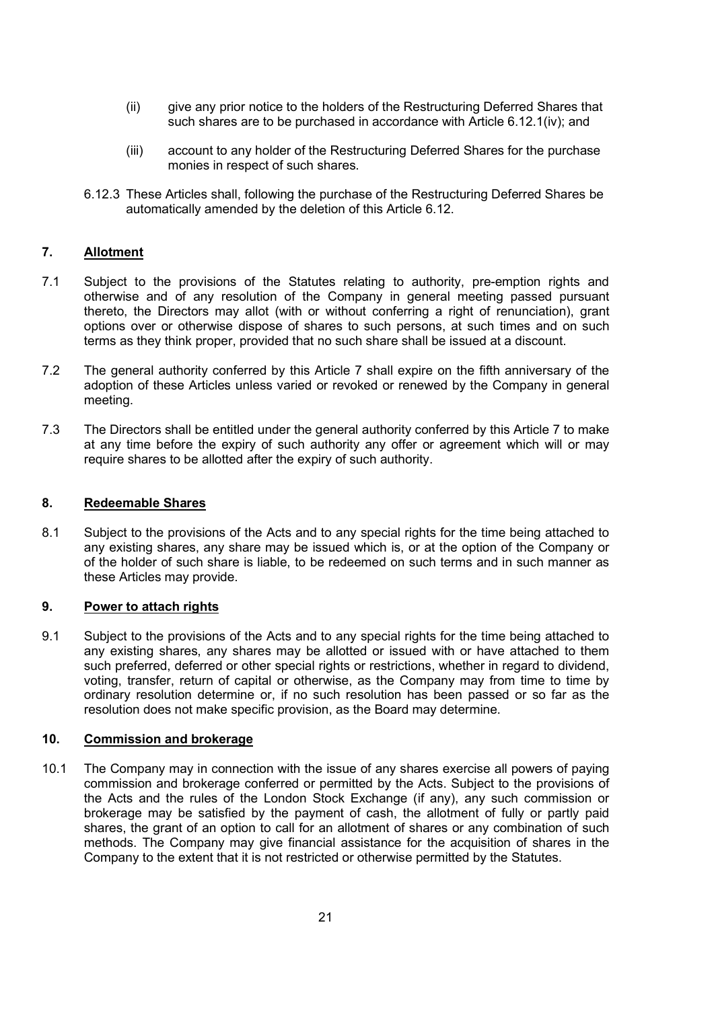- (ii) give any prior notice to the holders of the Restructuring Deferred Shares that such shares are to be purchased in accordance with Article 6.12.1(iv); and
- (iii) account to any holder of the Restructuring Deferred Shares for the purchase monies in respect of such shares.
- 6.12.3 These Articles shall, following the purchase of the Restructuring Deferred Shares be automatically amended by the deletion of this Article 6.12.

## 7. Allotment

- 7.1 Subject to the provisions of the Statutes relating to authority, pre-emption rights and otherwise and of any resolution of the Company in general meeting passed pursuant thereto, the Directors may allot (with or without conferring a right of renunciation), grant options over or otherwise dispose of shares to such persons, at such times and on such terms as they think proper, provided that no such share shall be issued at a discount.
- 7.2 The general authority conferred by this Article 7 shall expire on the fifth anniversary of the adoption of these Articles unless varied or revoked or renewed by the Company in general meeting.
- 7.3 The Directors shall be entitled under the general authority conferred by this Article 7 to make at any time before the expiry of such authority any offer or agreement which will or may require shares to be allotted after the expiry of such authority.

## 8. Redeemable Shares

8.1 Subject to the provisions of the Acts and to any special rights for the time being attached to any existing shares, any share may be issued which is, or at the option of the Company or of the holder of such share is liable, to be redeemed on such terms and in such manner as these Articles may provide.

### 9. Power to attach rights

9.1 Subject to the provisions of the Acts and to any special rights for the time being attached to any existing shares, any shares may be allotted or issued with or have attached to them such preferred, deferred or other special rights or restrictions, whether in regard to dividend, voting, transfer, return of capital or otherwise, as the Company may from time to time by ordinary resolution determine or, if no such resolution has been passed or so far as the resolution does not make specific provision, as the Board may determine.

### 10. Commission and brokerage

10.1 The Company may in connection with the issue of any shares exercise all powers of paying commission and brokerage conferred or permitted by the Acts. Subject to the provisions of the Acts and the rules of the London Stock Exchange (if any), any such commission or brokerage may be satisfied by the payment of cash, the allotment of fully or partly paid shares, the grant of an option to call for an allotment of shares or any combination of such methods. The Company may give financial assistance for the acquisition of shares in the Company to the extent that it is not restricted or otherwise permitted by the Statutes.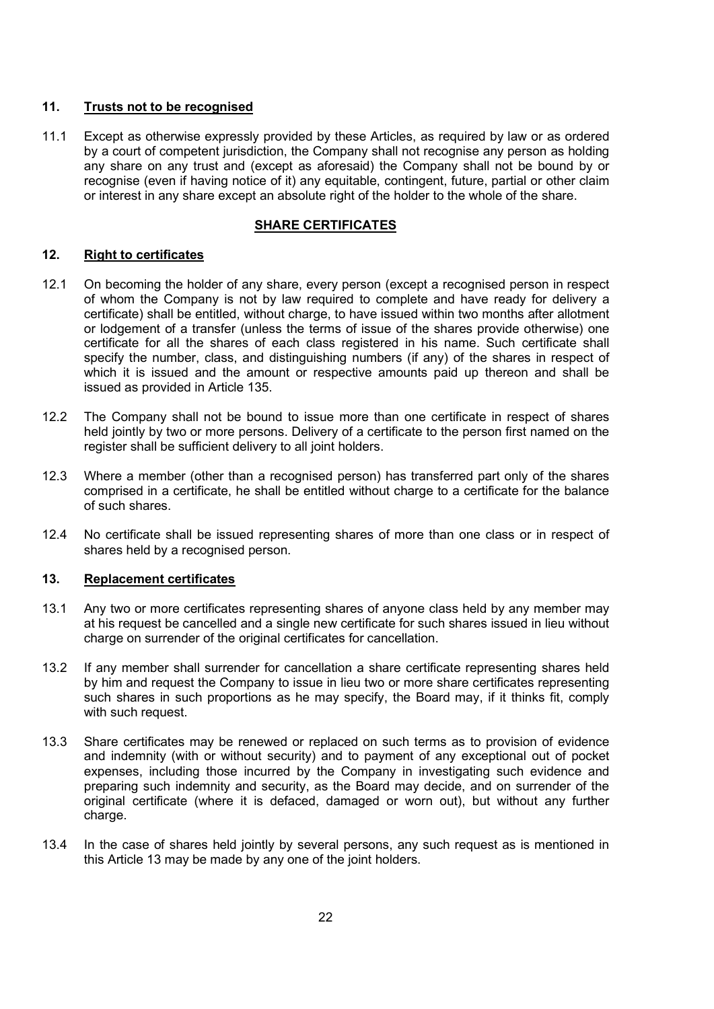## 11. Trusts not to be recognised

11.1 Except as otherwise expressly provided by these Articles, as required by law or as ordered by a court of competent jurisdiction, the Company shall not recognise any person as holding any share on any trust and (except as aforesaid) the Company shall not be bound by or recognise (even if having notice of it) any equitable, contingent, future, partial or other claim or interest in any share except an absolute right of the holder to the whole of the share.

## SHARE CERTIFICATES

## 12. Right to certificates

- 12.1 On becoming the holder of any share, every person (except a recognised person in respect of whom the Company is not by law required to complete and have ready for delivery a certificate) shall be entitled, without charge, to have issued within two months after allotment or lodgement of a transfer (unless the terms of issue of the shares provide otherwise) one certificate for all the shares of each class registered in his name. Such certificate shall specify the number, class, and distinguishing numbers (if any) of the shares in respect of which it is issued and the amount or respective amounts paid up thereon and shall be issued as provided in Article 135.
- 12.2 The Company shall not be bound to issue more than one certificate in respect of shares held jointly by two or more persons. Delivery of a certificate to the person first named on the register shall be sufficient delivery to all joint holders.
- 12.3 Where a member (other than a recognised person) has transferred part only of the shares comprised in a certificate, he shall be entitled without charge to a certificate for the balance of such shares.
- 12.4 No certificate shall be issued representing shares of more than one class or in respect of shares held by a recognised person.

## 13. Replacement certificates

- 13.1 Any two or more certificates representing shares of anyone class held by any member may at his request be cancelled and a single new certificate for such shares issued in lieu without charge on surrender of the original certificates for cancellation.
- 13.2 If any member shall surrender for cancellation a share certificate representing shares held by him and request the Company to issue in lieu two or more share certificates representing such shares in such proportions as he may specify, the Board may, if it thinks fit, comply with such request.
- 13.3 Share certificates may be renewed or replaced on such terms as to provision of evidence and indemnity (with or without security) and to payment of any exceptional out of pocket expenses, including those incurred by the Company in investigating such evidence and preparing such indemnity and security, as the Board may decide, and on surrender of the original certificate (where it is defaced, damaged or worn out), but without any further charge.
- 13.4 In the case of shares held jointly by several persons, any such request as is mentioned in this Article 13 may be made by any one of the joint holders.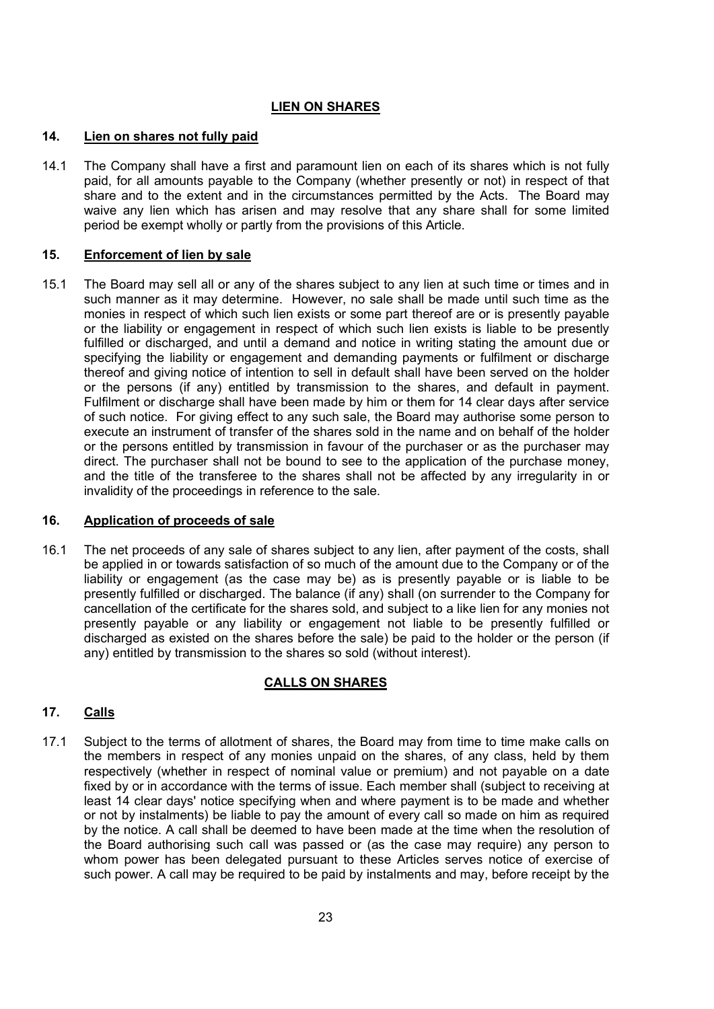## LIEN ON SHARES

### 14. Lien on shares not fully paid

14.1 The Company shall have a first and paramount lien on each of its shares which is not fully paid, for all amounts payable to the Company (whether presently or not) in respect of that share and to the extent and in the circumstances permitted by the Acts. The Board may waive any lien which has arisen and may resolve that any share shall for some limited period be exempt wholly or partly from the provisions of this Article.

#### 15. Enforcement of lien by sale

15.1 The Board may sell all or any of the shares subject to any lien at such time or times and in such manner as it may determine. However, no sale shall be made until such time as the monies in respect of which such lien exists or some part thereof are or is presently payable or the liability or engagement in respect of which such lien exists is liable to be presently fulfilled or discharged, and until a demand and notice in writing stating the amount due or specifying the liability or engagement and demanding payments or fulfilment or discharge thereof and giving notice of intention to sell in default shall have been served on the holder or the persons (if any) entitled by transmission to the shares, and default in payment. Fulfilment or discharge shall have been made by him or them for 14 clear days after service of such notice. For giving effect to any such sale, the Board may authorise some person to execute an instrument of transfer of the shares sold in the name and on behalf of the holder or the persons entitled by transmission in favour of the purchaser or as the purchaser may direct. The purchaser shall not be bound to see to the application of the purchase money, and the title of the transferee to the shares shall not be affected by any irregularity in or invalidity of the proceedings in reference to the sale.

## 16. Application of proceeds of sale

16.1 The net proceeds of any sale of shares subject to any lien, after payment of the costs, shall be applied in or towards satisfaction of so much of the amount due to the Company or of the liability or engagement (as the case may be) as is presently payable or is liable to be presently fulfilled or discharged. The balance (if any) shall (on surrender to the Company for cancellation of the certificate for the shares sold, and subject to a like lien for any monies not presently payable or any liability or engagement not liable to be presently fulfilled or discharged as existed on the shares before the sale) be paid to the holder or the person (if any) entitled by transmission to the shares so sold (without interest).

### CALLS ON SHARES

## 17. Calls

17.1 Subject to the terms of allotment of shares, the Board may from time to time make calls on the members in respect of any monies unpaid on the shares, of any class, held by them respectively (whether in respect of nominal value or premium) and not payable on a date fixed by or in accordance with the terms of issue. Each member shall (subject to receiving at least 14 clear days' notice specifying when and where payment is to be made and whether or not by instalments) be liable to pay the amount of every call so made on him as required by the notice. A call shall be deemed to have been made at the time when the resolution of the Board authorising such call was passed or (as the case may require) any person to whom power has been delegated pursuant to these Articles serves notice of exercise of such power. A call may be required to be paid by instalments and may, before receipt by the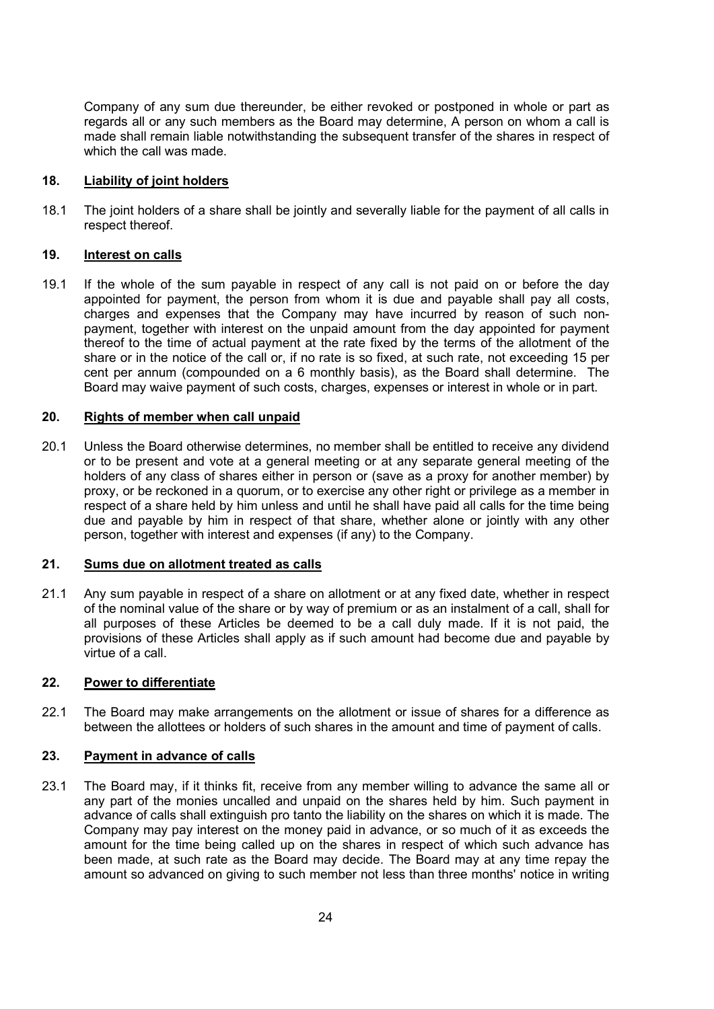Company of any sum due thereunder, be either revoked or postponed in whole or part as regards all or any such members as the Board may determine, A person on whom a call is made shall remain liable notwithstanding the subsequent transfer of the shares in respect of which the call was made.

### 18. Liability of joint holders

18.1 The joint holders of a share shall be jointly and severally liable for the payment of all calls in respect thereof.

## 19. Interest on calls

19.1 If the whole of the sum payable in respect of any call is not paid on or before the day appointed for payment, the person from whom it is due and payable shall pay all costs, charges and expenses that the Company may have incurred by reason of such nonpayment, together with interest on the unpaid amount from the day appointed for payment thereof to the time of actual payment at the rate fixed by the terms of the allotment of the share or in the notice of the call or, if no rate is so fixed, at such rate, not exceeding 15 per cent per annum (compounded on a 6 monthly basis), as the Board shall determine. The Board may waive payment of such costs, charges, expenses or interest in whole or in part.

## 20. Rights of member when call unpaid

20.1 Unless the Board otherwise determines, no member shall be entitled to receive any dividend or to be present and vote at a general meeting or at any separate general meeting of the holders of any class of shares either in person or (save as a proxy for another member) by proxy, or be reckoned in a quorum, or to exercise any other right or privilege as a member in respect of a share held by him unless and until he shall have paid all calls for the time being due and payable by him in respect of that share, whether alone or jointly with any other person, together with interest and expenses (if any) to the Company.

## 21. Sums due on allotment treated as calls

21.1 Any sum payable in respect of a share on allotment or at any fixed date, whether in respect of the nominal value of the share or by way of premium or as an instalment of a call, shall for all purposes of these Articles be deemed to be a call duly made. If it is not paid, the provisions of these Articles shall apply as if such amount had become due and payable by virtue of a call.

### 22. Power to differentiate

22.1 The Board may make arrangements on the allotment or issue of shares for a difference as between the allottees or holders of such shares in the amount and time of payment of calls.

## 23. Payment in advance of calls

23.1 The Board may, if it thinks fit, receive from any member willing to advance the same all or any part of the monies uncalled and unpaid on the shares held by him. Such payment in advance of calls shall extinguish pro tanto the liability on the shares on which it is made. The Company may pay interest on the money paid in advance, or so much of it as exceeds the amount for the time being called up on the shares in respect of which such advance has been made, at such rate as the Board may decide. The Board may at any time repay the amount so advanced on giving to such member not less than three months' notice in writing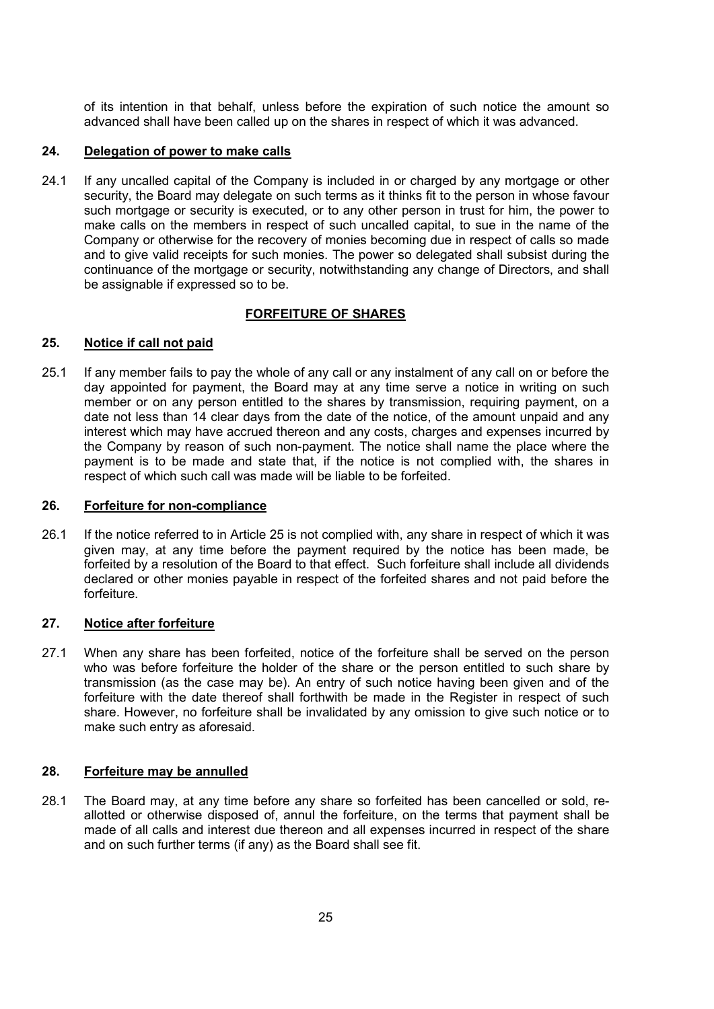of its intention in that behalf, unless before the expiration of such notice the amount so advanced shall have been called up on the shares in respect of which it was advanced.

### 24. Delegation of power to make calls

24.1 If any uncalled capital of the Company is included in or charged by any mortgage or other security, the Board may delegate on such terms as it thinks fit to the person in whose favour such mortgage or security is executed, or to any other person in trust for him, the power to make calls on the members in respect of such uncalled capital, to sue in the name of the Company or otherwise for the recovery of monies becoming due in respect of calls so made and to give valid receipts for such monies. The power so delegated shall subsist during the continuance of the mortgage or security, notwithstanding any change of Directors, and shall be assignable if expressed so to be.

## FORFEITURE OF SHARES

## 25. Notice if call not paid

25.1 If any member fails to pay the whole of any call or any instalment of any call on or before the day appointed for payment, the Board may at any time serve a notice in writing on such member or on any person entitled to the shares by transmission, requiring payment, on a date not less than 14 clear days from the date of the notice, of the amount unpaid and any interest which may have accrued thereon and any costs, charges and expenses incurred by the Company by reason of such non-payment. The notice shall name the place where the payment is to be made and state that, if the notice is not complied with, the shares in respect of which such call was made will be liable to be forfeited.

### 26. Forfeiture for non-compliance

26.1 If the notice referred to in Article 25 is not complied with, any share in respect of which it was given may, at any time before the payment required by the notice has been made, be forfeited by a resolution of the Board to that effect. Such forfeiture shall include all dividends declared or other monies payable in respect of the forfeited shares and not paid before the forfeiture.

### 27. Notice after forfeiture

27.1 When any share has been forfeited, notice of the forfeiture shall be served on the person who was before forfeiture the holder of the share or the person entitled to such share by transmission (as the case may be). An entry of such notice having been given and of the forfeiture with the date thereof shall forthwith be made in the Register in respect of such share. However, no forfeiture shall be invalidated by any omission to give such notice or to make such entry as aforesaid.

### 28. Forfeiture may be annulled

28.1 The Board may, at any time before any share so forfeited has been cancelled or sold, reallotted or otherwise disposed of, annul the forfeiture, on the terms that payment shall be made of all calls and interest due thereon and all expenses incurred in respect of the share and on such further terms (if any) as the Board shall see fit.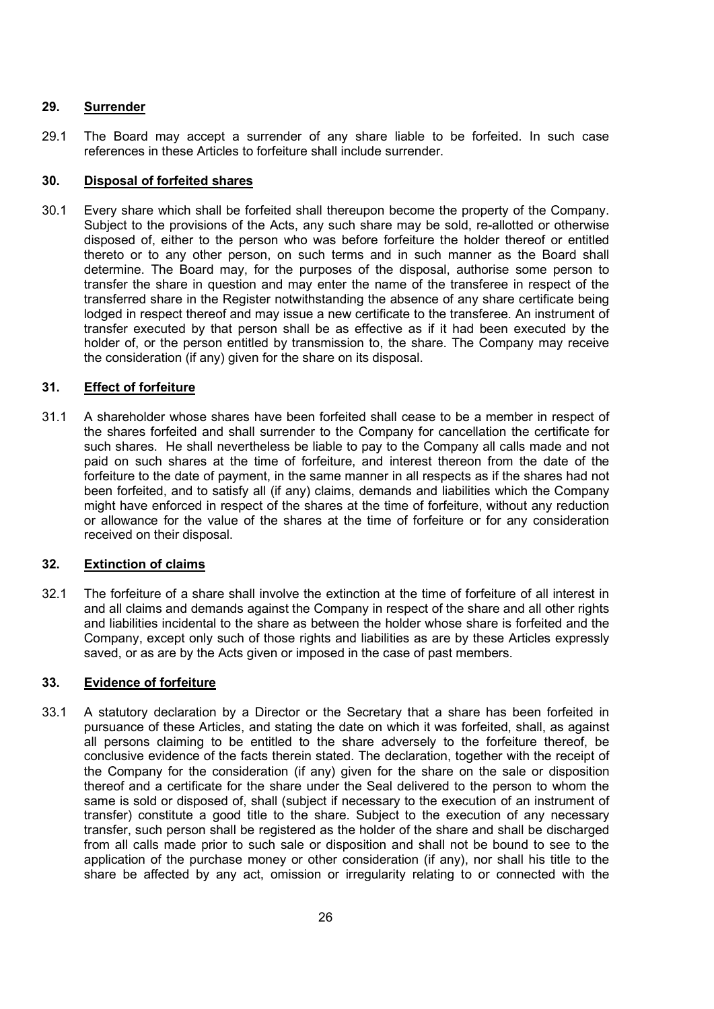## 29. Surrender

29.1 The Board may accept a surrender of any share liable to be forfeited. In such case references in these Articles to forfeiture shall include surrender.

## 30. Disposal of forfeited shares

30.1 Every share which shall be forfeited shall thereupon become the property of the Company. Subject to the provisions of the Acts, any such share may be sold, re-allotted or otherwise disposed of, either to the person who was before forfeiture the holder thereof or entitled thereto or to any other person, on such terms and in such manner as the Board shall determine. The Board may, for the purposes of the disposal, authorise some person to transfer the share in question and may enter the name of the transferee in respect of the transferred share in the Register notwithstanding the absence of any share certificate being lodged in respect thereof and may issue a new certificate to the transferee. An instrument of transfer executed by that person shall be as effective as if it had been executed by the holder of, or the person entitled by transmission to, the share. The Company may receive the consideration (if any) given for the share on its disposal.

## 31. Effect of forfeiture

31.1 A shareholder whose shares have been forfeited shall cease to be a member in respect of the shares forfeited and shall surrender to the Company for cancellation the certificate for such shares. He shall nevertheless be liable to pay to the Company all calls made and not paid on such shares at the time of forfeiture, and interest thereon from the date of the forfeiture to the date of payment, in the same manner in all respects as if the shares had not been forfeited, and to satisfy all (if any) claims, demands and liabilities which the Company might have enforced in respect of the shares at the time of forfeiture, without any reduction or allowance for the value of the shares at the time of forfeiture or for any consideration received on their disposal.

## 32. Extinction of claims

32.1 The forfeiture of a share shall involve the extinction at the time of forfeiture of all interest in and all claims and demands against the Company in respect of the share and all other rights and liabilities incidental to the share as between the holder whose share is forfeited and the Company, except only such of those rights and liabilities as are by these Articles expressly saved, or as are by the Acts given or imposed in the case of past members.

### 33. Evidence of forfeiture

33.1 A statutory declaration by a Director or the Secretary that a share has been forfeited in pursuance of these Articles, and stating the date on which it was forfeited, shall, as against all persons claiming to be entitled to the share adversely to the forfeiture thereof, be conclusive evidence of the facts therein stated. The declaration, together with the receipt of the Company for the consideration (if any) given for the share on the sale or disposition thereof and a certificate for the share under the Seal delivered to the person to whom the same is sold or disposed of, shall (subject if necessary to the execution of an instrument of transfer) constitute a good title to the share. Subject to the execution of any necessary transfer, such person shall be registered as the holder of the share and shall be discharged from all calls made prior to such sale or disposition and shall not be bound to see to the application of the purchase money or other consideration (if any), nor shall his title to the share be affected by any act, omission or irregularity relating to or connected with the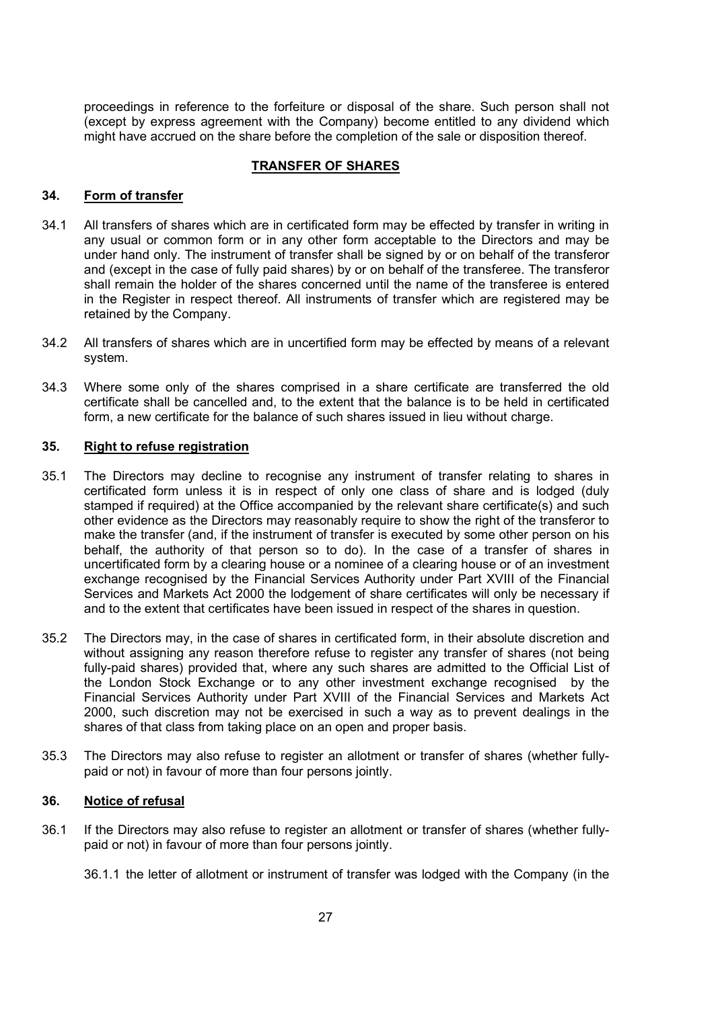proceedings in reference to the forfeiture or disposal of the share. Such person shall not (except by express agreement with the Company) become entitled to any dividend which might have accrued on the share before the completion of the sale or disposition thereof.

## TRANSFER OF SHARES

## 34. Form of transfer

- 34.1 All transfers of shares which are in certificated form may be effected by transfer in writing in any usual or common form or in any other form acceptable to the Directors and may be under hand only. The instrument of transfer shall be signed by or on behalf of the transferor and (except in the case of fully paid shares) by or on behalf of the transferee. The transferor shall remain the holder of the shares concerned until the name of the transferee is entered in the Register in respect thereof. All instruments of transfer which are registered may be retained by the Company.
- 34.2 All transfers of shares which are in uncertified form may be effected by means of a relevant system.
- 34.3 Where some only of the shares comprised in a share certificate are transferred the old certificate shall be cancelled and, to the extent that the balance is to be held in certificated form, a new certificate for the balance of such shares issued in lieu without charge.

### 35. Right to refuse registration

- 35.1 The Directors may decline to recognise any instrument of transfer relating to shares in certificated form unless it is in respect of only one class of share and is lodged (duly stamped if required) at the Office accompanied by the relevant share certificate(s) and such other evidence as the Directors may reasonably require to show the right of the transferor to make the transfer (and, if the instrument of transfer is executed by some other person on his behalf, the authority of that person so to do). In the case of a transfer of shares in uncertificated form by a clearing house or a nominee of a clearing house or of an investment exchange recognised by the Financial Services Authority under Part XVIII of the Financial Services and Markets Act 2000 the lodgement of share certificates will only be necessary if and to the extent that certificates have been issued in respect of the shares in question.
- 35.2 The Directors may, in the case of shares in certificated form, in their absolute discretion and without assigning any reason therefore refuse to register any transfer of shares (not being fully-paid shares) provided that, where any such shares are admitted to the Official List of the London Stock Exchange or to any other investment exchange recognised by the Financial Services Authority under Part XVIII of the Financial Services and Markets Act 2000, such discretion may not be exercised in such a way as to prevent dealings in the shares of that class from taking place on an open and proper basis.
- 35.3 The Directors may also refuse to register an allotment or transfer of shares (whether fullypaid or not) in favour of more than four persons jointly.

### 36. Notice of refusal

36.1 If the Directors may also refuse to register an allotment or transfer of shares (whether fullypaid or not) in favour of more than four persons jointly.

<sup>36.1.1</sup> the letter of allotment or instrument of transfer was lodged with the Company (in the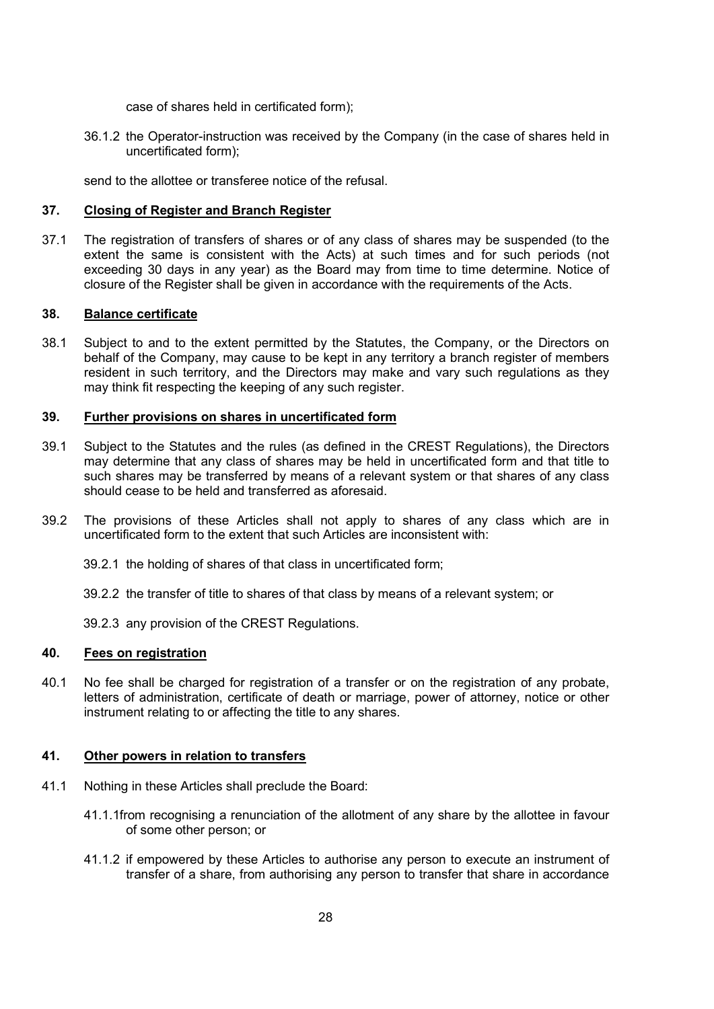case of shares held in certificated form);

36.1.2 the Operator-instruction was received by the Company (in the case of shares held in uncertificated form);

send to the allottee or transferee notice of the refusal.

#### 37. Closing of Register and Branch Register

37.1 The registration of transfers of shares or of any class of shares may be suspended (to the extent the same is consistent with the Acts) at such times and for such periods (not exceeding 30 days in any year) as the Board may from time to time determine. Notice of closure of the Register shall be given in accordance with the requirements of the Acts.

#### 38. Balance certificate

38.1 Subject to and to the extent permitted by the Statutes, the Company, or the Directors on behalf of the Company, may cause to be kept in any territory a branch register of members resident in such territory, and the Directors may make and vary such regulations as they may think fit respecting the keeping of any such register.

#### 39. Further provisions on shares in uncertificated form

- 39.1 Subject to the Statutes and the rules (as defined in the CREST Regulations), the Directors may determine that any class of shares may be held in uncertificated form and that title to such shares may be transferred by means of a relevant system or that shares of any class should cease to be held and transferred as aforesaid.
- 39.2 The provisions of these Articles shall not apply to shares of any class which are in uncertificated form to the extent that such Articles are inconsistent with:
	- 39.2.1 the holding of shares of that class in uncertificated form;
	- 39.2.2 the transfer of title to shares of that class by means of a relevant system; or

39.2.3 any provision of the CREST Regulations.

### 40. Fees on registration

40.1 No fee shall be charged for registration of a transfer or on the registration of any probate, letters of administration, certificate of death or marriage, power of attorney, notice or other instrument relating to or affecting the title to any shares.

### 41. Other powers in relation to transfers

- 41.1 Nothing in these Articles shall preclude the Board:
	- 41.1.1from recognising a renunciation of the allotment of any share by the allottee in favour of some other person; or
	- 41.1.2 if empowered by these Articles to authorise any person to execute an instrument of transfer of a share, from authorising any person to transfer that share in accordance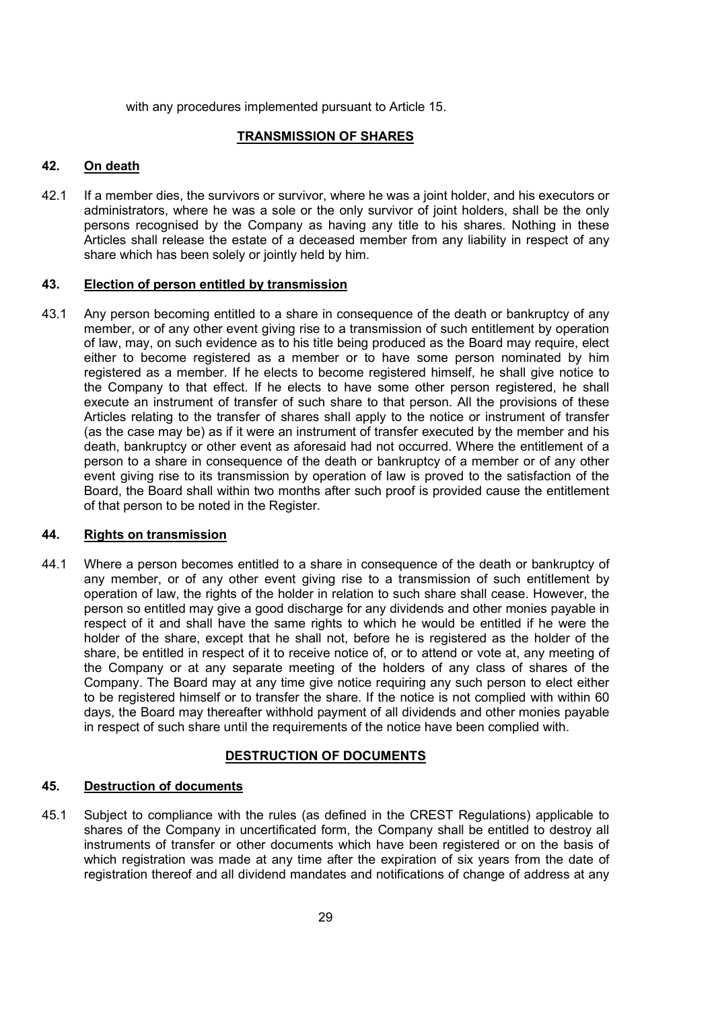with any procedures implemented pursuant to Article 15.

## TRANSMISSION OF SHARES

## 42. On death

42.1 If a member dies, the survivors or survivor, where he was a joint holder, and his executors or administrators, where he was a sole or the only survivor of joint holders, shall be the only persons recognised by the Company as having any title to his shares. Nothing in these Articles shall release the estate of a deceased member from any liability in respect of any share which has been solely or jointly held by him.

#### 43. Election of person entitled by transmission

43.1 Any person becoming entitled to a share in consequence of the death or bankruptcy of any member, or of any other event giving rise to a transmission of such entitlement by operation of law, may, on such evidence as to his title being produced as the Board may require, elect either to become registered as a member or to have some person nominated by him registered as a member. If he elects to become registered himself, he shall give notice to the Company to that effect. If he elects to have some other person registered, he shall execute an instrument of transfer of such share to that person. All the provisions of these Articles relating to the transfer of shares shall apply to the notice or instrument of transfer (as the case may be) as if it were an instrument of transfer executed by the member and his death, bankruptcy or other event as aforesaid had not occurred. Where the entitlement of a person to a share in consequence of the death or bankruptcy of a member or of any other event giving rise to its transmission by operation of law is proved to the satisfaction of the Board, the Board shall within two months after such proof is provided cause the entitlement of that person to be noted in the Register.

### 44. Rights on transmission

44.1 Where a person becomes entitled to a share in consequence of the death or bankruptcy of any member, or of any other event giving rise to a transmission of such entitlement by operation of law, the rights of the holder in relation to such share shall cease. However, the person so entitled may give a good discharge for any dividends and other monies payable in respect of it and shall have the same rights to which he would be entitled if he were the holder of the share, except that he shall not, before he is registered as the holder of the share, be entitled in respect of it to receive notice of, or to attend or vote at, any meeting of the Company or at any separate meeting of the holders of any class of shares of the Company. The Board may at any time give notice requiring any such person to elect either to be registered himself or to transfer the share. If the notice is not complied with within 60 days, the Board may thereafter withhold payment of all dividends and other monies payable in respect of such share until the requirements of the notice have been complied with.

### DESTRUCTION OF DOCUMENTS

### 45. Destruction of documents

45.1 Subject to compliance with the rules (as defined in the CREST Regulations) applicable to shares of the Company in uncertificated form, the Company shall be entitled to destroy all instruments of transfer or other documents which have been registered or on the basis of which registration was made at any time after the expiration of six years from the date of registration thereof and all dividend mandates and notifications of change of address at any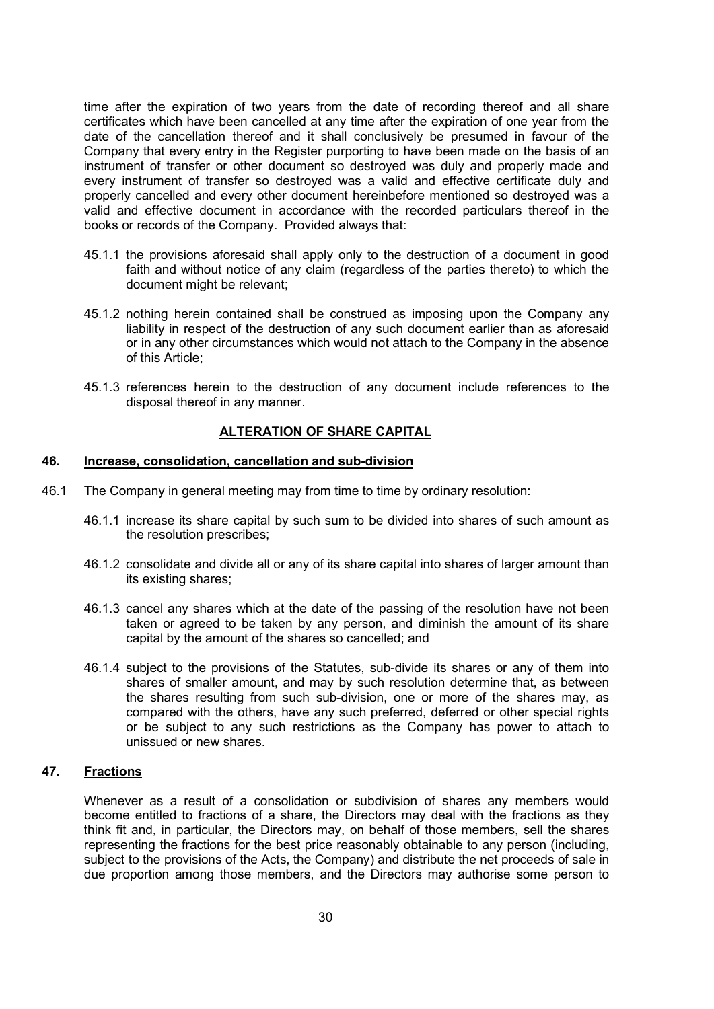time after the expiration of two years from the date of recording thereof and all share certificates which have been cancelled at any time after the expiration of one year from the date of the cancellation thereof and it shall conclusively be presumed in favour of the Company that every entry in the Register purporting to have been made on the basis of an instrument of transfer or other document so destroyed was duly and properly made and every instrument of transfer so destroyed was a valid and effective certificate duly and properly cancelled and every other document hereinbefore mentioned so destroyed was a valid and effective document in accordance with the recorded particulars thereof in the books or records of the Company. Provided always that:

- 45.1.1 the provisions aforesaid shall apply only to the destruction of a document in good faith and without notice of any claim (regardless of the parties thereto) to which the document might be relevant;
- 45.1.2 nothing herein contained shall be construed as imposing upon the Company any liability in respect of the destruction of any such document earlier than as aforesaid or in any other circumstances which would not attach to the Company in the absence of this Article;
- 45.1.3 references herein to the destruction of any document include references to the disposal thereof in any manner.

### ALTERATION OF SHARE CAPITAL

#### 46. Increase, consolidation, cancellation and sub-division

- 46.1 The Company in general meeting may from time to time by ordinary resolution:
	- 46.1.1 increase its share capital by such sum to be divided into shares of such amount as the resolution prescribes;
	- 46.1.2 consolidate and divide all or any of its share capital into shares of larger amount than its existing shares;
	- 46.1.3 cancel any shares which at the date of the passing of the resolution have not been taken or agreed to be taken by any person, and diminish the amount of its share capital by the amount of the shares so cancelled; and
	- 46.1.4 subject to the provisions of the Statutes, sub-divide its shares or any of them into shares of smaller amount, and may by such resolution determine that, as between the shares resulting from such sub-division, one or more of the shares may, as compared with the others, have any such preferred, deferred or other special rights or be subject to any such restrictions as the Company has power to attach to unissued or new shares.

## 47. Fractions

 Whenever as a result of a consolidation or subdivision of shares any members would become entitled to fractions of a share, the Directors may deal with the fractions as they think fit and, in particular, the Directors may, on behalf of those members, sell the shares representing the fractions for the best price reasonably obtainable to any person (including, subject to the provisions of the Acts, the Company) and distribute the net proceeds of sale in due proportion among those members, and the Directors may authorise some person to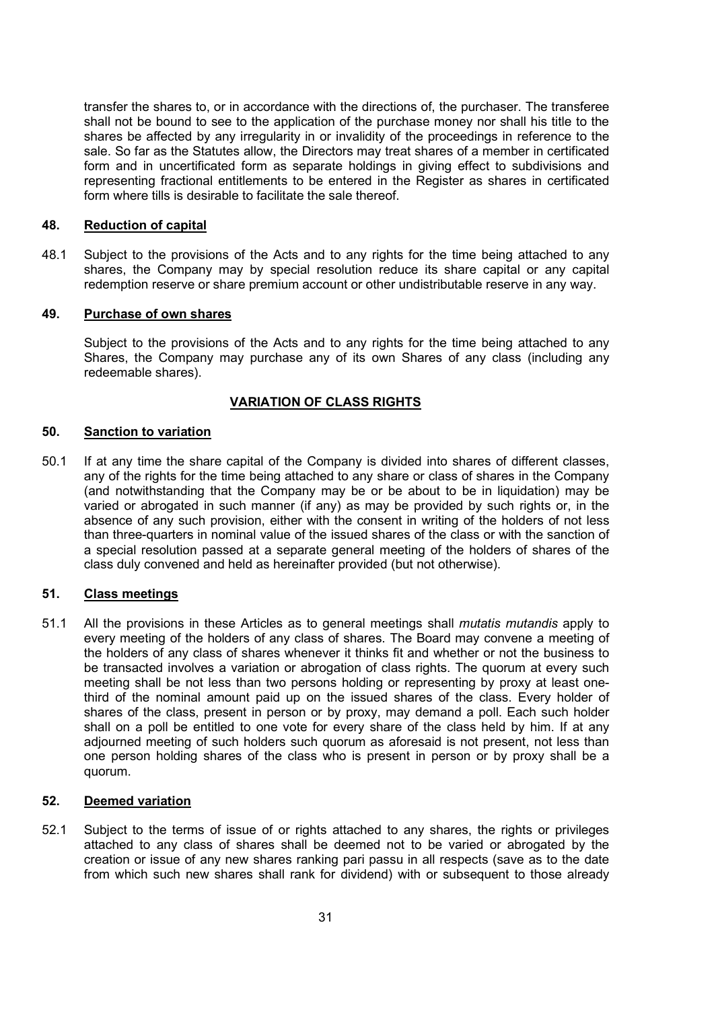transfer the shares to, or in accordance with the directions of, the purchaser. The transferee shall not be bound to see to the application of the purchase money nor shall his title to the shares be affected by any irregularity in or invalidity of the proceedings in reference to the sale. So far as the Statutes allow, the Directors may treat shares of a member in certificated form and in uncertificated form as separate holdings in giving effect to subdivisions and representing fractional entitlements to be entered in the Register as shares in certificated form where tills is desirable to facilitate the sale thereof.

#### 48. Reduction of capital

48.1 Subject to the provisions of the Acts and to any rights for the time being attached to any shares, the Company may by special resolution reduce its share capital or any capital redemption reserve or share premium account or other undistributable reserve in any way.

#### 49. Purchase of own shares

Subject to the provisions of the Acts and to any rights for the time being attached to any Shares, the Company may purchase any of its own Shares of any class (including any redeemable shares).

### VARIATION OF CLASS RIGHTS

#### 50. Sanction to variation

50.1 If at any time the share capital of the Company is divided into shares of different classes, any of the rights for the time being attached to any share or class of shares in the Company (and notwithstanding that the Company may be or be about to be in liquidation) may be varied or abrogated in such manner (if any) as may be provided by such rights or, in the absence of any such provision, either with the consent in writing of the holders of not less than three-quarters in nominal value of the issued shares of the class or with the sanction of a special resolution passed at a separate general meeting of the holders of shares of the class duly convened and held as hereinafter provided (but not otherwise).

### 51. Class meetings

51.1 All the provisions in these Articles as to general meetings shall *mutatis mutandis* apply to every meeting of the holders of any class of shares. The Board may convene a meeting of the holders of any class of shares whenever it thinks fit and whether or not the business to be transacted involves a variation or abrogation of class rights. The quorum at every such meeting shall be not less than two persons holding or representing by proxy at least onethird of the nominal amount paid up on the issued shares of the class. Every holder of shares of the class, present in person or by proxy, may demand a poll. Each such holder shall on a poll be entitled to one vote for every share of the class held by him. If at any adjourned meeting of such holders such quorum as aforesaid is not present, not less than one person holding shares of the class who is present in person or by proxy shall be a quorum.

#### 52. Deemed variation

52.1 Subject to the terms of issue of or rights attached to any shares, the rights or privileges attached to any class of shares shall be deemed not to be varied or abrogated by the creation or issue of any new shares ranking pari passu in all respects (save as to the date from which such new shares shall rank for dividend) with or subsequent to those already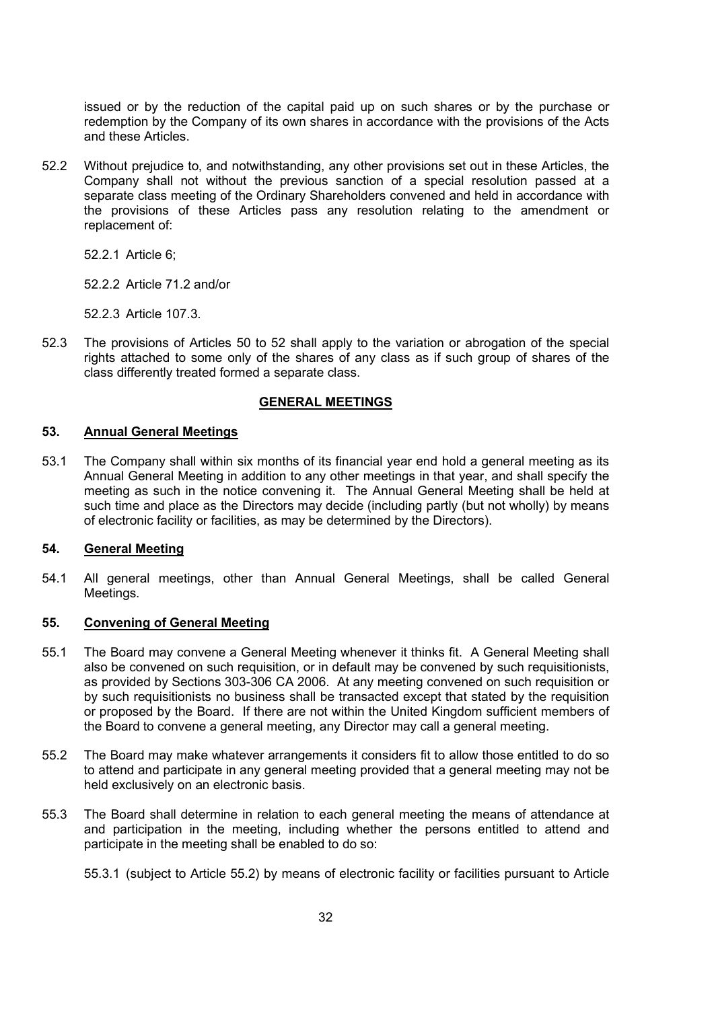issued or by the reduction of the capital paid up on such shares or by the purchase or redemption by the Company of its own shares in accordance with the provisions of the Acts and these Articles.

52.2 Without prejudice to, and notwithstanding, any other provisions set out in these Articles, the Company shall not without the previous sanction of a special resolution passed at a separate class meeting of the Ordinary Shareholders convened and held in accordance with the provisions of these Articles pass any resolution relating to the amendment or replacement of:

52.2.1 Article 6;

52.2.2 Article 71.2 and/or

52.2.3 Article 107.3.

52.3 The provisions of Articles 50 to 52 shall apply to the variation or abrogation of the special rights attached to some only of the shares of any class as if such group of shares of the class differently treated formed a separate class.

### GENERAL MEETINGS

#### 53. Annual General Meetings

53.1 The Company shall within six months of its financial year end hold a general meeting as its Annual General Meeting in addition to any other meetings in that year, and shall specify the meeting as such in the notice convening it. The Annual General Meeting shall be held at such time and place as the Directors may decide (including partly (but not wholly) by means of electronic facility or facilities, as may be determined by the Directors).

#### 54. General Meeting

54.1 All general meetings, other than Annual General Meetings, shall be called General Meetings.

#### 55. Convening of General Meeting

- 55.1 The Board may convene a General Meeting whenever it thinks fit. A General Meeting shall also be convened on such requisition, or in default may be convened by such requisitionists, as provided by Sections 303-306 CA 2006. At any meeting convened on such requisition or by such requisitionists no business shall be transacted except that stated by the requisition or proposed by the Board. If there are not within the United Kingdom sufficient members of the Board to convene a general meeting, any Director may call a general meeting.
- 55.2 The Board may make whatever arrangements it considers fit to allow those entitled to do so to attend and participate in any general meeting provided that a general meeting may not be held exclusively on an electronic basis.
- 55.3 The Board shall determine in relation to each general meeting the means of attendance at and participation in the meeting, including whether the persons entitled to attend and participate in the meeting shall be enabled to do so:

<sup>55.3.1 (</sup>subject to Article 55.2) by means of electronic facility or facilities pursuant to Article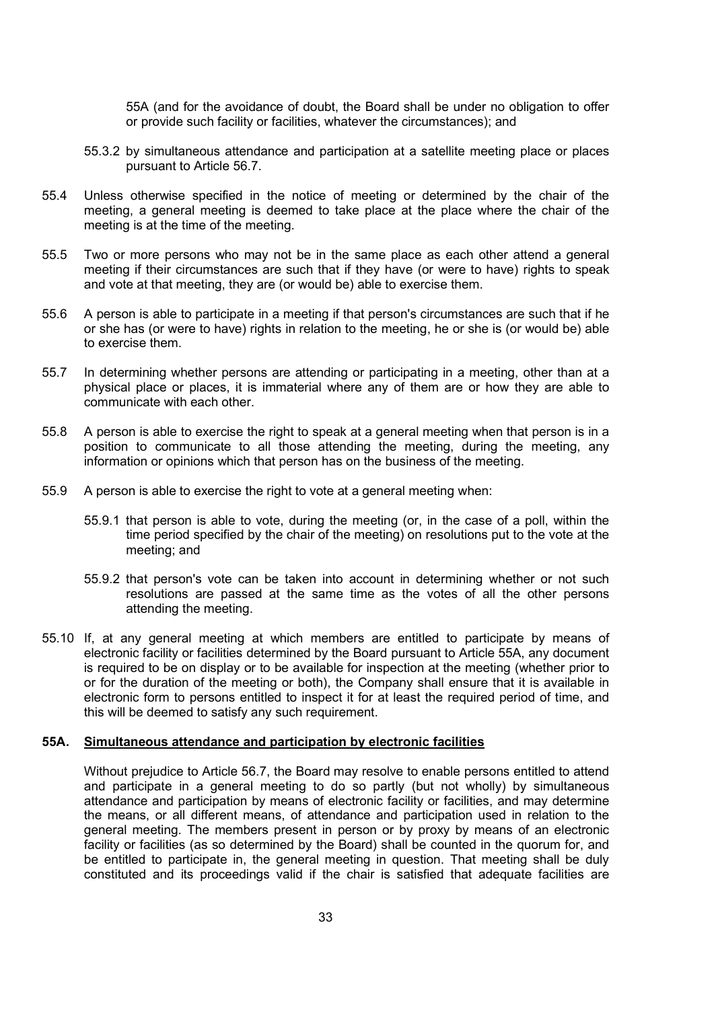55A (and for the avoidance of doubt, the Board shall be under no obligation to offer or provide such facility or facilities, whatever the circumstances); and

- 55.3.2 by simultaneous attendance and participation at a satellite meeting place or places pursuant to Article 56.7.
- 55.4 Unless otherwise specified in the notice of meeting or determined by the chair of the meeting, a general meeting is deemed to take place at the place where the chair of the meeting is at the time of the meeting.
- 55.5 Two or more persons who may not be in the same place as each other attend a general meeting if their circumstances are such that if they have (or were to have) rights to speak and vote at that meeting, they are (or would be) able to exercise them.
- 55.6 A person is able to participate in a meeting if that person's circumstances are such that if he or she has (or were to have) rights in relation to the meeting, he or she is (or would be) able to exercise them.
- 55.7 In determining whether persons are attending or participating in a meeting, other than at a physical place or places, it is immaterial where any of them are or how they are able to communicate with each other.
- 55.8 A person is able to exercise the right to speak at a general meeting when that person is in a position to communicate to all those attending the meeting, during the meeting, any information or opinions which that person has on the business of the meeting.
- 55.9 A person is able to exercise the right to vote at a general meeting when:
	- 55.9.1 that person is able to vote, during the meeting (or, in the case of a poll, within the time period specified by the chair of the meeting) on resolutions put to the vote at the meeting; and
	- 55.9.2 that person's vote can be taken into account in determining whether or not such resolutions are passed at the same time as the votes of all the other persons attending the meeting.
- 55.10 If, at any general meeting at which members are entitled to participate by means of electronic facility or facilities determined by the Board pursuant to Article 55A, any document is required to be on display or to be available for inspection at the meeting (whether prior to or for the duration of the meeting or both), the Company shall ensure that it is available in electronic form to persons entitled to inspect it for at least the required period of time, and this will be deemed to satisfy any such requirement.

### 55A. Simultaneous attendance and participation by electronic facilities

Without prejudice to Article 56.7, the Board may resolve to enable persons entitled to attend and participate in a general meeting to do so partly (but not wholly) by simultaneous attendance and participation by means of electronic facility or facilities, and may determine the means, or all different means, of attendance and participation used in relation to the general meeting. The members present in person or by proxy by means of an electronic facility or facilities (as so determined by the Board) shall be counted in the quorum for, and be entitled to participate in, the general meeting in question. That meeting shall be duly constituted and its proceedings valid if the chair is satisfied that adequate facilities are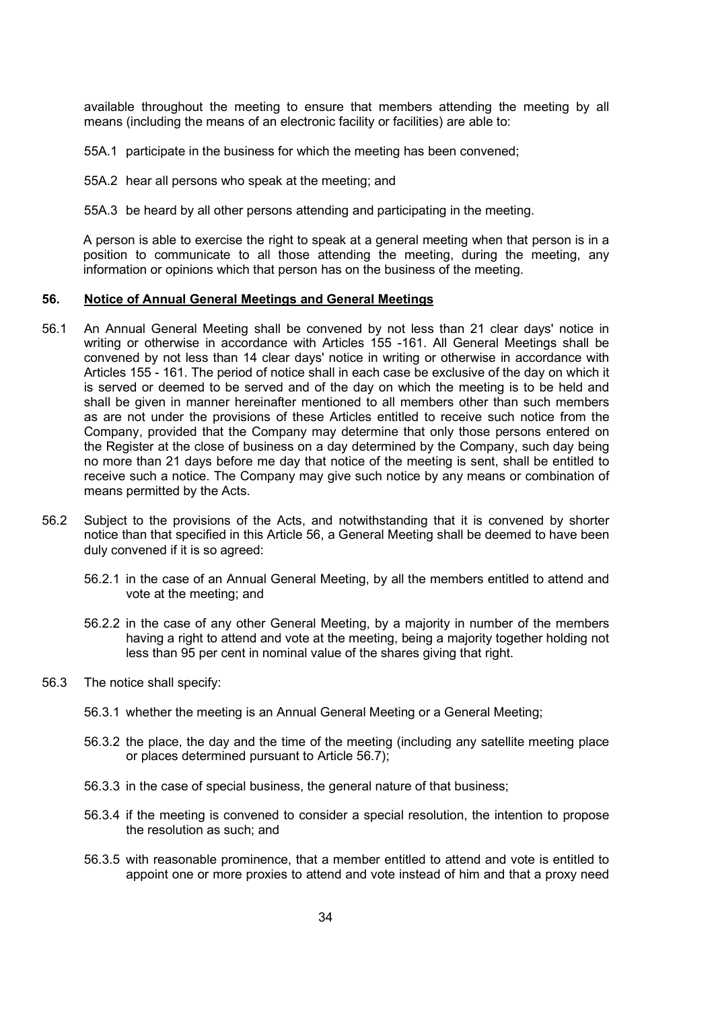available throughout the meeting to ensure that members attending the meeting by all means (including the means of an electronic facility or facilities) are able to:

55A.1 participate in the business for which the meeting has been convened;

55A.2 hear all persons who speak at the meeting; and

55A.3 be heard by all other persons attending and participating in the meeting.

A person is able to exercise the right to speak at a general meeting when that person is in a position to communicate to all those attending the meeting, during the meeting, any information or opinions which that person has on the business of the meeting.

#### 56. Notice of Annual General Meetings and General Meetings

- 56.1 An Annual General Meeting shall be convened by not less than 21 clear days' notice in writing or otherwise in accordance with Articles 155 -161. All General Meetings shall be convened by not less than 14 clear days' notice in writing or otherwise in accordance with Articles 155 - 161. The period of notice shall in each case be exclusive of the day on which it is served or deemed to be served and of the day on which the meeting is to be held and shall be given in manner hereinafter mentioned to all members other than such members as are not under the provisions of these Articles entitled to receive such notice from the Company, provided that the Company may determine that only those persons entered on the Register at the close of business on a day determined by the Company, such day being no more than 21 days before me day that notice of the meeting is sent, shall be entitled to receive such a notice. The Company may give such notice by any means or combination of means permitted by the Acts.
- 56.2 Subject to the provisions of the Acts, and notwithstanding that it is convened by shorter notice than that specified in this Article 56, a General Meeting shall be deemed to have been duly convened if it is so agreed:
	- 56.2.1 in the case of an Annual General Meeting, by all the members entitled to attend and vote at the meeting; and
	- 56.2.2 in the case of any other General Meeting, by a majority in number of the members having a right to attend and vote at the meeting, being a majority together holding not less than 95 per cent in nominal value of the shares giving that right.
- 56.3 The notice shall specify:
	- 56.3.1 whether the meeting is an Annual General Meeting or a General Meeting;
	- 56.3.2 the place, the day and the time of the meeting (including any satellite meeting place or places determined pursuant to Article 56.7);
	- 56.3.3 in the case of special business, the general nature of that business;
	- 56.3.4 if the meeting is convened to consider a special resolution, the intention to propose the resolution as such; and
	- 56.3.5 with reasonable prominence, that a member entitled to attend and vote is entitled to appoint one or more proxies to attend and vote instead of him and that a proxy need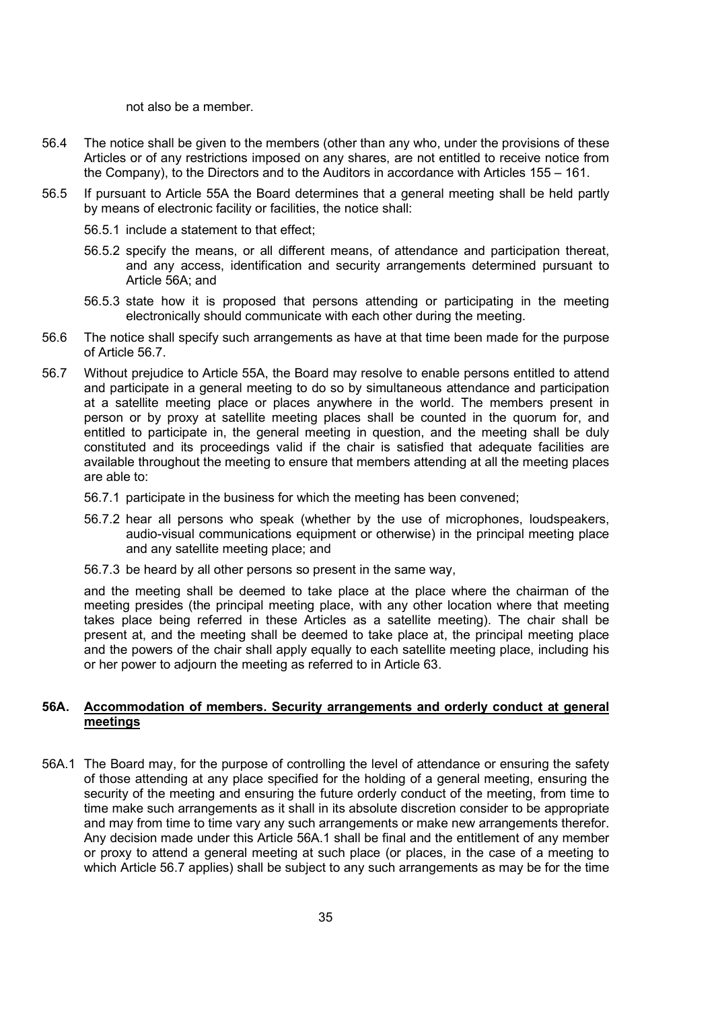not also be a member.

- 56.4 The notice shall be given to the members (other than any who, under the provisions of these Articles or of any restrictions imposed on any shares, are not entitled to receive notice from the Company), to the Directors and to the Auditors in accordance with Articles 155 – 161.
- 56.5 If pursuant to Article 55A the Board determines that a general meeting shall be held partly by means of electronic facility or facilities, the notice shall:
	- 56.5.1 include a statement to that effect;
	- 56.5.2 specify the means, or all different means, of attendance and participation thereat, and any access, identification and security arrangements determined pursuant to Article 56A; and
	- 56.5.3 state how it is proposed that persons attending or participating in the meeting electronically should communicate with each other during the meeting.
- 56.6 The notice shall specify such arrangements as have at that time been made for the purpose of Article 56.7.
- 56.7 Without prejudice to Article 55A, the Board may resolve to enable persons entitled to attend and participate in a general meeting to do so by simultaneous attendance and participation at a satellite meeting place or places anywhere in the world. The members present in person or by proxy at satellite meeting places shall be counted in the quorum for, and entitled to participate in, the general meeting in question, and the meeting shall be duly constituted and its proceedings valid if the chair is satisfied that adequate facilities are available throughout the meeting to ensure that members attending at all the meeting places are able to:
	- 56.7.1 participate in the business for which the meeting has been convened;
	- 56.7.2 hear all persons who speak (whether by the use of microphones, loudspeakers, audio-visual communications equipment or otherwise) in the principal meeting place and any satellite meeting place; and
	- 56.7.3 be heard by all other persons so present in the same way,

and the meeting shall be deemed to take place at the place where the chairman of the meeting presides (the principal meeting place, with any other location where that meeting takes place being referred in these Articles as a satellite meeting). The chair shall be present at, and the meeting shall be deemed to take place at, the principal meeting place and the powers of the chair shall apply equally to each satellite meeting place, including his or her power to adjourn the meeting as referred to in Article 63.

## 56A. Accommodation of members. Security arrangements and orderly conduct at general meetings

56A.1 The Board may, for the purpose of controlling the level of attendance or ensuring the safety of those attending at any place specified for the holding of a general meeting, ensuring the security of the meeting and ensuring the future orderly conduct of the meeting, from time to time make such arrangements as it shall in its absolute discretion consider to be appropriate and may from time to time vary any such arrangements or make new arrangements therefor. Any decision made under this Article 56A.1 shall be final and the entitlement of any member or proxy to attend a general meeting at such place (or places, in the case of a meeting to which Article 56.7 applies) shall be subject to any such arrangements as may be for the time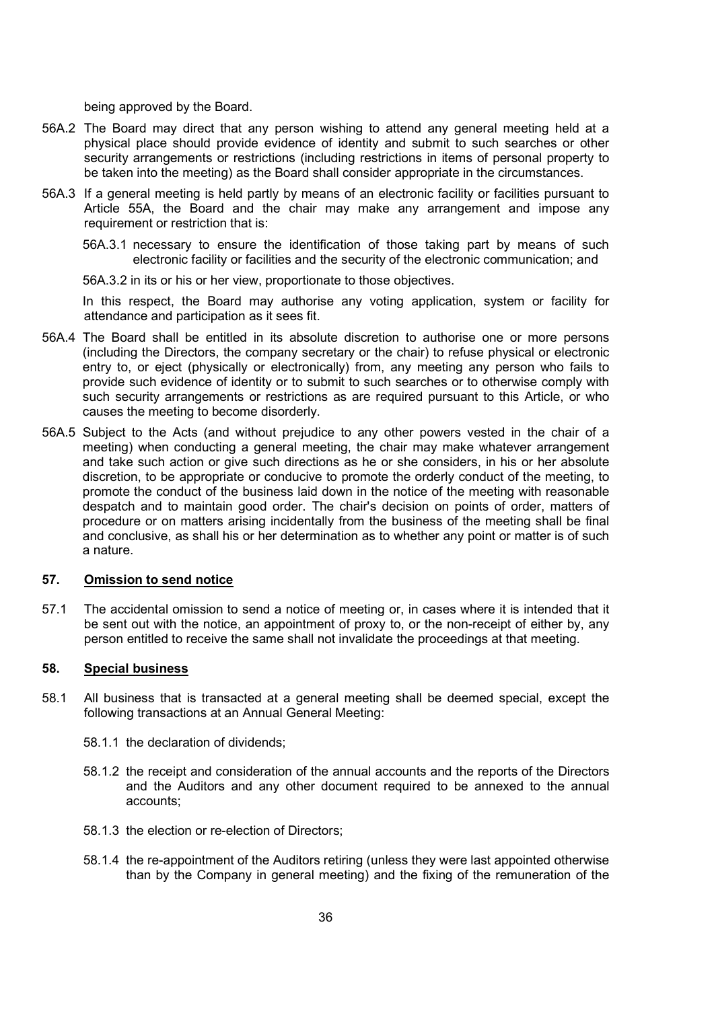being approved by the Board.

- 56A.2 The Board may direct that any person wishing to attend any general meeting held at a physical place should provide evidence of identity and submit to such searches or other security arrangements or restrictions (including restrictions in items of personal property to be taken into the meeting) as the Board shall consider appropriate in the circumstances.
- 56A.3 If a general meeting is held partly by means of an electronic facility or facilities pursuant to Article 55A, the Board and the chair may make any arrangement and impose any requirement or restriction that is:
	- 56A.3.1 necessary to ensure the identification of those taking part by means of such electronic facility or facilities and the security of the electronic communication; and
	- 56A.3.2 in its or his or her view, proportionate to those objectives.

In this respect, the Board may authorise any voting application, system or facility for attendance and participation as it sees fit.

- 56A.4 The Board shall be entitled in its absolute discretion to authorise one or more persons (including the Directors, the company secretary or the chair) to refuse physical or electronic entry to, or eject (physically or electronically) from, any meeting any person who fails to provide such evidence of identity or to submit to such searches or to otherwise comply with such security arrangements or restrictions as are required pursuant to this Article, or who causes the meeting to become disorderly.
- 56A.5 Subject to the Acts (and without prejudice to any other powers vested in the chair of a meeting) when conducting a general meeting, the chair may make whatever arrangement and take such action or give such directions as he or she considers, in his or her absolute discretion, to be appropriate or conducive to promote the orderly conduct of the meeting, to promote the conduct of the business laid down in the notice of the meeting with reasonable despatch and to maintain good order. The chair's decision on points of order, matters of procedure or on matters arising incidentally from the business of the meeting shall be final and conclusive, as shall his or her determination as to whether any point or matter is of such a nature.

#### 57. Omission to send notice

57.1 The accidental omission to send a notice of meeting or, in cases where it is intended that it be sent out with the notice, an appointment of proxy to, or the non-receipt of either by, any person entitled to receive the same shall not invalidate the proceedings at that meeting.

#### 58. Special business

- 58.1 All business that is transacted at a general meeting shall be deemed special, except the following transactions at an Annual General Meeting:
	- 58.1.1 the declaration of dividends;
	- 58.1.2 the receipt and consideration of the annual accounts and the reports of the Directors and the Auditors and any other document required to be annexed to the annual accounts;
	- 58.1.3 the election or re-election of Directors;
	- 58.1.4 the re-appointment of the Auditors retiring (unless they were last appointed otherwise than by the Company in general meeting) and the fixing of the remuneration of the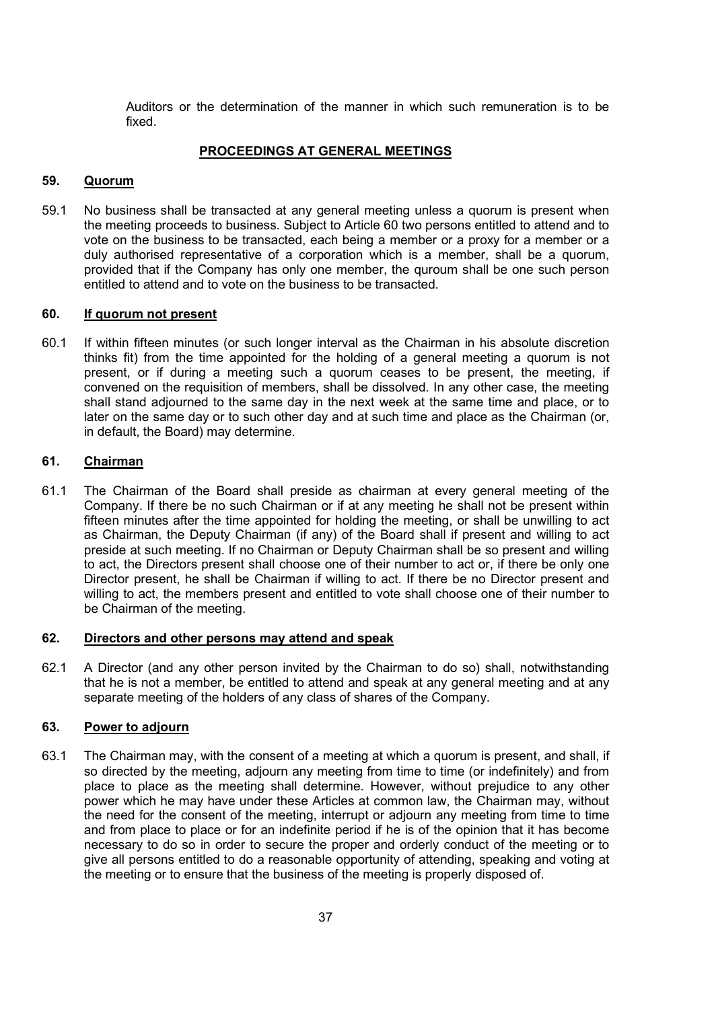Auditors or the determination of the manner in which such remuneration is to be fixed.

#### PROCEEDINGS AT GENERAL MEETINGS

#### 59. Quorum

59.1 No business shall be transacted at any general meeting unless a quorum is present when the meeting proceeds to business. Subject to Article 60 two persons entitled to attend and to vote on the business to be transacted, each being a member or a proxy for a member or a duly authorised representative of a corporation which is a member, shall be a quorum, provided that if the Company has only one member, the quroum shall be one such person entitled to attend and to vote on the business to be transacted.

#### 60. If quorum not present

60.1 If within fifteen minutes (or such longer interval as the Chairman in his absolute discretion thinks fit) from the time appointed for the holding of a general meeting a quorum is not present, or if during a meeting such a quorum ceases to be present, the meeting, if convened on the requisition of members, shall be dissolved. In any other case, the meeting shall stand adjourned to the same day in the next week at the same time and place, or to later on the same day or to such other day and at such time and place as the Chairman (or, in default, the Board) may determine.

#### 61. Chairman

61.1 The Chairman of the Board shall preside as chairman at every general meeting of the Company. If there be no such Chairman or if at any meeting he shall not be present within fifteen minutes after the time appointed for holding the meeting, or shall be unwilling to act as Chairman, the Deputy Chairman (if any) of the Board shall if present and willing to act preside at such meeting. If no Chairman or Deputy Chairman shall be so present and willing to act, the Directors present shall choose one of their number to act or, if there be only one Director present, he shall be Chairman if willing to act. If there be no Director present and willing to act, the members present and entitled to vote shall choose one of their number to be Chairman of the meeting.

#### 62. Directors and other persons may attend and speak

62.1 A Director (and any other person invited by the Chairman to do so) shall, notwithstanding that he is not a member, be entitled to attend and speak at any general meeting and at any separate meeting of the holders of any class of shares of the Company.

#### 63. Power to adjourn

63.1 The Chairman may, with the consent of a meeting at which a quorum is present, and shall, if so directed by the meeting, adjourn any meeting from time to time (or indefinitely) and from place to place as the meeting shall determine. However, without prejudice to any other power which he may have under these Articles at common law, the Chairman may, without the need for the consent of the meeting, interrupt or adjourn any meeting from time to time and from place to place or for an indefinite period if he is of the opinion that it has become necessary to do so in order to secure the proper and orderly conduct of the meeting or to give all persons entitled to do a reasonable opportunity of attending, speaking and voting at the meeting or to ensure that the business of the meeting is properly disposed of.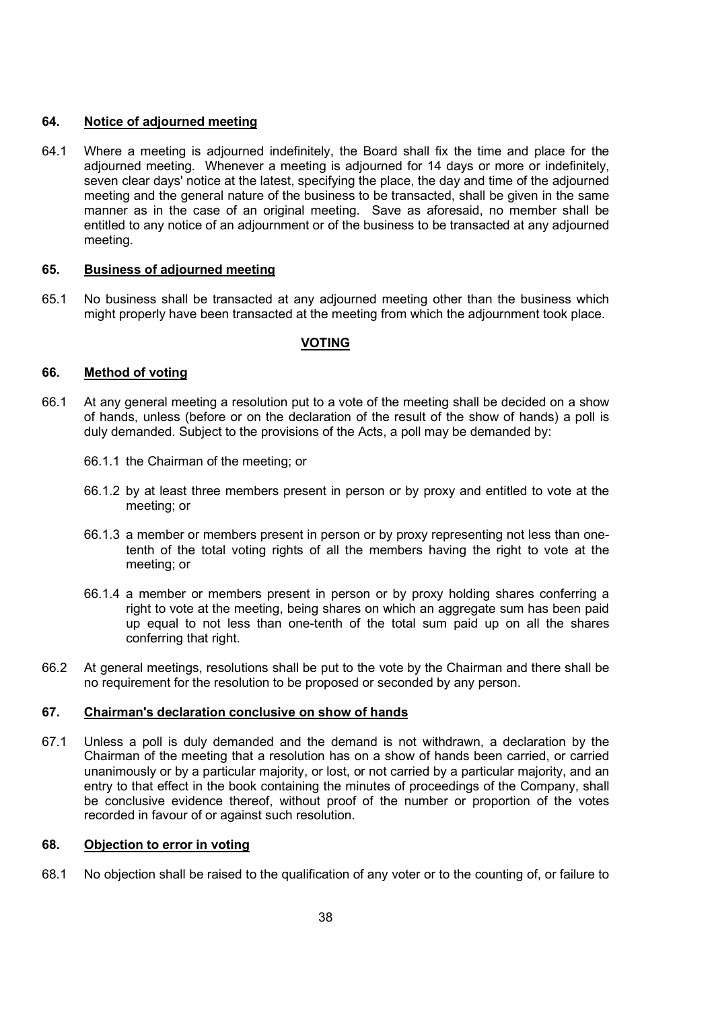# 64. Notice of adjourned meeting

64.1 Where a meeting is adjourned indefinitely, the Board shall fix the time and place for the adjourned meeting. Whenever a meeting is adjourned for 14 days or more or indefinitely, seven clear days' notice at the latest, specifying the place, the day and time of the adjourned meeting and the general nature of the business to be transacted, shall be given in the same manner as in the case of an original meeting. Save as aforesaid, no member shall be entitled to any notice of an adjournment or of the business to be transacted at any adjourned meeting.

## 65. Business of adjourned meeting

65.1 No business shall be transacted at any adjourned meeting other than the business which might properly have been transacted at the meeting from which the adjournment took place.

# VOTING

## 66. Method of voting

- 66.1 At any general meeting a resolution put to a vote of the meeting shall be decided on a show of hands, unless (before or on the declaration of the result of the show of hands) a poll is duly demanded. Subject to the provisions of the Acts, a poll may be demanded by:
	- 66.1.1 the Chairman of the meeting; or
	- 66.1.2 by at least three members present in person or by proxy and entitled to vote at the meeting; or
	- 66.1.3 a member or members present in person or by proxy representing not less than onetenth of the total voting rights of all the members having the right to vote at the meeting; or
	- 66.1.4 a member or members present in person or by proxy holding shares conferring a right to vote at the meeting, being shares on which an aggregate sum has been paid up equal to not less than one-tenth of the total sum paid up on all the shares conferring that right.
- 66.2 At general meetings, resolutions shall be put to the vote by the Chairman and there shall be no requirement for the resolution to be proposed or seconded by any person.

## 67. Chairman's declaration conclusive on show of hands

67.1 Unless a poll is duly demanded and the demand is not withdrawn, a declaration by the Chairman of the meeting that a resolution has on a show of hands been carried, or carried unanimously or by a particular majority, or lost, or not carried by a particular majority, and an entry to that effect in the book containing the minutes of proceedings of the Company, shall be conclusive evidence thereof, without proof of the number or proportion of the votes recorded in favour of or against such resolution.

## 68. Objection to error in voting

68.1 No objection shall be raised to the qualification of any voter or to the counting of, or failure to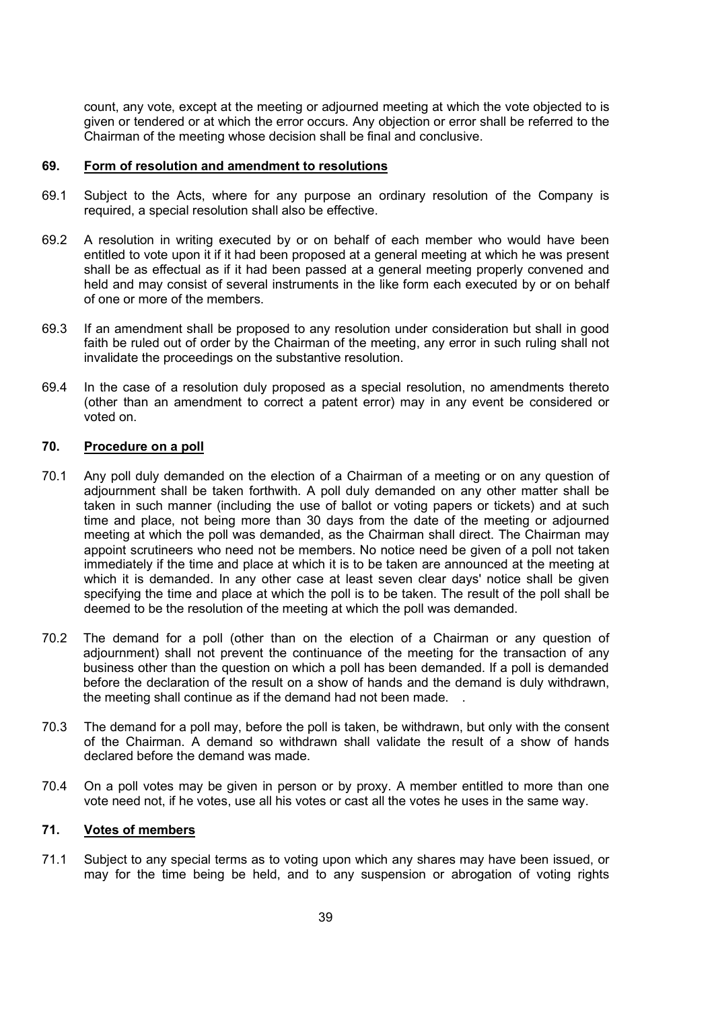count, any vote, except at the meeting or adjourned meeting at which the vote objected to is given or tendered or at which the error occurs. Any objection or error shall be referred to the Chairman of the meeting whose decision shall be final and conclusive.

#### 69. Form of resolution and amendment to resolutions

- 69.1 Subject to the Acts, where for any purpose an ordinary resolution of the Company is required, a special resolution shall also be effective.
- 69.2 A resolution in writing executed by or on behalf of each member who would have been entitled to vote upon it if it had been proposed at a general meeting at which he was present shall be as effectual as if it had been passed at a general meeting properly convened and held and may consist of several instruments in the like form each executed by or on behalf of one or more of the members.
- 69.3 If an amendment shall be proposed to any resolution under consideration but shall in good faith be ruled out of order by the Chairman of the meeting, any error in such ruling shall not invalidate the proceedings on the substantive resolution.
- 69.4 In the case of a resolution duly proposed as a special resolution, no amendments thereto (other than an amendment to correct a patent error) may in any event be considered or voted on.

### 70. Procedure on a poll

- 70.1 Any poll duly demanded on the election of a Chairman of a meeting or on any question of adjournment shall be taken forthwith. A poll duly demanded on any other matter shall be taken in such manner (including the use of ballot or voting papers or tickets) and at such time and place, not being more than 30 days from the date of the meeting or adjourned meeting at which the poll was demanded, as the Chairman shall direct. The Chairman may appoint scrutineers who need not be members. No notice need be given of a poll not taken immediately if the time and place at which it is to be taken are announced at the meeting at which it is demanded. In any other case at least seven clear days' notice shall be given specifying the time and place at which the poll is to be taken. The result of the poll shall be deemed to be the resolution of the meeting at which the poll was demanded.
- 70.2 The demand for a poll (other than on the election of a Chairman or any question of adjournment) shall not prevent the continuance of the meeting for the transaction of any business other than the question on which a poll has been demanded. If a poll is demanded before the declaration of the result on a show of hands and the demand is duly withdrawn, the meeting shall continue as if the demand had not been made. .
- 70.3 The demand for a poll may, before the poll is taken, be withdrawn, but only with the consent of the Chairman. A demand so withdrawn shall validate the result of a show of hands declared before the demand was made.
- 70.4 On a poll votes may be given in person or by proxy. A member entitled to more than one vote need not, if he votes, use all his votes or cast all the votes he uses in the same way.

### 71. Votes of members

71.1 Subject to any special terms as to voting upon which any shares may have been issued, or may for the time being be held, and to any suspension or abrogation of voting rights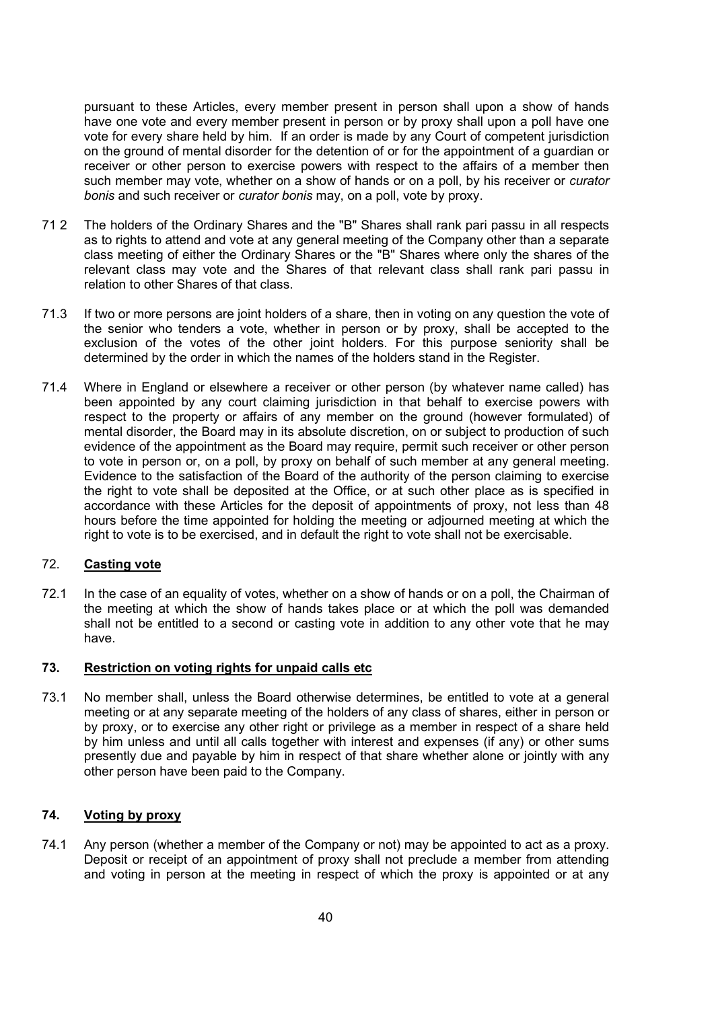pursuant to these Articles, every member present in person shall upon a show of hands have one vote and every member present in person or by proxy shall upon a poll have one vote for every share held by him. If an order is made by any Court of competent jurisdiction on the ground of mental disorder for the detention of or for the appointment of a guardian or receiver or other person to exercise powers with respect to the affairs of a member then such member may vote, whether on a show of hands or on a poll, by his receiver or *curator* bonis and such receiver or curator bonis may, on a poll, vote by proxy.

- 71 2 The holders of the Ordinary Shares and the "B" Shares shall rank pari passu in all respects as to rights to attend and vote at any general meeting of the Company other than a separate class meeting of either the Ordinary Shares or the "B" Shares where only the shares of the relevant class may vote and the Shares of that relevant class shall rank pari passu in relation to other Shares of that class.
- 71.3 If two or more persons are joint holders of a share, then in voting on any question the vote of the senior who tenders a vote, whether in person or by proxy, shall be accepted to the exclusion of the votes of the other joint holders. For this purpose seniority shall be determined by the order in which the names of the holders stand in the Register.
- 71.4 Where in England or elsewhere a receiver or other person (by whatever name called) has been appointed by any court claiming jurisdiction in that behalf to exercise powers with respect to the property or affairs of any member on the ground (however formulated) of mental disorder, the Board may in its absolute discretion, on or subject to production of such evidence of the appointment as the Board may require, permit such receiver or other person to vote in person or, on a poll, by proxy on behalf of such member at any general meeting. Evidence to the satisfaction of the Board of the authority of the person claiming to exercise the right to vote shall be deposited at the Office, or at such other place as is specified in accordance with these Articles for the deposit of appointments of proxy, not less than 48 hours before the time appointed for holding the meeting or adjourned meeting at which the right to vote is to be exercised, and in default the right to vote shall not be exercisable.

# 72. Casting vote

72.1 In the case of an equality of votes, whether on a show of hands or on a poll, the Chairman of the meeting at which the show of hands takes place or at which the poll was demanded shall not be entitled to a second or casting vote in addition to any other vote that he may have.

## 73. Restriction on voting rights for unpaid calls etc

73.1 No member shall, unless the Board otherwise determines, be entitled to vote at a general meeting or at any separate meeting of the holders of any class of shares, either in person or by proxy, or to exercise any other right or privilege as a member in respect of a share held by him unless and until all calls together with interest and expenses (if any) or other sums presently due and payable by him in respect of that share whether alone or jointly with any other person have been paid to the Company.

### 74. Voting by proxy

74.1 Any person (whether a member of the Company or not) may be appointed to act as a proxy. Deposit or receipt of an appointment of proxy shall not preclude a member from attending and voting in person at the meeting in respect of which the proxy is appointed or at any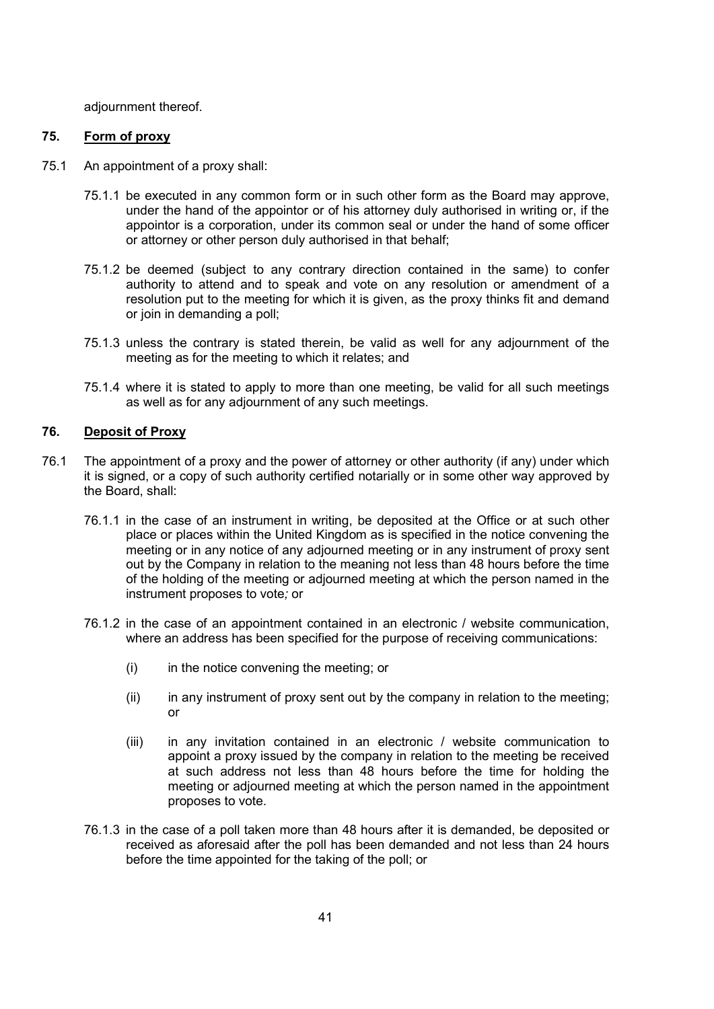adjournment thereof.

### 75. Form of proxy

- 75.1 An appointment of a proxy shall:
	- 75.1.1 be executed in any common form or in such other form as the Board may approve, under the hand of the appointor or of his attorney duly authorised in writing or, if the appointor is a corporation, under its common seal or under the hand of some officer or attorney or other person duly authorised in that behalf;
	- 75.1.2 be deemed (subject to any contrary direction contained in the same) to confer authority to attend and to speak and vote on any resolution or amendment of a resolution put to the meeting for which it is given, as the proxy thinks fit and demand or join in demanding a poll;
	- 75.1.3 unless the contrary is stated therein, be valid as well for any adjournment of the meeting as for the meeting to which it relates; and
	- 75.1.4 where it is stated to apply to more than one meeting, be valid for all such meetings as well as for any adjournment of any such meetings.

## 76. Deposit of Proxy

- 76.1 The appointment of a proxy and the power of attorney or other authority (if any) under which it is signed, or a copy of such authority certified notarially or in some other way approved by the Board, shall:
	- 76.1.1 in the case of an instrument in writing, be deposited at the Office or at such other place or places within the United Kingdom as is specified in the notice convening the meeting or in any notice of any adjourned meeting or in any instrument of proxy sent out by the Company in relation to the meaning not less than 48 hours before the time of the holding of the meeting or adjourned meeting at which the person named in the instrument proposes to vote; or
	- 76.1.2 in the case of an appointment contained in an electronic / website communication, where an address has been specified for the purpose of receiving communications:
		- (i) in the notice convening the meeting; or
		- (ii) in any instrument of proxy sent out by the company in relation to the meeting; or
		- (iii) in any invitation contained in an electronic / website communication to appoint a proxy issued by the company in relation to the meeting be received at such address not less than 48 hours before the time for holding the meeting or adjourned meeting at which the person named in the appointment proposes to vote.
	- 76.1.3 in the case of a poll taken more than 48 hours after it is demanded, be deposited or received as aforesaid after the poll has been demanded and not less than 24 hours before the time appointed for the taking of the poll; or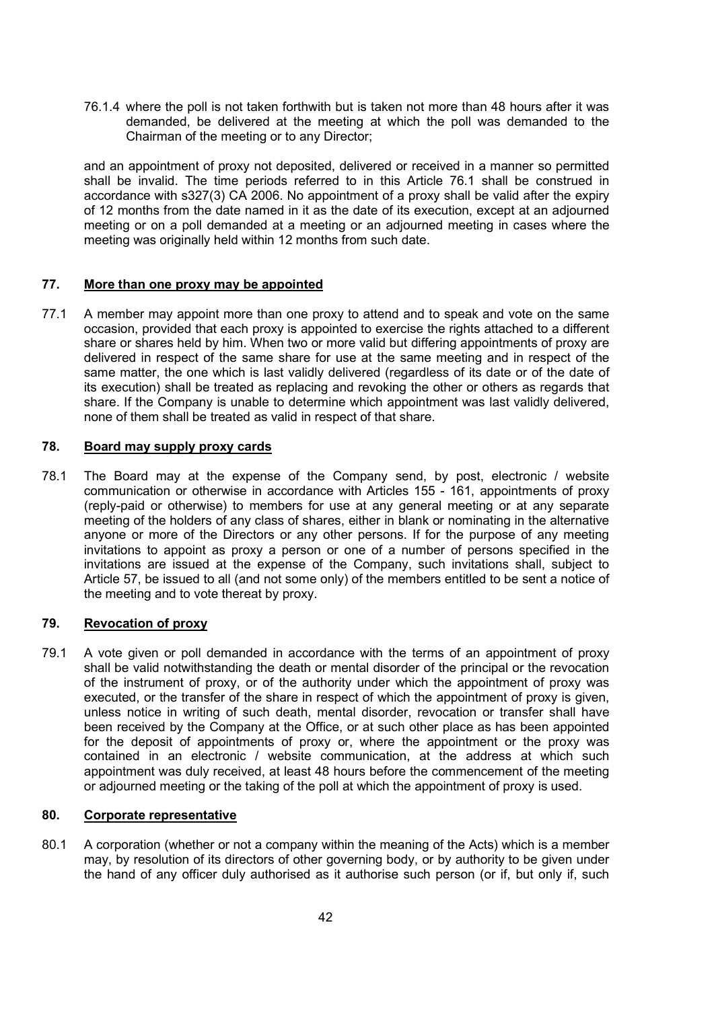76.1.4 where the poll is not taken forthwith but is taken not more than 48 hours after it was demanded, be delivered at the meeting at which the poll was demanded to the Chairman of the meeting or to any Director;

and an appointment of proxy not deposited, delivered or received in a manner so permitted shall be invalid. The time periods referred to in this Article 76.1 shall be construed in accordance with s327(3) CA 2006. No appointment of a proxy shall be valid after the expiry of 12 months from the date named in it as the date of its execution, except at an adjourned meeting or on a poll demanded at a meeting or an adjourned meeting in cases where the meeting was originally held within 12 months from such date.

## 77. More than one proxy may be appointed

77.1 A member may appoint more than one proxy to attend and to speak and vote on the same occasion, provided that each proxy is appointed to exercise the rights attached to a different share or shares held by him. When two or more valid but differing appointments of proxy are delivered in respect of the same share for use at the same meeting and in respect of the same matter, the one which is last validly delivered (regardless of its date or of the date of its execution) shall be treated as replacing and revoking the other or others as regards that share. If the Company is unable to determine which appointment was last validly delivered, none of them shall be treated as valid in respect of that share.

### 78. Board may supply proxy cards

78.1 The Board may at the expense of the Company send, by post, electronic / website communication or otherwise in accordance with Articles 155 - 161, appointments of proxy (reply-paid or otherwise) to members for use at any general meeting or at any separate meeting of the holders of any class of shares, either in blank or nominating in the alternative anyone or more of the Directors or any other persons. If for the purpose of any meeting invitations to appoint as proxy a person or one of a number of persons specified in the invitations are issued at the expense of the Company, such invitations shall, subject to Article 57, be issued to all (and not some only) of the members entitled to be sent a notice of the meeting and to vote thereat by proxy.

### 79. Revocation of proxy

79.1 A vote given or poll demanded in accordance with the terms of an appointment of proxy shall be valid notwithstanding the death or mental disorder of the principal or the revocation of the instrument of proxy, or of the authority under which the appointment of proxy was executed, or the transfer of the share in respect of which the appointment of proxy is given, unless notice in writing of such death, mental disorder, revocation or transfer shall have been received by the Company at the Office, or at such other place as has been appointed for the deposit of appointments of proxy or, where the appointment or the proxy was contained in an electronic / website communication, at the address at which such appointment was duly received, at least 48 hours before the commencement of the meeting or adjourned meeting or the taking of the poll at which the appointment of proxy is used.

### 80. Corporate representative

80.1 A corporation (whether or not a company within the meaning of the Acts) which is a member may, by resolution of its directors of other governing body, or by authority to be given under the hand of any officer duly authorised as it authorise such person (or if, but only if, such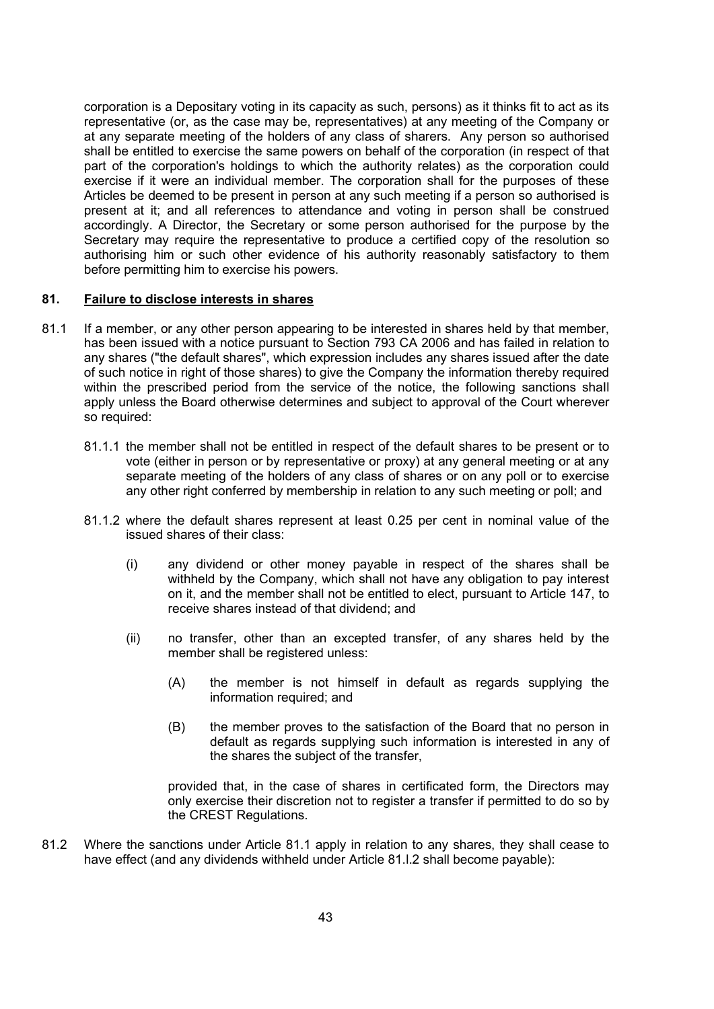corporation is a Depositary voting in its capacity as such, persons) as it thinks fit to act as its representative (or, as the case may be, representatives) at any meeting of the Company or at any separate meeting of the holders of any class of sharers. Any person so authorised shall be entitled to exercise the same powers on behalf of the corporation (in respect of that part of the corporation's holdings to which the authority relates) as the corporation could exercise if it were an individual member. The corporation shall for the purposes of these Articles be deemed to be present in person at any such meeting if a person so authorised is present at it; and all references to attendance and voting in person shall be construed accordingly. A Director, the Secretary or some person authorised for the purpose by the Secretary may require the representative to produce a certified copy of the resolution so authorising him or such other evidence of his authority reasonably satisfactory to them before permitting him to exercise his powers.

### 81. Failure to disclose interests in shares

- 81.1 If a member, or any other person appearing to be interested in shares held by that member, has been issued with a notice pursuant to Section 793 CA 2006 and has failed in relation to any shares ("the default shares", which expression includes any shares issued after the date of such notice in right of those shares) to give the Company the information thereby required within the prescribed period from the service of the notice, the following sanctions shall apply unless the Board otherwise determines and subject to approval of the Court wherever so required:
	- 81.1.1 the member shall not be entitled in respect of the default shares to be present or to vote (either in person or by representative or proxy) at any general meeting or at any separate meeting of the holders of any class of shares or on any poll or to exercise any other right conferred by membership in relation to any such meeting or poll; and
	- 81.1.2 where the default shares represent at least 0.25 per cent in nominal value of the issued shares of their class:
		- (i) any dividend or other money payable in respect of the shares shall be withheld by the Company, which shall not have any obligation to pay interest on it, and the member shall not be entitled to elect, pursuant to Article 147, to receive shares instead of that dividend; and
		- (ii) no transfer, other than an excepted transfer, of any shares held by the member shall be registered unless:
			- (A) the member is not himself in default as regards supplying the information required; and
			- (B) the member proves to the satisfaction of the Board that no person in default as regards supplying such information is interested in any of the shares the subject of the transfer,

provided that, in the case of shares in certificated form, the Directors may only exercise their discretion not to register a transfer if permitted to do so by the CREST Regulations.

81.2 Where the sanctions under Article 81.1 apply in relation to any shares, they shall cease to have effect (and any dividends withheld under Article 81.l.2 shall become payable):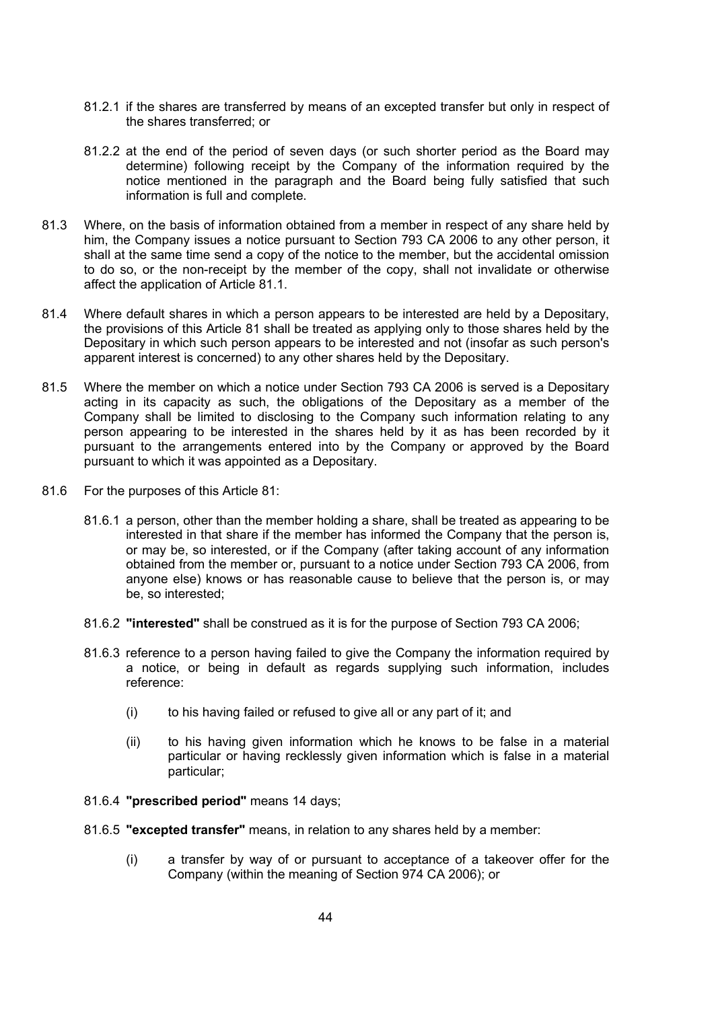- 81.2.1 if the shares are transferred by means of an excepted transfer but only in respect of the shares transferred; or
- 81.2.2 at the end of the period of seven days (or such shorter period as the Board may determine) following receipt by the Company of the information required by the notice mentioned in the paragraph and the Board being fully satisfied that such information is full and complete.
- 81.3 Where, on the basis of information obtained from a member in respect of any share held by him, the Company issues a notice pursuant to Section 793 CA 2006 to any other person, it shall at the same time send a copy of the notice to the member, but the accidental omission to do so, or the non-receipt by the member of the copy, shall not invalidate or otherwise affect the application of Article 81.1.
- 81.4 Where default shares in which a person appears to be interested are held by a Depositary, the provisions of this Article 81 shall be treated as applying only to those shares held by the Depositary in which such person appears to be interested and not (insofar as such person's apparent interest is concerned) to any other shares held by the Depositary.
- 81.5 Where the member on which a notice under Section 793 CA 2006 is served is a Depositary acting in its capacity as such, the obligations of the Depositary as a member of the Company shall be limited to disclosing to the Company such information relating to any person appearing to be interested in the shares held by it as has been recorded by it pursuant to the arrangements entered into by the Company or approved by the Board pursuant to which it was appointed as a Depositary.
- 81.6 For the purposes of this Article 81:
	- 81.6.1 a person, other than the member holding a share, shall be treated as appearing to be interested in that share if the member has informed the Company that the person is, or may be, so interested, or if the Company (after taking account of any information obtained from the member or, pursuant to a notice under Section 793 CA 2006, from anyone else) knows or has reasonable cause to believe that the person is, or may be, so interested;
	- 81.6.2 "interested" shall be construed as it is for the purpose of Section 793 CA 2006;
	- 81.6.3 reference to a person having failed to give the Company the information required by a notice, or being in default as regards supplying such information, includes reference:
		- (i) to his having failed or refused to give all or any part of it; and
		- (ii) to his having given information which he knows to be false in a material particular or having recklessly given information which is false in a material particular;
	- 81.6.4 "prescribed period" means 14 days;
	- 81.6.5 "excepted transfer" means, in relation to any shares held by a member:
		- (i) a transfer by way of or pursuant to acceptance of a takeover offer for the Company (within the meaning of Section 974 CA 2006); or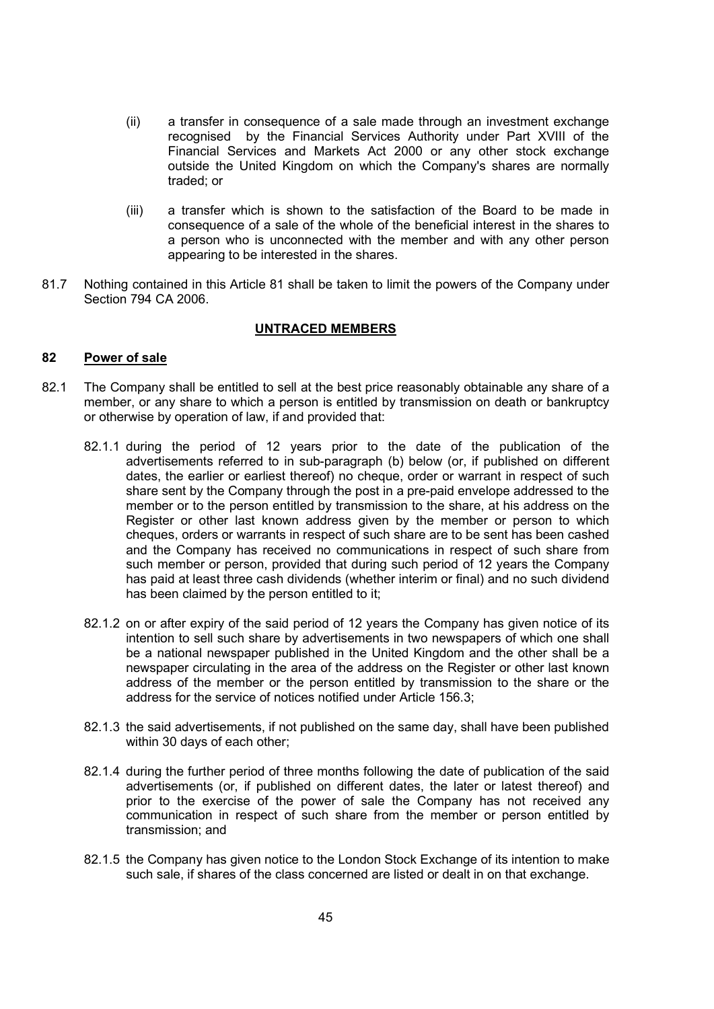- (ii) a transfer in consequence of a sale made through an investment exchange recognised by the Financial Services Authority under Part XVIII of the Financial Services and Markets Act 2000 or any other stock exchange outside the United Kingdom on which the Company's shares are normally traded; or
- (iii) a transfer which is shown to the satisfaction of the Board to be made in consequence of a sale of the whole of the beneficial interest in the shares to a person who is unconnected with the member and with any other person appearing to be interested in the shares.
- 81.7 Nothing contained in this Article 81 shall be taken to limit the powers of the Company under Section 794 CA 2006.

### UNTRACED MEMBERS

### 82 Power of sale

- 82.1 The Company shall be entitled to sell at the best price reasonably obtainable any share of a member, or any share to which a person is entitled by transmission on death or bankruptcy or otherwise by operation of law, if and provided that:
	- 82.1.1 during the period of 12 years prior to the date of the publication of the advertisements referred to in sub-paragraph (b) below (or, if published on different dates, the earlier or earliest thereof) no cheque, order or warrant in respect of such share sent by the Company through the post in a pre-paid envelope addressed to the member or to the person entitled by transmission to the share, at his address on the Register or other last known address given by the member or person to which cheques, orders or warrants in respect of such share are to be sent has been cashed and the Company has received no communications in respect of such share from such member or person, provided that during such period of 12 years the Company has paid at least three cash dividends (whether interim or final) and no such dividend has been claimed by the person entitled to it;
	- 82.1.2 on or after expiry of the said period of 12 years the Company has given notice of its intention to sell such share by advertisements in two newspapers of which one shall be a national newspaper published in the United Kingdom and the other shall be a newspaper circulating in the area of the address on the Register or other last known address of the member or the person entitled by transmission to the share or the address for the service of notices notified under Article 156.3;
	- 82.1.3 the said advertisements, if not published on the same day, shall have been published within 30 days of each other;
	- 82.1.4 during the further period of three months following the date of publication of the said advertisements (or, if published on different dates, the later or latest thereof) and prior to the exercise of the power of sale the Company has not received any communication in respect of such share from the member or person entitled by transmission; and
	- 82.1.5 the Company has given notice to the London Stock Exchange of its intention to make such sale, if shares of the class concerned are listed or dealt in on that exchange.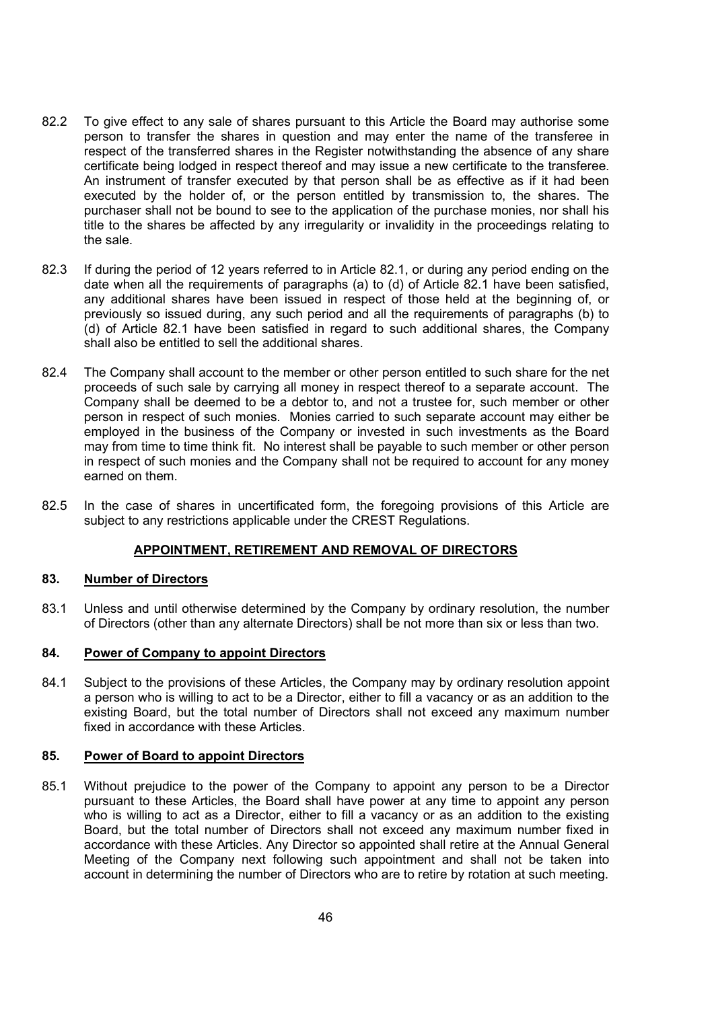- 82.2 To give effect to any sale of shares pursuant to this Article the Board may authorise some person to transfer the shares in question and may enter the name of the transferee in respect of the transferred shares in the Register notwithstanding the absence of any share certificate being lodged in respect thereof and may issue a new certificate to the transferee. An instrument of transfer executed by that person shall be as effective as if it had been executed by the holder of, or the person entitled by transmission to, the shares. The purchaser shall not be bound to see to the application of the purchase monies, nor shall his title to the shares be affected by any irregularity or invalidity in the proceedings relating to the sale.
- 82.3 If during the period of 12 years referred to in Article 82.1, or during any period ending on the date when all the requirements of paragraphs (a) to (d) of Article 82.1 have been satisfied, any additional shares have been issued in respect of those held at the beginning of, or previously so issued during, any such period and all the requirements of paragraphs (b) to (d) of Article 82.1 have been satisfied in regard to such additional shares, the Company shall also be entitled to sell the additional shares.
- 82.4 The Company shall account to the member or other person entitled to such share for the net proceeds of such sale by carrying all money in respect thereof to a separate account. The Company shall be deemed to be a debtor to, and not a trustee for, such member or other person in respect of such monies. Monies carried to such separate account may either be employed in the business of the Company or invested in such investments as the Board may from time to time think fit. No interest shall be payable to such member or other person in respect of such monies and the Company shall not be required to account for any money earned on them.
- 82.5 In the case of shares in uncertificated form, the foregoing provisions of this Article are subject to any restrictions applicable under the CREST Regulations.

### APPOINTMENT, RETIREMENT AND REMOVAL OF DIRECTORS

### 83. Number of Directors

83.1 Unless and until otherwise determined by the Company by ordinary resolution, the number of Directors (other than any alternate Directors) shall be not more than six or less than two.

#### 84. Power of Company to appoint Directors

84.1 Subject to the provisions of these Articles, the Company may by ordinary resolution appoint a person who is willing to act to be a Director, either to fill a vacancy or as an addition to the existing Board, but the total number of Directors shall not exceed any maximum number fixed in accordance with these Articles.

#### 85. Power of Board to appoint Directors

85.1 Without prejudice to the power of the Company to appoint any person to be a Director pursuant to these Articles, the Board shall have power at any time to appoint any person who is willing to act as a Director, either to fill a vacancy or as an addition to the existing Board, but the total number of Directors shall not exceed any maximum number fixed in accordance with these Articles. Any Director so appointed shall retire at the Annual General Meeting of the Company next following such appointment and shall not be taken into account in determining the number of Directors who are to retire by rotation at such meeting.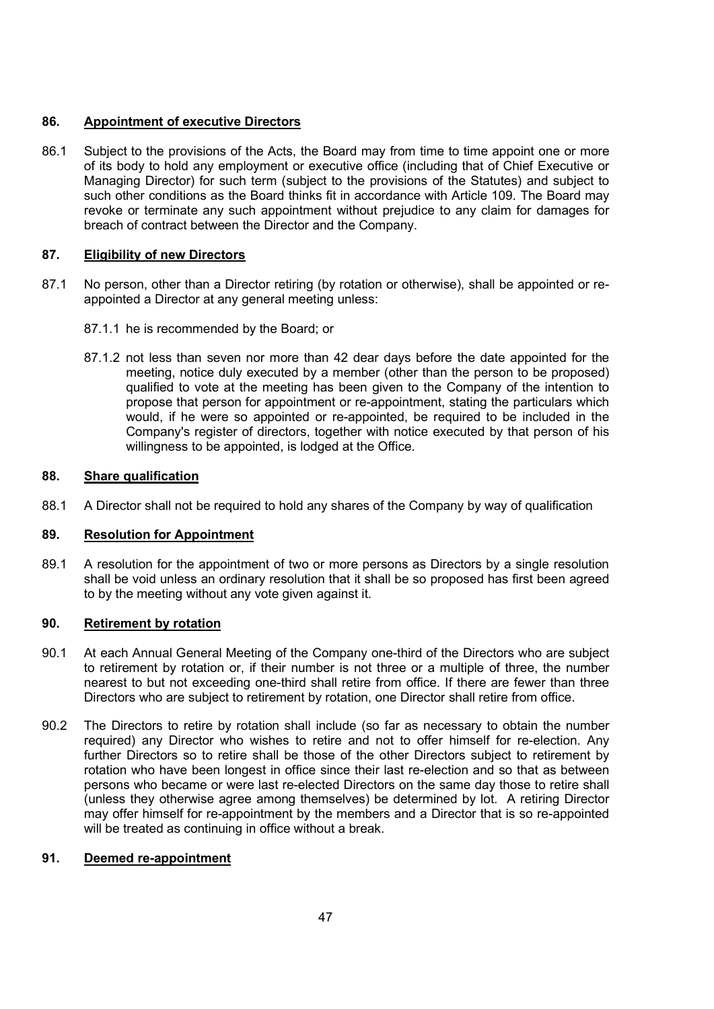# 86. Appointment of executive Directors

86.1 Subject to the provisions of the Acts, the Board may from time to time appoint one or more of its body to hold any employment or executive office (including that of Chief Executive or Managing Director) for such term (subject to the provisions of the Statutes) and subject to such other conditions as the Board thinks fit in accordance with Article 109. The Board may revoke or terminate any such appointment without prejudice to any claim for damages for breach of contract between the Director and the Company.

## 87. Eligibility of new Directors

- 87.1 No person, other than a Director retiring (by rotation or otherwise), shall be appointed or reappointed a Director at any general meeting unless:
	- 87.1.1 he is recommended by the Board; or
	- 87.1.2 not less than seven nor more than 42 dear days before the date appointed for the meeting, notice duly executed by a member (other than the person to be proposed) qualified to vote at the meeting has been given to the Company of the intention to propose that person for appointment or re-appointment, stating the particulars which would, if he were so appointed or re-appointed, be required to be included in the Company's register of directors, together with notice executed by that person of his willingness to be appointed, is lodged at the Office.

### 88. Share qualification

88.1 A Director shall not be required to hold any shares of the Company by way of qualification

# 89. Resolution for Appointment

89.1 A resolution for the appointment of two or more persons as Directors by a single resolution shall be void unless an ordinary resolution that it shall be so proposed has first been agreed to by the meeting without any vote given against it.

### 90. Retirement by rotation

- 90.1 At each Annual General Meeting of the Company one-third of the Directors who are subject to retirement by rotation or, if their number is not three or a multiple of three, the number nearest to but not exceeding one-third shall retire from office. If there are fewer than three Directors who are subject to retirement by rotation, one Director shall retire from office.
- 90.2 The Directors to retire by rotation shall include (so far as necessary to obtain the number required) any Director who wishes to retire and not to offer himself for re-election. Any further Directors so to retire shall be those of the other Directors subject to retirement by rotation who have been longest in office since their last re-election and so that as between persons who became or were last re-elected Directors on the same day those to retire shall (unless they otherwise agree among themselves) be determined by lot. A retiring Director may offer himself for re-appointment by the members and a Director that is so re-appointed will be treated as continuing in office without a break.

## 91. Deemed re-appointment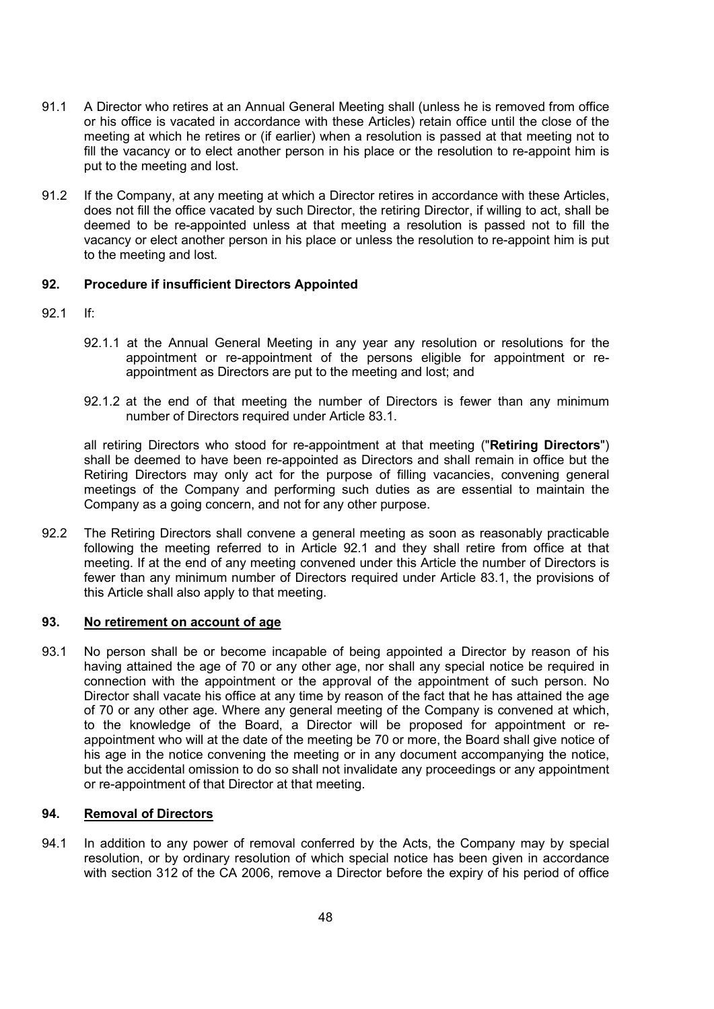- 91.1 A Director who retires at an Annual General Meeting shall (unless he is removed from office or his office is vacated in accordance with these Articles) retain office until the close of the meeting at which he retires or (if earlier) when a resolution is passed at that meeting not to fill the vacancy or to elect another person in his place or the resolution to re-appoint him is put to the meeting and lost.
- 91.2 If the Company, at any meeting at which a Director retires in accordance with these Articles, does not fill the office vacated by such Director, the retiring Director, if willing to act, shall be deemed to be re-appointed unless at that meeting a resolution is passed not to fill the vacancy or elect another person in his place or unless the resolution to re-appoint him is put to the meeting and lost.

## 92. Procedure if insufficient Directors Appointed

- 92.1 If:
	- 92.1.1 at the Annual General Meeting in any year any resolution or resolutions for the appointment or re-appointment of the persons eligible for appointment or reappointment as Directors are put to the meeting and lost; and
	- 92.1.2 at the end of that meeting the number of Directors is fewer than any minimum number of Directors required under Article 83.1.

all retiring Directors who stood for re-appointment at that meeting ("Retiring Directors") shall be deemed to have been re-appointed as Directors and shall remain in office but the Retiring Directors may only act for the purpose of filling vacancies, convening general meetings of the Company and performing such duties as are essential to maintain the Company as a going concern, and not for any other purpose.

92.2 The Retiring Directors shall convene a general meeting as soon as reasonably practicable following the meeting referred to in Article 92.1 and they shall retire from office at that meeting. If at the end of any meeting convened under this Article the number of Directors is fewer than any minimum number of Directors required under Article 83.1, the provisions of this Article shall also apply to that meeting.

## 93. No retirement on account of age

93.1 No person shall be or become incapable of being appointed a Director by reason of his having attained the age of 70 or any other age, nor shall any special notice be required in connection with the appointment or the approval of the appointment of such person. No Director shall vacate his office at any time by reason of the fact that he has attained the age of 70 or any other age. Where any general meeting of the Company is convened at which, to the knowledge of the Board, a Director will be proposed for appointment or reappointment who will at the date of the meeting be 70 or more, the Board shall give notice of his age in the notice convening the meeting or in any document accompanying the notice, but the accidental omission to do so shall not invalidate any proceedings or any appointment or re-appointment of that Director at that meeting.

### 94. Removal of Directors

94.1 In addition to any power of removal conferred by the Acts, the Company may by special resolution, or by ordinary resolution of which special notice has been given in accordance with section 312 of the CA 2006, remove a Director before the expiry of his period of office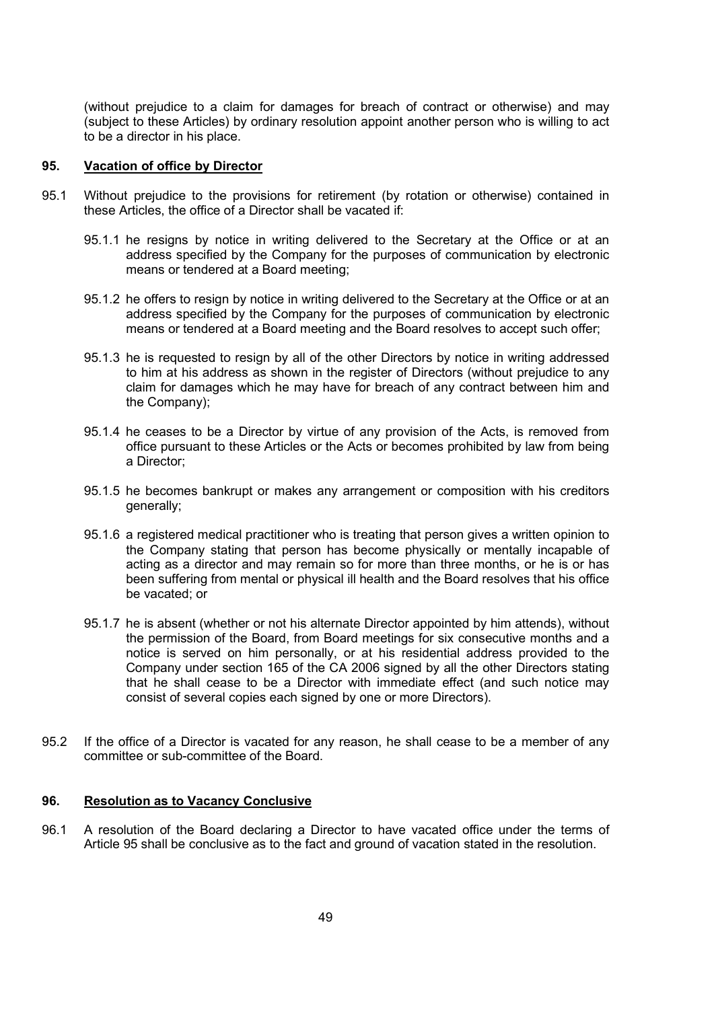(without prejudice to a claim for damages for breach of contract or otherwise) and may (subject to these Articles) by ordinary resolution appoint another person who is willing to act to be a director in his place.

#### 95. Vacation of office by Director

- 95.1 Without prejudice to the provisions for retirement (by rotation or otherwise) contained in these Articles, the office of a Director shall be vacated if:
	- 95.1.1 he resigns by notice in writing delivered to the Secretary at the Office or at an address specified by the Company for the purposes of communication by electronic means or tendered at a Board meeting;
	- 95.1.2 he offers to resign by notice in writing delivered to the Secretary at the Office or at an address specified by the Company for the purposes of communication by electronic means or tendered at a Board meeting and the Board resolves to accept such offer;
	- 95.1.3 he is requested to resign by all of the other Directors by notice in writing addressed to him at his address as shown in the register of Directors (without prejudice to any claim for damages which he may have for breach of any contract between him and the Company);
	- 95.1.4 he ceases to be a Director by virtue of any provision of the Acts, is removed from office pursuant to these Articles or the Acts or becomes prohibited by law from being a Director;
	- 95.1.5 he becomes bankrupt or makes any arrangement or composition with his creditors generally;
	- 95.1.6 a registered medical practitioner who is treating that person gives a written opinion to the Company stating that person has become physically or mentally incapable of acting as a director and may remain so for more than three months, or he is or has been suffering from mental or physical ill health and the Board resolves that his office be vacated; or
	- 95.1.7 he is absent (whether or not his alternate Director appointed by him attends), without the permission of the Board, from Board meetings for six consecutive months and a notice is served on him personally, or at his residential address provided to the Company under section 165 of the CA 2006 signed by all the other Directors stating that he shall cease to be a Director with immediate effect (and such notice may consist of several copies each signed by one or more Directors).
- 95.2 If the office of a Director is vacated for any reason, he shall cease to be a member of any committee or sub-committee of the Board.

#### 96. Resolution as to Vacancy Conclusive

96.1 A resolution of the Board declaring a Director to have vacated office under the terms of Article 95 shall be conclusive as to the fact and ground of vacation stated in the resolution.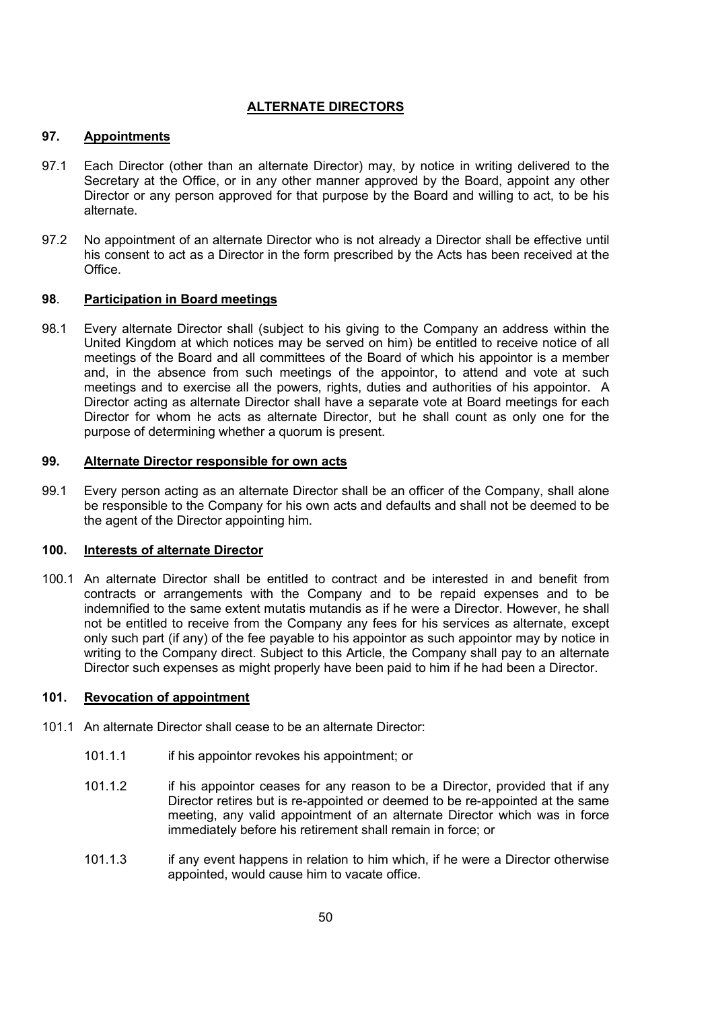# ALTERNATE DIRECTORS

### 97. Appointments

- 97.1 Each Director (other than an alternate Director) may, by notice in writing delivered to the Secretary at the Office, or in any other manner approved by the Board, appoint any other Director or any person approved for that purpose by the Board and willing to act, to be his alternate.
- 97.2 No appointment of an alternate Director who is not already a Director shall be effective until his consent to act as a Director in the form prescribed by the Acts has been received at the Office.

### 98. Participation in Board meetings

98.1 Every alternate Director shall (subject to his giving to the Company an address within the United Kingdom at which notices may be served on him) be entitled to receive notice of all meetings of the Board and all committees of the Board of which his appointor is a member and, in the absence from such meetings of the appointor, to attend and vote at such meetings and to exercise all the powers, rights, duties and authorities of his appointor. A Director acting as alternate Director shall have a separate vote at Board meetings for each Director for whom he acts as alternate Director, but he shall count as only one for the purpose of determining whether a quorum is present.

### 99. Alternate Director responsible for own acts

99.1 Every person acting as an alternate Director shall be an officer of the Company, shall alone be responsible to the Company for his own acts and defaults and shall not be deemed to be the agent of the Director appointing him.

## 100. Interests of alternate Director

100.1 An alternate Director shall be entitled to contract and be interested in and benefit from contracts or arrangements with the Company and to be repaid expenses and to be indemnified to the same extent mutatis mutandis as if he were a Director. However, he shall not be entitled to receive from the Company any fees for his services as alternate, except only such part (if any) of the fee payable to his appointor as such appointor may by notice in writing to the Company direct. Subject to this Article, the Company shall pay to an alternate Director such expenses as might properly have been paid to him if he had been a Director.

## 101. Revocation of appointment

- 101.1 An alternate Director shall cease to be an alternate Director:
	- 101.1.1 if his appointor revokes his appointment; or
	- 101.1.2 if his appointor ceases for any reason to be a Director, provided that if any Director retires but is re-appointed or deemed to be re-appointed at the same meeting, any valid appointment of an alternate Director which was in force immediately before his retirement shall remain in force; or
	- 101.1.3 if any event happens in relation to him which, if he were a Director otherwise appointed, would cause him to vacate office.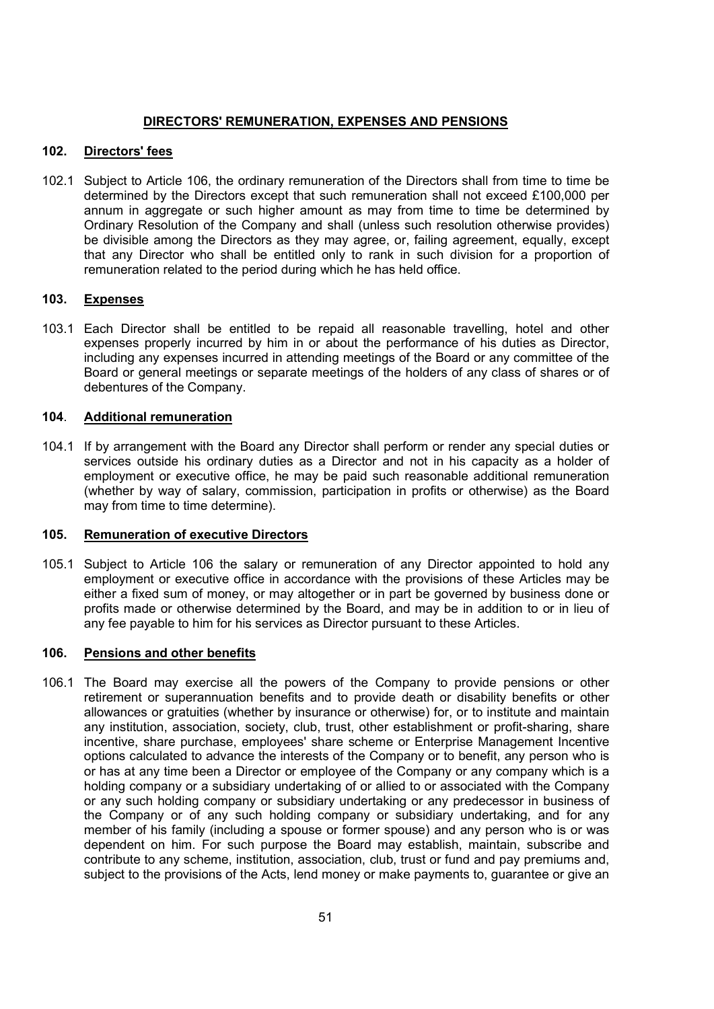## DIRECTORS' REMUNERATION, EXPENSES AND PENSIONS

## 102. Directors' fees

102.1 Subject to Article 106, the ordinary remuneration of the Directors shall from time to time be determined by the Directors except that such remuneration shall not exceed £100,000 per annum in aggregate or such higher amount as may from time to time be determined by Ordinary Resolution of the Company and shall (unless such resolution otherwise provides) be divisible among the Directors as they may agree, or, failing agreement, equally, except that any Director who shall be entitled only to rank in such division for a proportion of remuneration related to the period during which he has held office.

#### 103. Expenses

103.1 Each Director shall be entitled to be repaid all reasonable travelling, hotel and other expenses properly incurred by him in or about the performance of his duties as Director, including any expenses incurred in attending meetings of the Board or any committee of the Board or general meetings or separate meetings of the holders of any class of shares or of debentures of the Company.

#### 104. Additional remuneration

104.1 If by arrangement with the Board any Director shall perform or render any special duties or services outside his ordinary duties as a Director and not in his capacity as a holder of employment or executive office, he may be paid such reasonable additional remuneration (whether by way of salary, commission, participation in profits or otherwise) as the Board may from time to time determine).

#### 105. Remuneration of executive Directors

105.1 Subject to Article 106 the salary or remuneration of any Director appointed to hold any employment or executive office in accordance with the provisions of these Articles may be either a fixed sum of money, or may altogether or in part be governed by business done or profits made or otherwise determined by the Board, and may be in addition to or in lieu of any fee payable to him for his services as Director pursuant to these Articles.

#### 106. Pensions and other benefits

106.1 The Board may exercise all the powers of the Company to provide pensions or other retirement or superannuation benefits and to provide death or disability benefits or other allowances or gratuities (whether by insurance or otherwise) for, or to institute and maintain any institution, association, society, club, trust, other establishment or profit-sharing, share incentive, share purchase, employees' share scheme or Enterprise Management Incentive options calculated to advance the interests of the Company or to benefit, any person who is or has at any time been a Director or employee of the Company or any company which is a holding company or a subsidiary undertaking of or allied to or associated with the Company or any such holding company or subsidiary undertaking or any predecessor in business of the Company or of any such holding company or subsidiary undertaking, and for any member of his family (including a spouse or former spouse) and any person who is or was dependent on him. For such purpose the Board may establish, maintain, subscribe and contribute to any scheme, institution, association, club, trust or fund and pay premiums and, subject to the provisions of the Acts, lend money or make payments to, guarantee or give an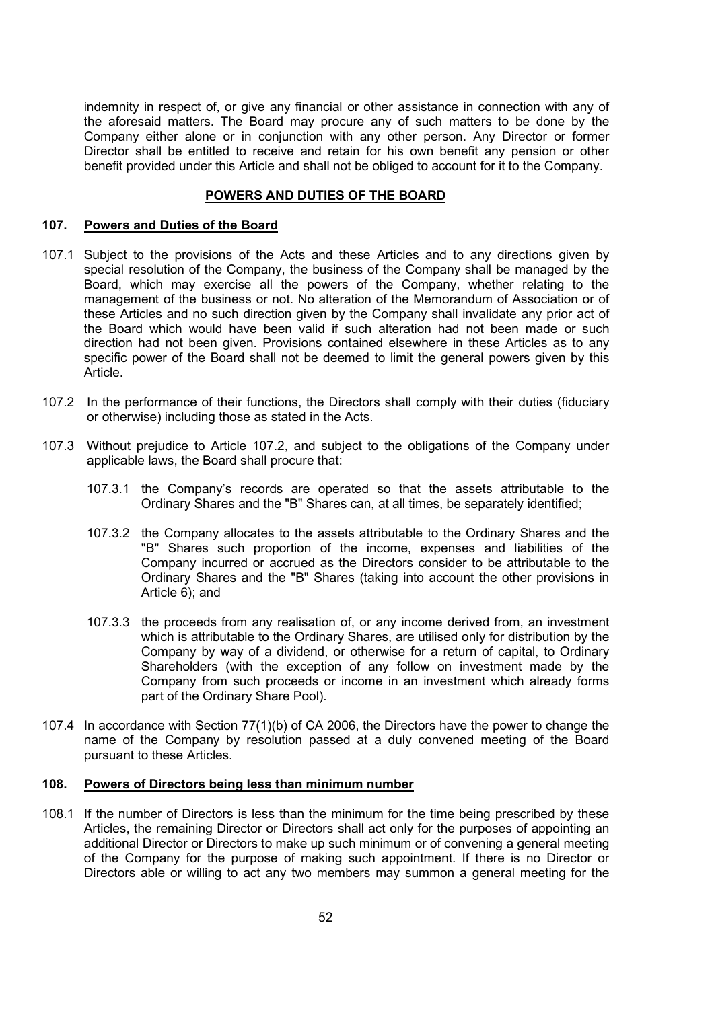indemnity in respect of, or give any financial or other assistance in connection with any of the aforesaid matters. The Board may procure any of such matters to be done by the Company either alone or in conjunction with any other person. Any Director or former Director shall be entitled to receive and retain for his own benefit any pension or other benefit provided under this Article and shall not be obliged to account for it to the Company.

#### POWERS AND DUTIES OF THE BOARD

#### 107. Powers and Duties of the Board

- 107.1 Subject to the provisions of the Acts and these Articles and to any directions given by special resolution of the Company, the business of the Company shall be managed by the Board, which may exercise all the powers of the Company, whether relating to the management of the business or not. No alteration of the Memorandum of Association or of these Articles and no such direction given by the Company shall invalidate any prior act of the Board which would have been valid if such alteration had not been made or such direction had not been given. Provisions contained elsewhere in these Articles as to any specific power of the Board shall not be deemed to limit the general powers given by this Article.
- 107.2 In the performance of their functions, the Directors shall comply with their duties (fiduciary or otherwise) including those as stated in the Acts.
- 107.3 Without prejudice to Article 107.2, and subject to the obligations of the Company under applicable laws, the Board shall procure that:
	- 107.3.1 the Company's records are operated so that the assets attributable to the Ordinary Shares and the "B" Shares can, at all times, be separately identified;
	- 107.3.2 the Company allocates to the assets attributable to the Ordinary Shares and the "B" Shares such proportion of the income, expenses and liabilities of the Company incurred or accrued as the Directors consider to be attributable to the Ordinary Shares and the "B" Shares (taking into account the other provisions in Article 6); and
	- 107.3.3 the proceeds from any realisation of, or any income derived from, an investment which is attributable to the Ordinary Shares, are utilised only for distribution by the Company by way of a dividend, or otherwise for a return of capital, to Ordinary Shareholders (with the exception of any follow on investment made by the Company from such proceeds or income in an investment which already forms part of the Ordinary Share Pool).
- 107.4 In accordance with Section 77(1)(b) of CA 2006, the Directors have the power to change the name of the Company by resolution passed at a duly convened meeting of the Board pursuant to these Articles.

#### 108. Powers of Directors being less than minimum number

108.1 If the number of Directors is less than the minimum for the time being prescribed by these Articles, the remaining Director or Directors shall act only for the purposes of appointing an additional Director or Directors to make up such minimum or of convening a general meeting of the Company for the purpose of making such appointment. If there is no Director or Directors able or willing to act any two members may summon a general meeting for the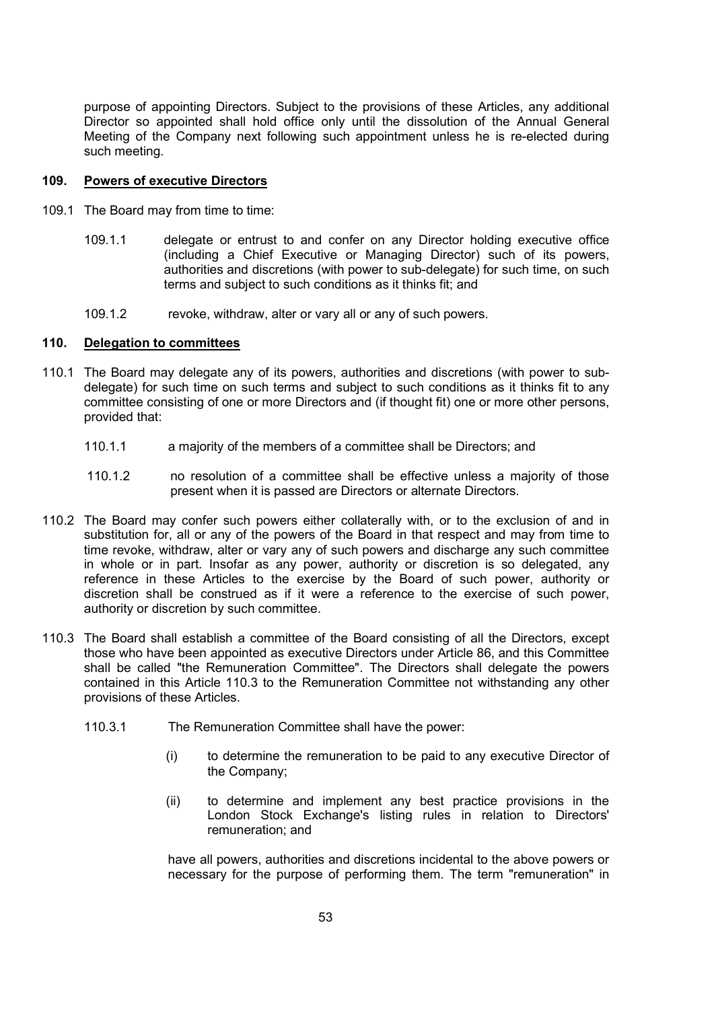purpose of appointing Directors. Subject to the provisions of these Articles, any additional Director so appointed shall hold office only until the dissolution of the Annual General Meeting of the Company next following such appointment unless he is re-elected during such meeting.

## 109. Powers of executive Directors

- 109.1 The Board may from time to time:
	- 109.1.1 delegate or entrust to and confer on any Director holding executive office (including a Chief Executive or Managing Director) such of its powers, authorities and discretions (with power to sub-delegate) for such time, on such terms and subject to such conditions as it thinks fit; and
	- 109.1.2 revoke, withdraw, alter or vary all or any of such powers.

#### 110. Delegation to committees

- 110.1 The Board may delegate any of its powers, authorities and discretions (with power to subdelegate) for such time on such terms and subject to such conditions as it thinks fit to any committee consisting of one or more Directors and (if thought fit) one or more other persons, provided that:
	- 110.1.1 a majority of the members of a committee shall be Directors; and
	- 110.1.2 no resolution of a committee shall be effective unless a majority of those present when it is passed are Directors or alternate Directors.
- 110.2 The Board may confer such powers either collaterally with, or to the exclusion of and in substitution for, all or any of the powers of the Board in that respect and may from time to time revoke, withdraw, alter or vary any of such powers and discharge any such committee in whole or in part. Insofar as any power, authority or discretion is so delegated, any reference in these Articles to the exercise by the Board of such power, authority or discretion shall be construed as if it were a reference to the exercise of such power, authority or discretion by such committee.
- 110.3 The Board shall establish a committee of the Board consisting of all the Directors, except those who have been appointed as executive Directors under Article 86, and this Committee shall be called "the Remuneration Committee". The Directors shall delegate the powers contained in this Article 110.3 to the Remuneration Committee not withstanding any other provisions of these Articles.
	- 110.3.1 The Remuneration Committee shall have the power:
		- (i) to determine the remuneration to be paid to any executive Director of the Company;
		- (ii) to determine and implement any best practice provisions in the London Stock Exchange's listing rules in relation to Directors' remuneration; and

have all powers, authorities and discretions incidental to the above powers or necessary for the purpose of performing them. The term "remuneration" in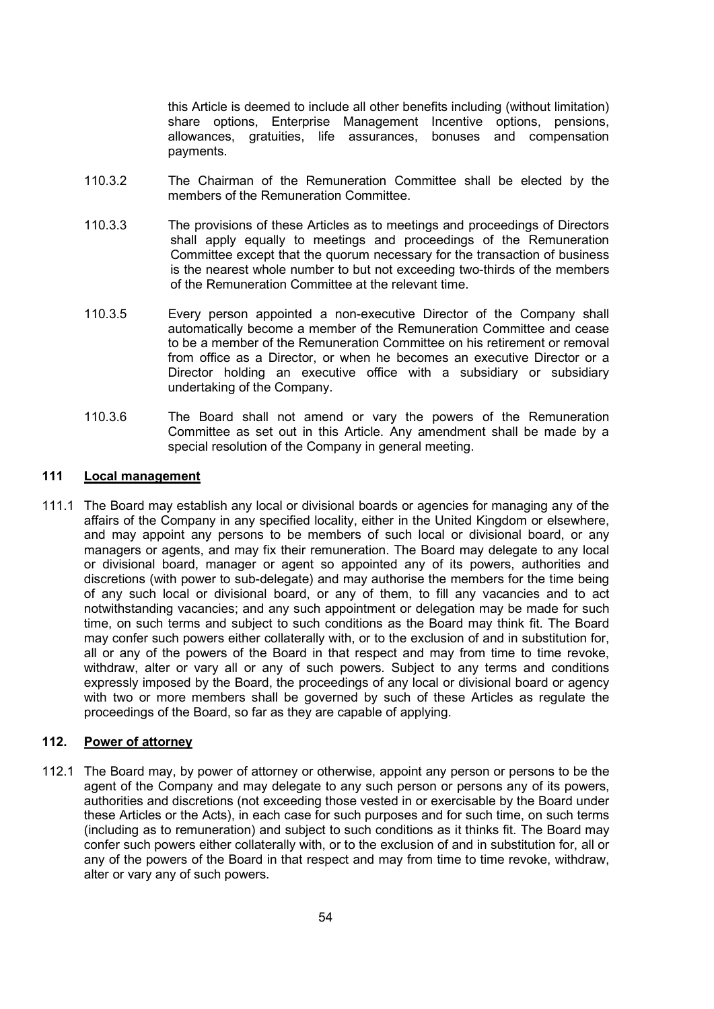this Article is deemed to include all other benefits including (without limitation) share options, Enterprise Management Incentive options, pensions, allowances, gratuities, life assurances, bonuses and compensation payments.

- 110.3.2 The Chairman of the Remuneration Committee shall be elected by the members of the Remuneration Committee.
- 110.3.3 The provisions of these Articles as to meetings and proceedings of Directors shall apply equally to meetings and proceedings of the Remuneration Committee except that the quorum necessary for the transaction of business is the nearest whole number to but not exceeding two-thirds of the members of the Remuneration Committee at the relevant time.
- 110.3.5 Every person appointed a non-executive Director of the Company shall automatically become a member of the Remuneration Committee and cease to be a member of the Remuneration Committee on his retirement or removal from office as a Director, or when he becomes an executive Director or a Director holding an executive office with a subsidiary or subsidiary undertaking of the Company.
- 110.3.6 The Board shall not amend or vary the powers of the Remuneration Committee as set out in this Article. Any amendment shall be made by a special resolution of the Company in general meeting.

### 111 Local management

111.1 The Board may establish any local or divisional boards or agencies for managing any of the affairs of the Company in any specified locality, either in the United Kingdom or elsewhere, and may appoint any persons to be members of such local or divisional board, or any managers or agents, and may fix their remuneration. The Board may delegate to any local or divisional board, manager or agent so appointed any of its powers, authorities and discretions (with power to sub-delegate) and may authorise the members for the time being of any such local or divisional board, or any of them, to fill any vacancies and to act notwithstanding vacancies; and any such appointment or delegation may be made for such time, on such terms and subject to such conditions as the Board may think fit. The Board may confer such powers either collaterally with, or to the exclusion of and in substitution for, all or any of the powers of the Board in that respect and may from time to time revoke, withdraw, alter or vary all or any of such powers. Subject to any terms and conditions expressly imposed by the Board, the proceedings of any local or divisional board or agency with two or more members shall be governed by such of these Articles as regulate the proceedings of the Board, so far as they are capable of applying.

## 112. Power of attorney

112.1 The Board may, by power of attorney or otherwise, appoint any person or persons to be the agent of the Company and may delegate to any such person or persons any of its powers, authorities and discretions (not exceeding those vested in or exercisable by the Board under these Articles or the Acts), in each case for such purposes and for such time, on such terms (including as to remuneration) and subject to such conditions as it thinks fit. The Board may confer such powers either collaterally with, or to the exclusion of and in substitution for, all or any of the powers of the Board in that respect and may from time to time revoke, withdraw, alter or vary any of such powers.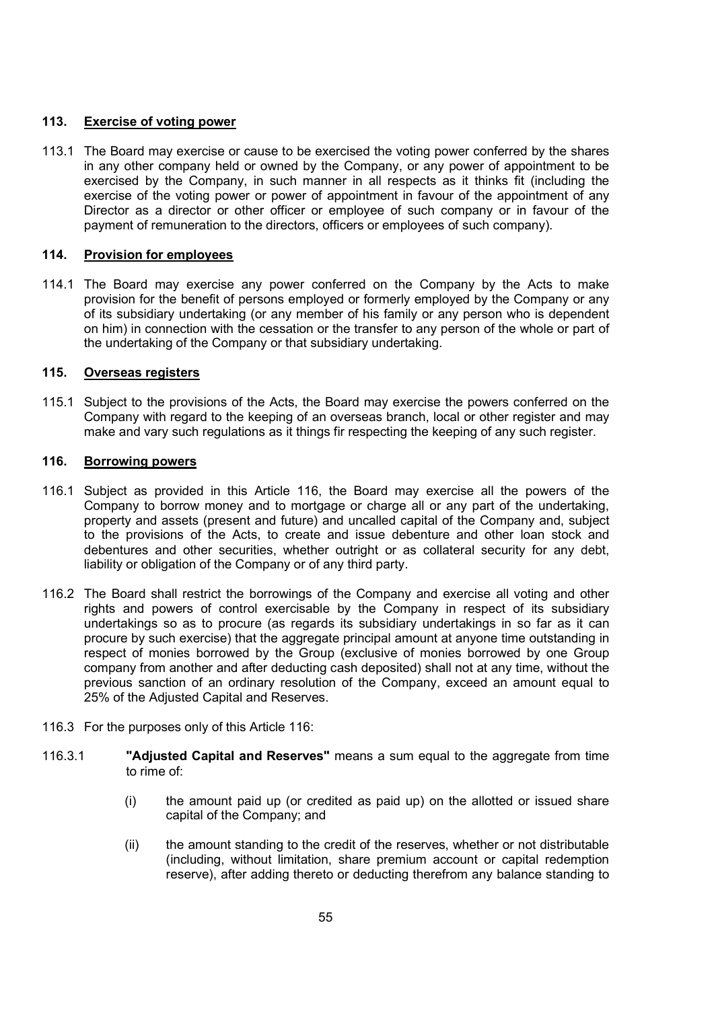## 113. Exercise of voting power

113.1 The Board may exercise or cause to be exercised the voting power conferred by the shares in any other company held or owned by the Company, or any power of appointment to be exercised by the Company, in such manner in all respects as it thinks fit (including the exercise of the voting power or power of appointment in favour of the appointment of any Director as a director or other officer or employee of such company or in favour of the payment of remuneration to the directors, officers or employees of such company).

### 114. Provision for employees

114.1 The Board may exercise any power conferred on the Company by the Acts to make provision for the benefit of persons employed or formerly employed by the Company or any of its subsidiary undertaking (or any member of his family or any person who is dependent on him) in connection with the cessation or the transfer to any person of the whole or part of the undertaking of the Company or that subsidiary undertaking.

## 115. Overseas registers

115.1 Subject to the provisions of the Acts, the Board may exercise the powers conferred on the Company with regard to the keeping of an overseas branch, local or other register and may make and vary such regulations as it things fir respecting the keeping of any such register.

## 116. Borrowing powers

- 116.1 Subject as provided in this Article 116, the Board may exercise all the powers of the Company to borrow money and to mortgage or charge all or any part of the undertaking, property and assets (present and future) and uncalled capital of the Company and, subject to the provisions of the Acts, to create and issue debenture and other loan stock and debentures and other securities, whether outright or as collateral security for any debt, liability or obligation of the Company or of any third party.
- 116.2 The Board shall restrict the borrowings of the Company and exercise all voting and other rights and powers of control exercisable by the Company in respect of its subsidiary undertakings so as to procure (as regards its subsidiary undertakings in so far as it can procure by such exercise) that the aggregate principal amount at anyone time outstanding in respect of monies borrowed by the Group (exclusive of monies borrowed by one Group company from another and after deducting cash deposited) shall not at any time, without the previous sanction of an ordinary resolution of the Company, exceed an amount equal to 25% of the Adjusted Capital and Reserves.
- 116.3 For the purposes only of this Article 116:
- 116.3.1 "Adjusted Capital and Reserves" means a sum equal to the aggregate from time to rime of:
	- (i) the amount paid up (or credited as paid up) on the allotted or issued share capital of the Company; and
	- (ii) the amount standing to the credit of the reserves, whether or not distributable (including, without limitation, share premium account or capital redemption reserve), after adding thereto or deducting therefrom any balance standing to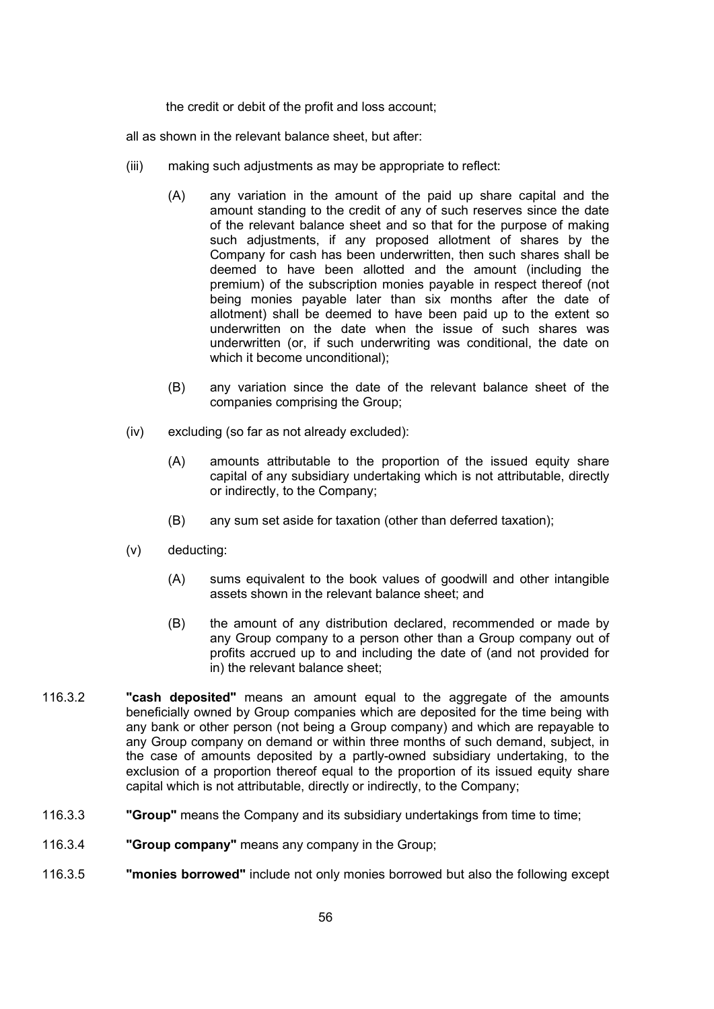the credit or debit of the profit and loss account;

all as shown in the relevant balance sheet, but after:

- (iii) making such adjustments as may be appropriate to reflect:
	- (A) any variation in the amount of the paid up share capital and the amount standing to the credit of any of such reserves since the date of the relevant balance sheet and so that for the purpose of making such adjustments, if any proposed allotment of shares by the Company for cash has been underwritten, then such shares shall be deemed to have been allotted and the amount (including the premium) of the subscription monies payable in respect thereof (not being monies payable later than six months after the date of allotment) shall be deemed to have been paid up to the extent so underwritten on the date when the issue of such shares was underwritten (or, if such underwriting was conditional, the date on which it become unconditional);
	- (B) any variation since the date of the relevant balance sheet of the companies comprising the Group;
- (iv) excluding (so far as not already excluded):
	- (A) amounts attributable to the proportion of the issued equity share capital of any subsidiary undertaking which is not attributable, directly or indirectly, to the Company;
	- (B) any sum set aside for taxation (other than deferred taxation);
- (v) deducting:
	- (A) sums equivalent to the book values of goodwill and other intangible assets shown in the relevant balance sheet; and
	- (B) the amount of any distribution declared, recommended or made by any Group company to a person other than a Group company out of profits accrued up to and including the date of (and not provided for in) the relevant balance sheet;
- 116.3.2 "cash deposited" means an amount equal to the aggregate of the amounts beneficially owned by Group companies which are deposited for the time being with any bank or other person (not being a Group company) and which are repayable to any Group company on demand or within three months of such demand, subject, in the case of amounts deposited by a partly-owned subsidiary undertaking, to the exclusion of a proportion thereof equal to the proportion of its issued equity share capital which is not attributable, directly or indirectly, to the Company;
- 116.3.3 "Group" means the Company and its subsidiary undertakings from time to time;
- 116.3.4 "Group company" means any company in the Group;
- 116.3.5 "monies borrowed" include not only monies borrowed but also the following except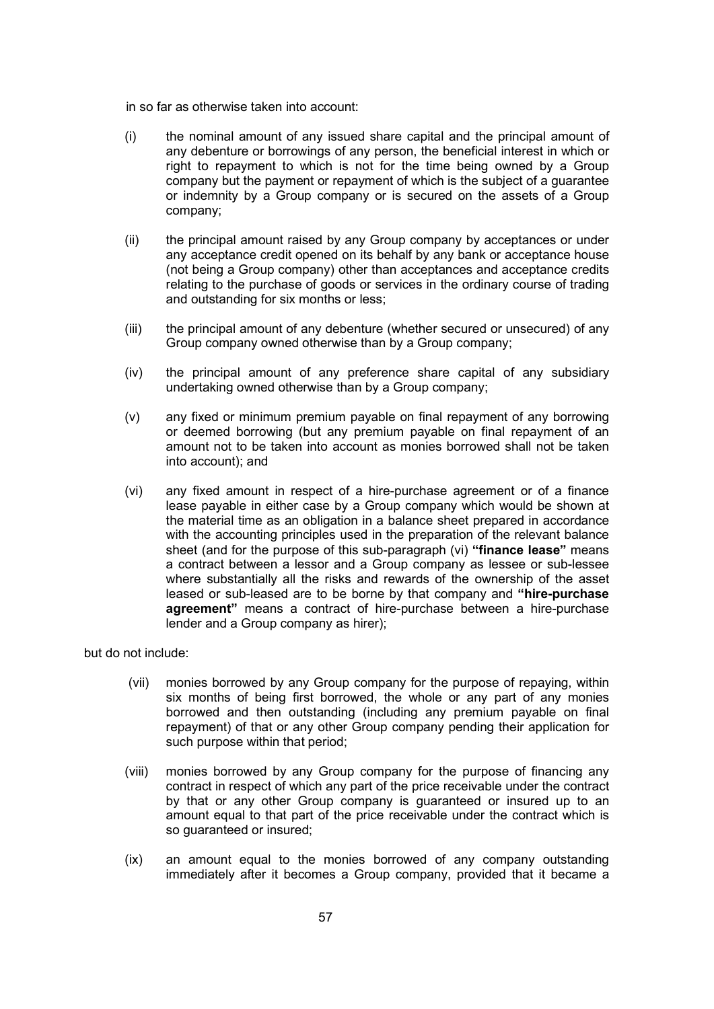in so far as otherwise taken into account:

- (i) the nominal amount of any issued share capital and the principal amount of any debenture or borrowings of any person, the beneficial interest in which or right to repayment to which is not for the time being owned by a Group company but the payment or repayment of which is the subject of a guarantee or indemnity by a Group company or is secured on the assets of a Group company;
- (ii) the principal amount raised by any Group company by acceptances or under any acceptance credit opened on its behalf by any bank or acceptance house (not being a Group company) other than acceptances and acceptance credits relating to the purchase of goods or services in the ordinary course of trading and outstanding for six months or less;
- (iii) the principal amount of any debenture (whether secured or unsecured) of any Group company owned otherwise than by a Group company;
- (iv) the principal amount of any preference share capital of any subsidiary undertaking owned otherwise than by a Group company;
- (v) any fixed or minimum premium payable on final repayment of any borrowing or deemed borrowing (but any premium payable on final repayment of an amount not to be taken into account as monies borrowed shall not be taken into account); and
- (vi) any fixed amount in respect of a hire-purchase agreement or of a finance lease payable in either case by a Group company which would be shown at the material time as an obligation in a balance sheet prepared in accordance with the accounting principles used in the preparation of the relevant balance sheet (and for the purpose of this sub-paragraph (vi) "finance lease" means a contract between a lessor and a Group company as lessee or sub-lessee where substantially all the risks and rewards of the ownership of the asset leased or sub-leased are to be borne by that company and "hire-purchase agreement" means a contract of hire-purchase between a hire-purchase lender and a Group company as hirer);

but do not include:

- (vii) monies borrowed by any Group company for the purpose of repaying, within six months of being first borrowed, the whole or any part of any monies borrowed and then outstanding (including any premium payable on final repayment) of that or any other Group company pending their application for such purpose within that period;
- (viii) monies borrowed by any Group company for the purpose of financing any contract in respect of which any part of the price receivable under the contract by that or any other Group company is guaranteed or insured up to an amount equal to that part of the price receivable under the contract which is so guaranteed or insured;
- (ix) an amount equal to the monies borrowed of any company outstanding immediately after it becomes a Group company, provided that it became a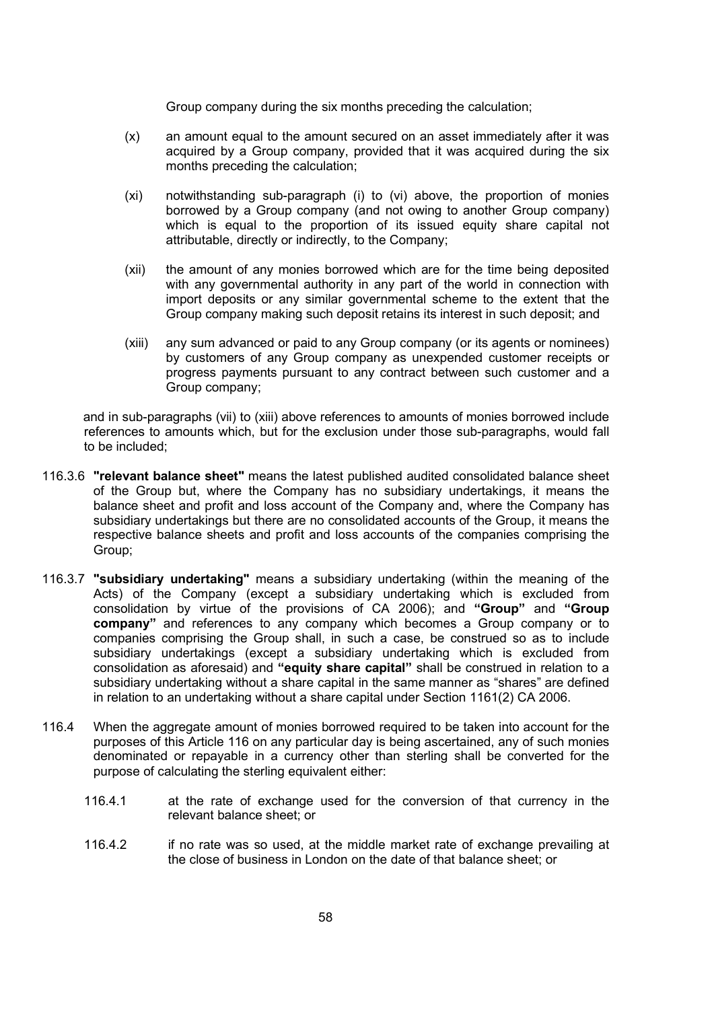Group company during the six months preceding the calculation;

- (x) an amount equal to the amount secured on an asset immediately after it was acquired by a Group company, provided that it was acquired during the six months preceding the calculation;
- (xi) notwithstanding sub-paragraph (i) to (vi) above, the proportion of monies borrowed by a Group company (and not owing to another Group company) which is equal to the proportion of its issued equity share capital not attributable, directly or indirectly, to the Company;
- (xii) the amount of any monies borrowed which are for the time being deposited with any governmental authority in any part of the world in connection with import deposits or any similar governmental scheme to the extent that the Group company making such deposit retains its interest in such deposit; and
- (xiii) any sum advanced or paid to any Group company (or its agents or nominees) by customers of any Group company as unexpended customer receipts or progress payments pursuant to any contract between such customer and a Group company;

and in sub-paragraphs (vii) to (xiii) above references to amounts of monies borrowed include references to amounts which, but for the exclusion under those sub-paragraphs, would fall to be included;

- 116.3.6 "relevant balance sheet" means the latest published audited consolidated balance sheet of the Group but, where the Company has no subsidiary undertakings, it means the balance sheet and profit and loss account of the Company and, where the Company has subsidiary undertakings but there are no consolidated accounts of the Group, it means the respective balance sheets and profit and loss accounts of the companies comprising the Group;
- 116.3.7 "subsidiary undertaking" means a subsidiary undertaking (within the meaning of the Acts) of the Company (except a subsidiary undertaking which is excluded from consolidation by virtue of the provisions of CA 2006); and "Group" and "Group company" and references to any company which becomes a Group company or to companies comprising the Group shall, in such a case, be construed so as to include subsidiary undertakings (except a subsidiary undertaking which is excluded from consolidation as aforesaid) and "equity share capital" shall be construed in relation to a subsidiary undertaking without a share capital in the same manner as "shares" are defined in relation to an undertaking without a share capital under Section 1161(2) CA 2006.
- 116.4 When the aggregate amount of monies borrowed required to be taken into account for the purposes of this Article 116 on any particular day is being ascertained, any of such monies denominated or repayable in a currency other than sterling shall be converted for the purpose of calculating the sterling equivalent either:
	- 116.4.1 at the rate of exchange used for the conversion of that currency in the relevant balance sheet; or
	- 116.4.2 if no rate was so used, at the middle market rate of exchange prevailing at the close of business in London on the date of that balance sheet; or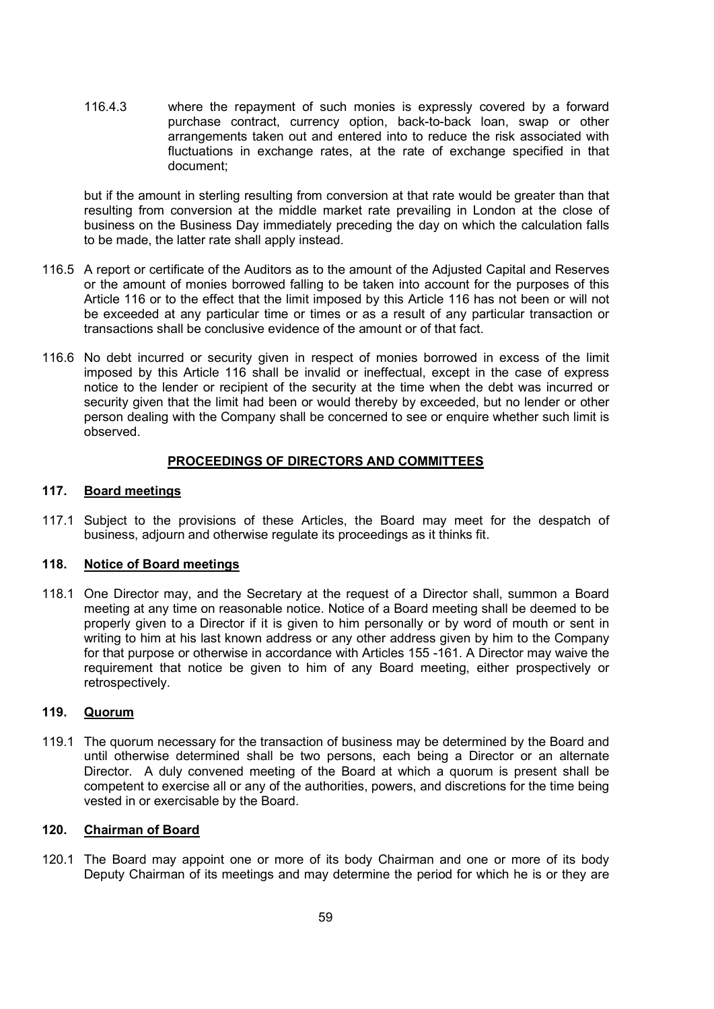116.4.3 where the repayment of such monies is expressly covered by a forward purchase contract, currency option, back-to-back loan, swap or other arrangements taken out and entered into to reduce the risk associated with fluctuations in exchange rates, at the rate of exchange specified in that document;

but if the amount in sterling resulting from conversion at that rate would be greater than that resulting from conversion at the middle market rate prevailing in London at the close of business on the Business Day immediately preceding the day on which the calculation falls to be made, the latter rate shall apply instead.

- 116.5 A report or certificate of the Auditors as to the amount of the Adjusted Capital and Reserves or the amount of monies borrowed falling to be taken into account for the purposes of this Article 116 or to the effect that the limit imposed by this Article 116 has not been or will not be exceeded at any particular time or times or as a result of any particular transaction or transactions shall be conclusive evidence of the amount or of that fact.
- 116.6 No debt incurred or security given in respect of monies borrowed in excess of the limit imposed by this Article 116 shall be invalid or ineffectual, except in the case of express notice to the lender or recipient of the security at the time when the debt was incurred or security given that the limit had been or would thereby by exceeded, but no lender or other person dealing with the Company shall be concerned to see or enquire whether such limit is observed.

## PROCEEDINGS OF DIRECTORS AND COMMITTEES

## 117. Board meetings

117.1 Subject to the provisions of these Articles, the Board may meet for the despatch of business, adjourn and otherwise regulate its proceedings as it thinks fit.

## 118. Notice of Board meetings

118.1 One Director may, and the Secretary at the request of a Director shall, summon a Board meeting at any time on reasonable notice. Notice of a Board meeting shall be deemed to be properly given to a Director if it is given to him personally or by word of mouth or sent in writing to him at his last known address or any other address given by him to the Company for that purpose or otherwise in accordance with Articles 155 -161. A Director may waive the requirement that notice be given to him of any Board meeting, either prospectively or retrospectively.

### 119. Quorum

119.1 The quorum necessary for the transaction of business may be determined by the Board and until otherwise determined shall be two persons, each being a Director or an alternate Director. A duly convened meeting of the Board at which a quorum is present shall be competent to exercise all or any of the authorities, powers, and discretions for the time being vested in or exercisable by the Board.

#### 120. Chairman of Board

120.1 The Board may appoint one or more of its body Chairman and one or more of its body Deputy Chairman of its meetings and may determine the period for which he is or they are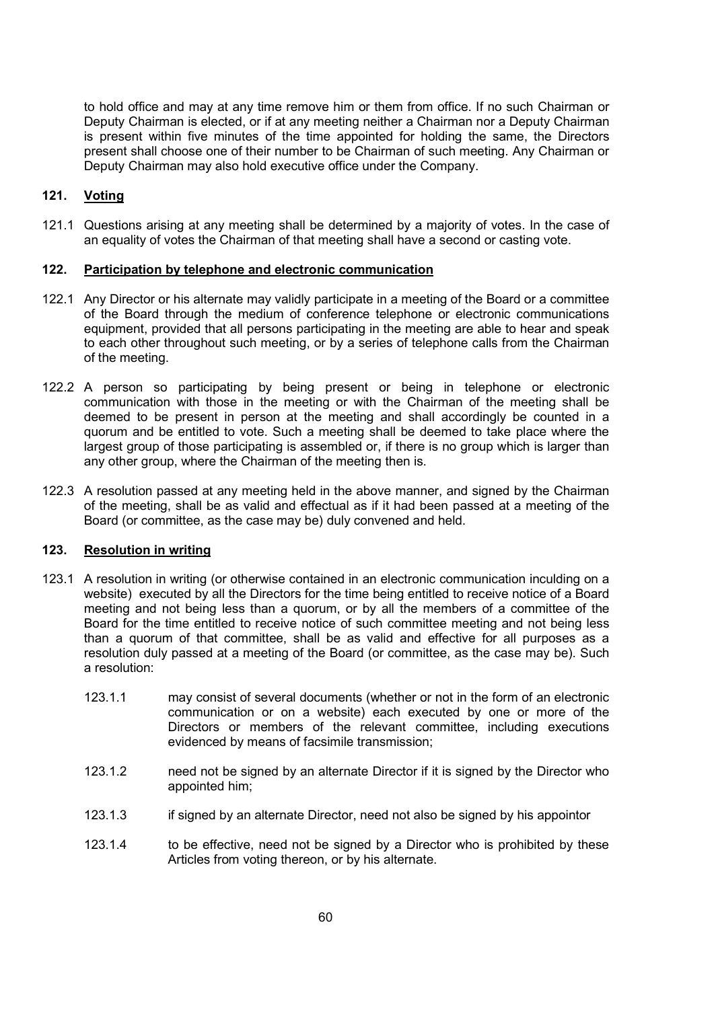to hold office and may at any time remove him or them from office. If no such Chairman or Deputy Chairman is elected, or if at any meeting neither a Chairman nor a Deputy Chairman is present within five minutes of the time appointed for holding the same, the Directors present shall choose one of their number to be Chairman of such meeting. Any Chairman or Deputy Chairman may also hold executive office under the Company.

# 121. Voting

121.1 Questions arising at any meeting shall be determined by a majority of votes. In the case of an equality of votes the Chairman of that meeting shall have a second or casting vote.

#### 122. Participation by telephone and electronic communication

- 122.1 Any Director or his alternate may validly participate in a meeting of the Board or a committee of the Board through the medium of conference telephone or electronic communications equipment, provided that all persons participating in the meeting are able to hear and speak to each other throughout such meeting, or by a series of telephone calls from the Chairman of the meeting.
- 122.2 A person so participating by being present or being in telephone or electronic communication with those in the meeting or with the Chairman of the meeting shall be deemed to be present in person at the meeting and shall accordingly be counted in a quorum and be entitled to vote. Such a meeting shall be deemed to take place where the largest group of those participating is assembled or, if there is no group which is larger than any other group, where the Chairman of the meeting then is.
- 122.3 A resolution passed at any meeting held in the above manner, and signed by the Chairman of the meeting, shall be as valid and effectual as if it had been passed at a meeting of the Board (or committee, as the case may be) duly convened and held.

## 123. Resolution in writing

- 123.1 A resolution in writing (or otherwise contained in an electronic communication inculding on a website) executed by all the Directors for the time being entitled to receive notice of a Board meeting and not being less than a quorum, or by all the members of a committee of the Board for the time entitled to receive notice of such committee meeting and not being less than a quorum of that committee, shall be as valid and effective for all purposes as a resolution duly passed at a meeting of the Board (or committee, as the case may be). Such a resolution:
	- 123.1.1 may consist of several documents (whether or not in the form of an electronic communication or on a website) each executed by one or more of the Directors or members of the relevant committee, including executions evidenced by means of facsimile transmission;
	- 123.1.2 need not be signed by an alternate Director if it is signed by the Director who appointed him;
	- 123.1.3 if signed by an alternate Director, need not also be signed by his appointor
	- 123.1.4 to be effective, need not be signed by a Director who is prohibited by these Articles from voting thereon, or by his alternate.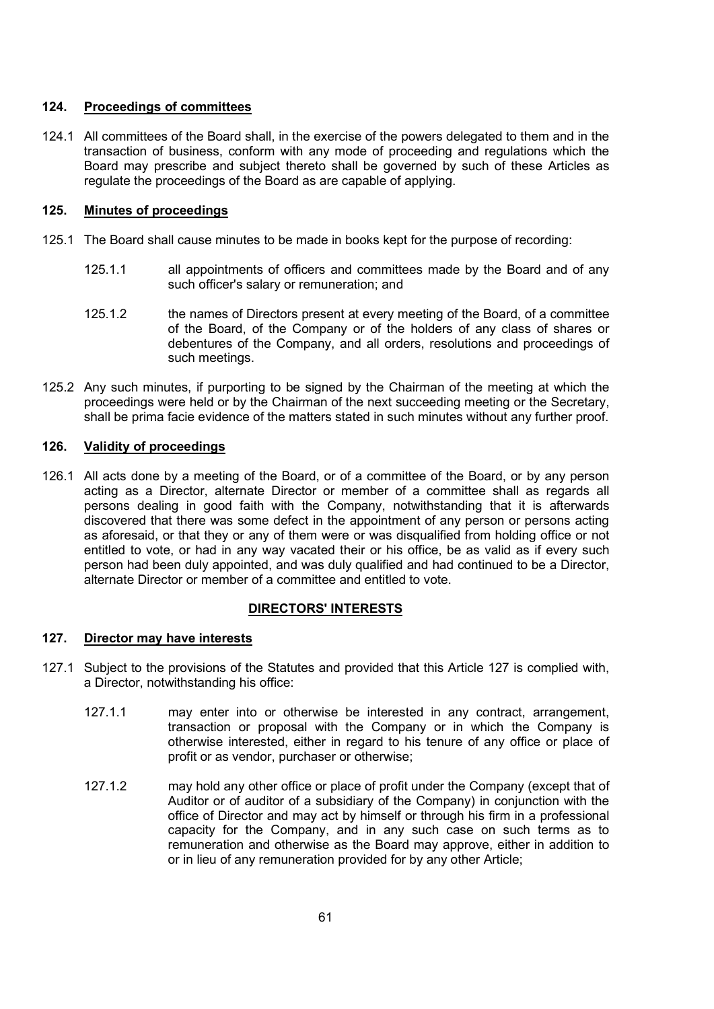## 124. Proceedings of committees

124.1 All committees of the Board shall, in the exercise of the powers delegated to them and in the transaction of business, conform with any mode of proceeding and regulations which the Board may prescribe and subject thereto shall be governed by such of these Articles as regulate the proceedings of the Board as are capable of applying.

## 125. Minutes of proceedings

- 125.1 The Board shall cause minutes to be made in books kept for the purpose of recording:
	- 125.1.1 all appointments of officers and committees made by the Board and of any such officer's salary or remuneration; and
	- 125.1.2 the names of Directors present at every meeting of the Board, of a committee of the Board, of the Company or of the holders of any class of shares or debentures of the Company, and all orders, resolutions and proceedings of such meetings.
- 125.2 Any such minutes, if purporting to be signed by the Chairman of the meeting at which the proceedings were held or by the Chairman of the next succeeding meeting or the Secretary, shall be prima facie evidence of the matters stated in such minutes without any further proof.

# 126. Validity of proceedings

126.1 All acts done by a meeting of the Board, or of a committee of the Board, or by any person acting as a Director, alternate Director or member of a committee shall as regards all persons dealing in good faith with the Company, notwithstanding that it is afterwards discovered that there was some defect in the appointment of any person or persons acting as aforesaid, or that they or any of them were or was disqualified from holding office or not entitled to vote, or had in any way vacated their or his office, be as valid as if every such person had been duly appointed, and was duly qualified and had continued to be a Director, alternate Director or member of a committee and entitled to vote.

### DIRECTORS' INTERESTS

### 127. Director may have interests

- 127.1 Subject to the provisions of the Statutes and provided that this Article 127 is complied with, a Director, notwithstanding his office:
	- 127.1.1 may enter into or otherwise be interested in any contract, arrangement, transaction or proposal with the Company or in which the Company is otherwise interested, either in regard to his tenure of any office or place of profit or as vendor, purchaser or otherwise;
	- 127.1.2 may hold any other office or place of profit under the Company (except that of Auditor or of auditor of a subsidiary of the Company) in conjunction with the office of Director and may act by himself or through his firm in a professional capacity for the Company, and in any such case on such terms as to remuneration and otherwise as the Board may approve, either in addition to or in lieu of any remuneration provided for by any other Article;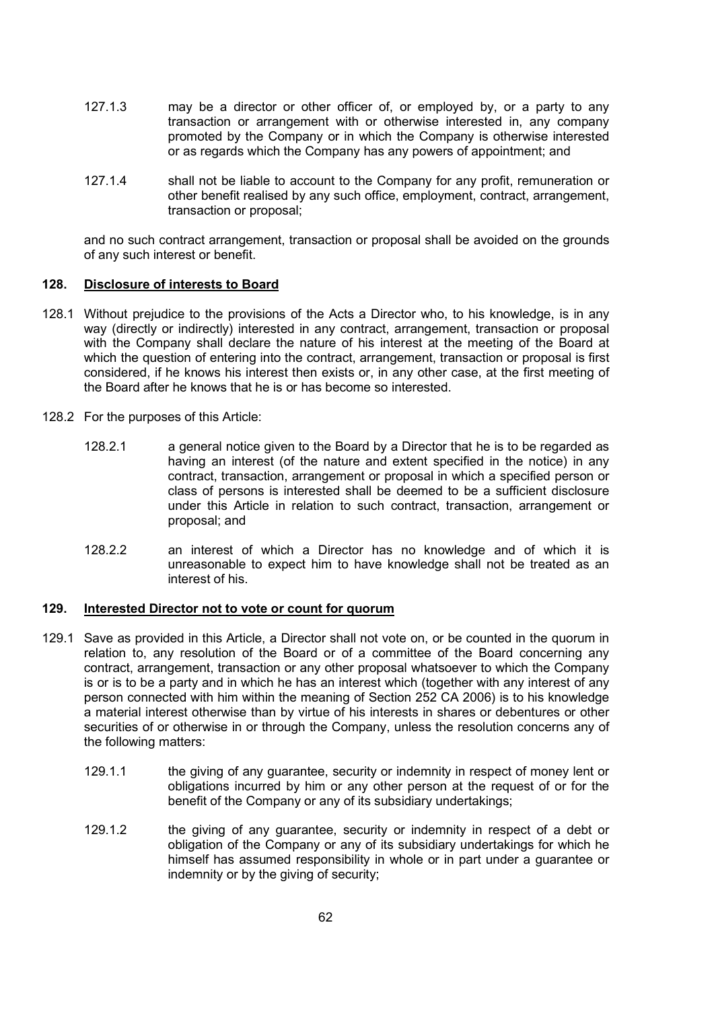- 127.1.3 may be a director or other officer of, or employed by, or a party to any transaction or arrangement with or otherwise interested in, any company promoted by the Company or in which the Company is otherwise interested or as regards which the Company has any powers of appointment; and
- 127.1.4 shall not be liable to account to the Company for any profit, remuneration or other benefit realised by any such office, employment, contract, arrangement, transaction or proposal;

and no such contract arrangement, transaction or proposal shall be avoided on the grounds of any such interest or benefit.

### 128. Disclosure of interests to Board

- 128.1 Without prejudice to the provisions of the Acts a Director who, to his knowledge, is in any way (directly or indirectly) interested in any contract, arrangement, transaction or proposal with the Company shall declare the nature of his interest at the meeting of the Board at which the question of entering into the contract, arrangement, transaction or proposal is first considered, if he knows his interest then exists or, in any other case, at the first meeting of the Board after he knows that he is or has become so interested.
- 128.2 For the purposes of this Article:
	- 128.2.1 a general notice given to the Board by a Director that he is to be regarded as having an interest (of the nature and extent specified in the notice) in any contract, transaction, arrangement or proposal in which a specified person or class of persons is interested shall be deemed to be a sufficient disclosure under this Article in relation to such contract, transaction, arrangement or proposal; and
	- 128.2.2 an interest of which a Director has no knowledge and of which it is unreasonable to expect him to have knowledge shall not be treated as an interest of his.

#### 129. Interested Director not to vote or count for quorum

- 129.1 Save as provided in this Article, a Director shall not vote on, or be counted in the quorum in relation to, any resolution of the Board or of a committee of the Board concerning any contract, arrangement, transaction or any other proposal whatsoever to which the Company is or is to be a party and in which he has an interest which (together with any interest of any person connected with him within the meaning of Section 252 CA 2006) is to his knowledge a material interest otherwise than by virtue of his interests in shares or debentures or other securities of or otherwise in or through the Company, unless the resolution concerns any of the following matters:
	- 129.1.1 the giving of any guarantee, security or indemnity in respect of money lent or obligations incurred by him or any other person at the request of or for the benefit of the Company or any of its subsidiary undertakings;
	- 129.1.2 the giving of any guarantee, security or indemnity in respect of a debt or obligation of the Company or any of its subsidiary undertakings for which he himself has assumed responsibility in whole or in part under a guarantee or indemnity or by the giving of security;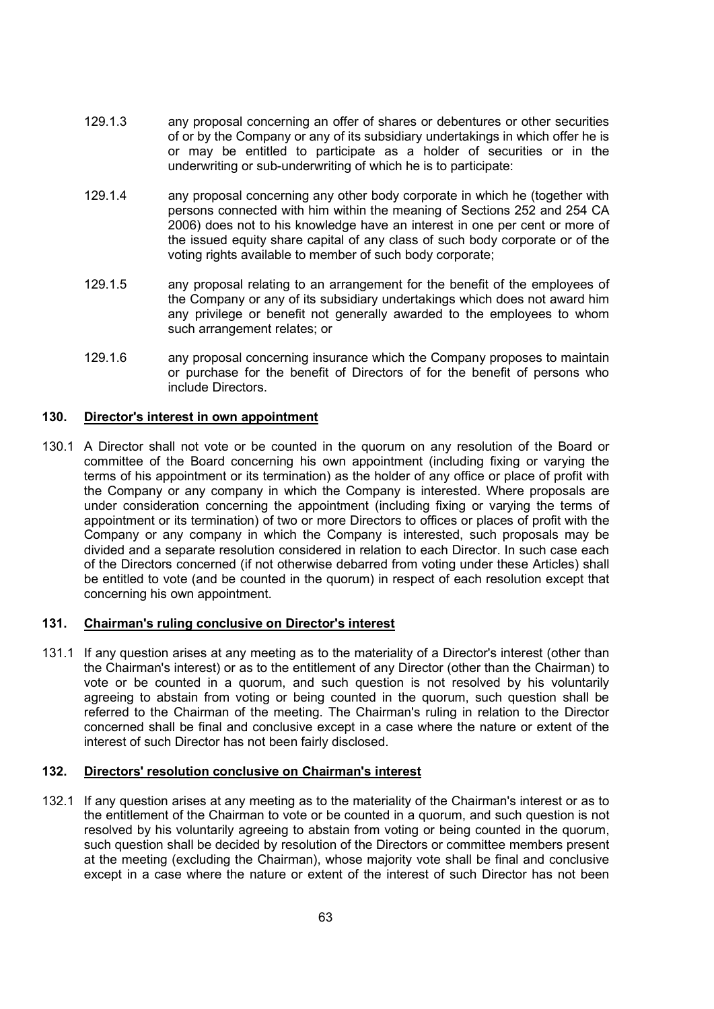- 129.1.3 any proposal concerning an offer of shares or debentures or other securities of or by the Company or any of its subsidiary undertakings in which offer he is or may be entitled to participate as a holder of securities or in the underwriting or sub-underwriting of which he is to participate:
- 129.1.4 any proposal concerning any other body corporate in which he (together with persons connected with him within the meaning of Sections 252 and 254 CA 2006) does not to his knowledge have an interest in one per cent or more of the issued equity share capital of any class of such body corporate or of the voting rights available to member of such body corporate;
- 129.1.5 any proposal relating to an arrangement for the benefit of the employees of the Company or any of its subsidiary undertakings which does not award him any privilege or benefit not generally awarded to the employees to whom such arrangement relates; or
- 129.1.6 any proposal concerning insurance which the Company proposes to maintain or purchase for the benefit of Directors of for the benefit of persons who include Directors.

# 130. Director's interest in own appointment

130.1 A Director shall not vote or be counted in the quorum on any resolution of the Board or committee of the Board concerning his own appointment (including fixing or varying the terms of his appointment or its termination) as the holder of any office or place of profit with the Company or any company in which the Company is interested. Where proposals are under consideration concerning the appointment (including fixing or varying the terms of appointment or its termination) of two or more Directors to offices or places of profit with the Company or any company in which the Company is interested, such proposals may be divided and a separate resolution considered in relation to each Director. In such case each of the Directors concerned (if not otherwise debarred from voting under these Articles) shall be entitled to vote (and be counted in the quorum) in respect of each resolution except that concerning his own appointment.

### 131. Chairman's ruling conclusive on Director's interest

131.1 If any question arises at any meeting as to the materiality of a Director's interest (other than the Chairman's interest) or as to the entitlement of any Director (other than the Chairman) to vote or be counted in a quorum, and such question is not resolved by his voluntarily agreeing to abstain from voting or being counted in the quorum, such question shall be referred to the Chairman of the meeting. The Chairman's ruling in relation to the Director concerned shall be final and conclusive except in a case where the nature or extent of the interest of such Director has not been fairly disclosed.

### 132. Directors' resolution conclusive on Chairman's interest

132.1 If any question arises at any meeting as to the materiality of the Chairman's interest or as to the entitlement of the Chairman to vote or be counted in a quorum, and such question is not resolved by his voluntarily agreeing to abstain from voting or being counted in the quorum, such question shall be decided by resolution of the Directors or committee members present at the meeting (excluding the Chairman), whose majority vote shall be final and conclusive except in a case where the nature or extent of the interest of such Director has not been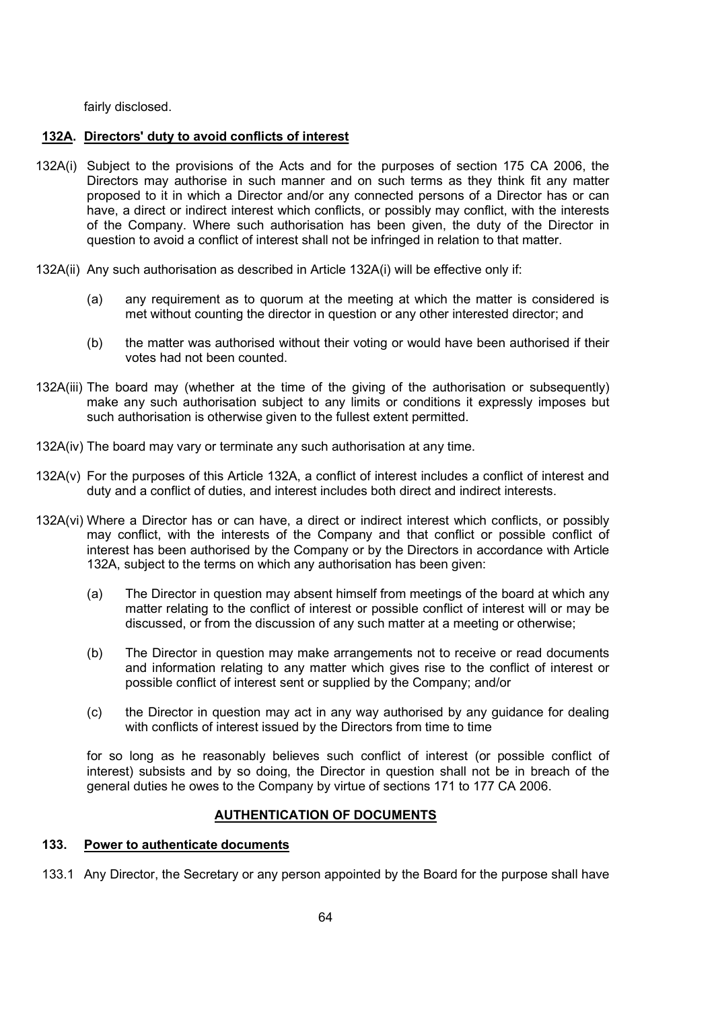fairly disclosed.

# 132A. Directors' duty to avoid conflicts of interest

- 132A(i) Subject to the provisions of the Acts and for the purposes of section 175 CA 2006, the Directors may authorise in such manner and on such terms as they think fit any matter proposed to it in which a Director and/or any connected persons of a Director has or can have, a direct or indirect interest which conflicts, or possibly may conflict, with the interests of the Company. Where such authorisation has been given, the duty of the Director in question to avoid a conflict of interest shall not be infringed in relation to that matter.
- 132A(ii) Any such authorisation as described in Article 132A(i) will be effective only if:
	- (a) any requirement as to quorum at the meeting at which the matter is considered is met without counting the director in question or any other interested director; and
	- (b) the matter was authorised without their voting or would have been authorised if their votes had not been counted.
- 132A(iii) The board may (whether at the time of the giving of the authorisation or subsequently) make any such authorisation subject to any limits or conditions it expressly imposes but such authorisation is otherwise given to the fullest extent permitted.
- 132A(iv) The board may vary or terminate any such authorisation at any time.
- 132A(v) For the purposes of this Article 132A, a conflict of interest includes a conflict of interest and duty and a conflict of duties, and interest includes both direct and indirect interests.
- 132A(vi) Where a Director has or can have, a direct or indirect interest which conflicts, or possibly may conflict, with the interests of the Company and that conflict or possible conflict of interest has been authorised by the Company or by the Directors in accordance with Article 132A, subject to the terms on which any authorisation has been given:
	- (a) The Director in question may absent himself from meetings of the board at which any matter relating to the conflict of interest or possible conflict of interest will or may be discussed, or from the discussion of any such matter at a meeting or otherwise;
	- (b) The Director in question may make arrangements not to receive or read documents and information relating to any matter which gives rise to the conflict of interest or possible conflict of interest sent or supplied by the Company; and/or
	- (c) the Director in question may act in any way authorised by any guidance for dealing with conflicts of interest issued by the Directors from time to time

 for so long as he reasonably believes such conflict of interest (or possible conflict of interest) subsists and by so doing, the Director in question shall not be in breach of the general duties he owes to the Company by virtue of sections 171 to 177 CA 2006.

# AUTHENTICATION OF DOCUMENTS

## 133. Power to authenticate documents

133.1 Any Director, the Secretary or any person appointed by the Board for the purpose shall have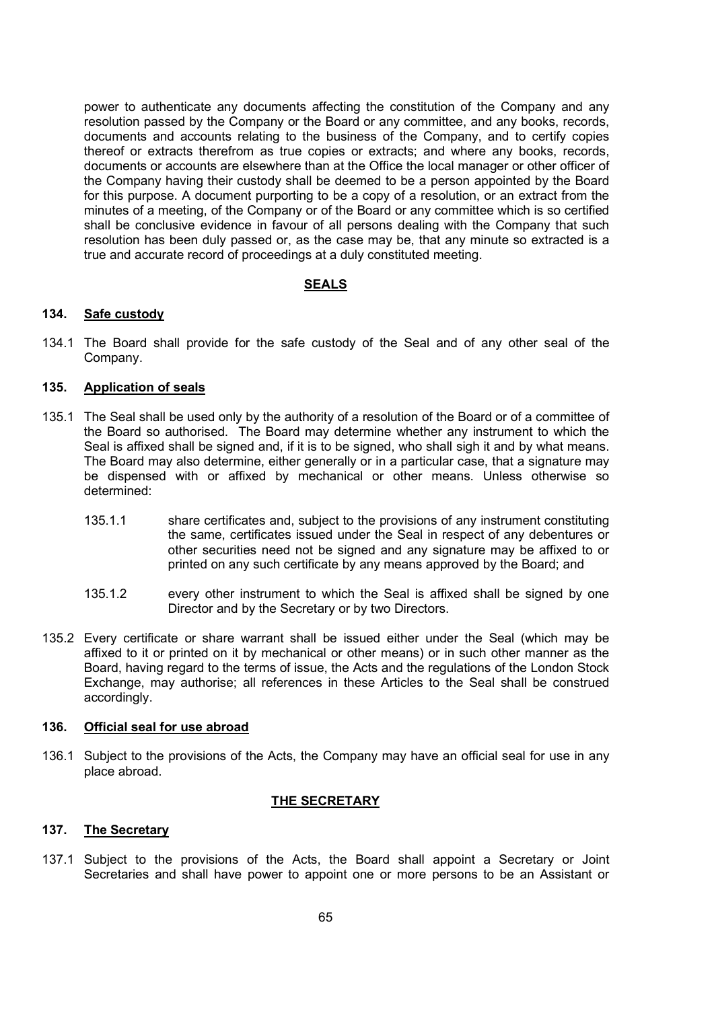power to authenticate any documents affecting the constitution of the Company and any resolution passed by the Company or the Board or any committee, and any books, records, documents and accounts relating to the business of the Company, and to certify copies thereof or extracts therefrom as true copies or extracts; and where any books, records, documents or accounts are elsewhere than at the Office the local manager or other officer of the Company having their custody shall be deemed to be a person appointed by the Board for this purpose. A document purporting to be a copy of a resolution, or an extract from the minutes of a meeting, of the Company or of the Board or any committee which is so certified shall be conclusive evidence in favour of all persons dealing with the Company that such resolution has been duly passed or, as the case may be, that any minute so extracted is a true and accurate record of proceedings at a duly constituted meeting.

### SEALS

## 134. Safe custody

134.1 The Board shall provide for the safe custody of the Seal and of any other seal of the Company.

#### 135. Application of seals

- 135.1 The Seal shall be used only by the authority of a resolution of the Board or of a committee of the Board so authorised. The Board may determine whether any instrument to which the Seal is affixed shall be signed and, if it is to be signed, who shall sigh it and by what means. The Board may also determine, either generally or in a particular case, that a signature may be dispensed with or affixed by mechanical or other means. Unless otherwise so determined:
	- 135.1.1 share certificates and, subject to the provisions of any instrument constituting the same, certificates issued under the Seal in respect of any debentures or other securities need not be signed and any signature may be affixed to or printed on any such certificate by any means approved by the Board; and
	- 135.1.2 every other instrument to which the Seal is affixed shall be signed by one Director and by the Secretary or by two Directors.
- 135.2 Every certificate or share warrant shall be issued either under the Seal (which may be affixed to it or printed on it by mechanical or other means) or in such other manner as the Board, having regard to the terms of issue, the Acts and the regulations of the London Stock Exchange, may authorise; all references in these Articles to the Seal shall be construed accordingly.

## 136. Official seal for use abroad

136.1 Subject to the provisions of the Acts, the Company may have an official seal for use in any place abroad.

### THE SECRETARY

#### 137. The Secretary

137.1 Subject to the provisions of the Acts, the Board shall appoint a Secretary or Joint Secretaries and shall have power to appoint one or more persons to be an Assistant or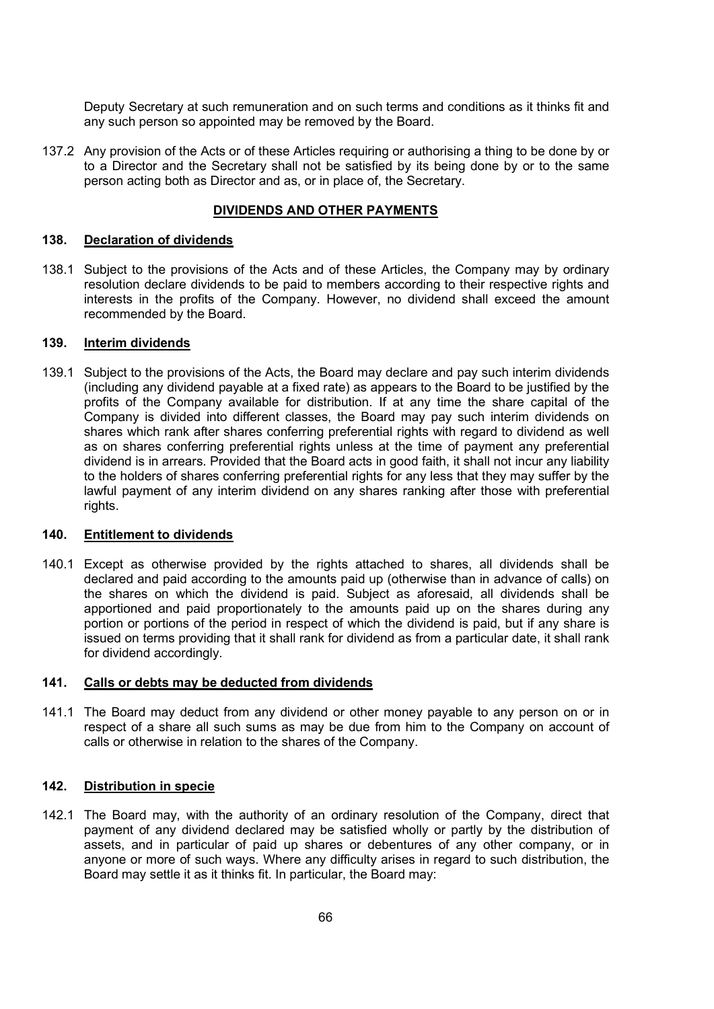Deputy Secretary at such remuneration and on such terms and conditions as it thinks fit and any such person so appointed may be removed by the Board.

137.2 Any provision of the Acts or of these Articles requiring or authorising a thing to be done by or to a Director and the Secretary shall not be satisfied by its being done by or to the same person acting both as Director and as, or in place of, the Secretary.

## DIVIDENDS AND OTHER PAYMENTS

#### 138. Declaration of dividends

138.1 Subject to the provisions of the Acts and of these Articles, the Company may by ordinary resolution declare dividends to be paid to members according to their respective rights and interests in the profits of the Company. However, no dividend shall exceed the amount recommended by the Board.

#### 139. Interim dividends

139.1 Subject to the provisions of the Acts, the Board may declare and pay such interim dividends (including any dividend payable at a fixed rate) as appears to the Board to be justified by the profits of the Company available for distribution. If at any time the share capital of the Company is divided into different classes, the Board may pay such interim dividends on shares which rank after shares conferring preferential rights with regard to dividend as well as on shares conferring preferential rights unless at the time of payment any preferential dividend is in arrears. Provided that the Board acts in good faith, it shall not incur any liability to the holders of shares conferring preferential rights for any less that they may suffer by the lawful payment of any interim dividend on any shares ranking after those with preferential rights.

## 140. Entitlement to dividends

140.1 Except as otherwise provided by the rights attached to shares, all dividends shall be declared and paid according to the amounts paid up (otherwise than in advance of calls) on the shares on which the dividend is paid. Subject as aforesaid, all dividends shall be apportioned and paid proportionately to the amounts paid up on the shares during any portion or portions of the period in respect of which the dividend is paid, but if any share is issued on terms providing that it shall rank for dividend as from a particular date, it shall rank for dividend accordingly.

#### 141. Calls or debts may be deducted from dividends

141.1 The Board may deduct from any dividend or other money payable to any person on or in respect of a share all such sums as may be due from him to the Company on account of calls or otherwise in relation to the shares of the Company.

### 142. Distribution in specie

142.1 The Board may, with the authority of an ordinary resolution of the Company, direct that payment of any dividend declared may be satisfied wholly or partly by the distribution of assets, and in particular of paid up shares or debentures of any other company, or in anyone or more of such ways. Where any difficulty arises in regard to such distribution, the Board may settle it as it thinks fit. In particular, the Board may: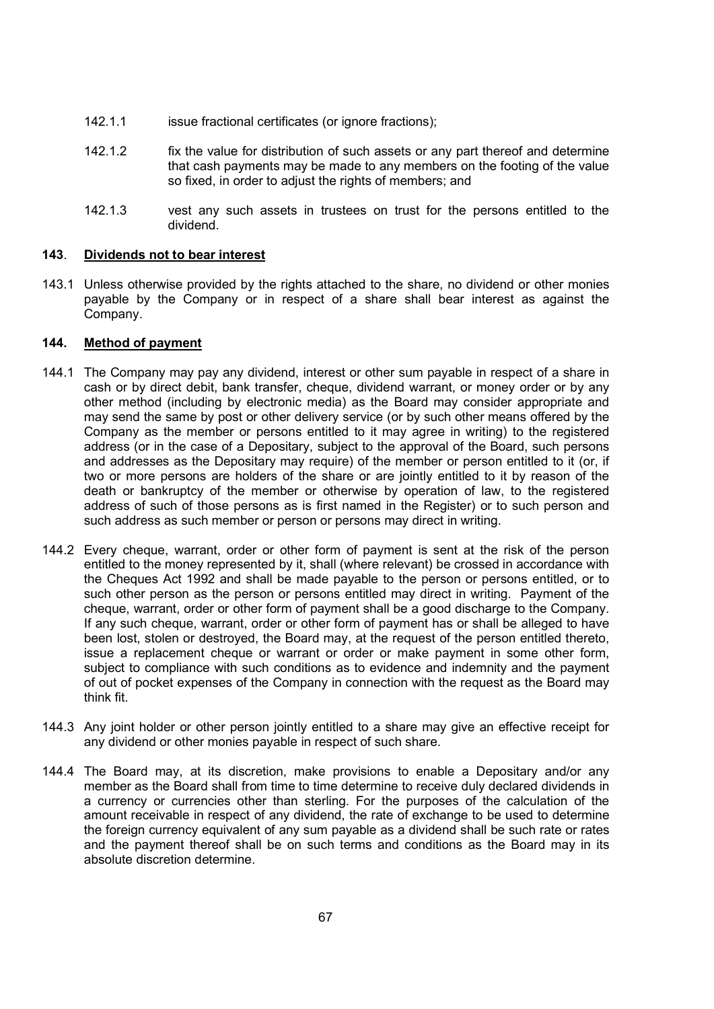- 142.1.1 issue fractional certificates (or ignore fractions);
- 142.1.2 fix the value for distribution of such assets or any part thereof and determine that cash payments may be made to any members on the footing of the value so fixed, in order to adjust the rights of members; and
- 142.1.3 vest any such assets in trustees on trust for the persons entitled to the dividend.

#### 143. Dividends not to bear interest

143.1 Unless otherwise provided by the rights attached to the share, no dividend or other monies payable by the Company or in respect of a share shall bear interest as against the Company.

# 144. Method of payment

- 144.1 The Company may pay any dividend, interest or other sum payable in respect of a share in cash or by direct debit, bank transfer, cheque, dividend warrant, or money order or by any other method (including by electronic media) as the Board may consider appropriate and may send the same by post or other delivery service (or by such other means offered by the Company as the member or persons entitled to it may agree in writing) to the registered address (or in the case of a Depositary, subject to the approval of the Board, such persons and addresses as the Depositary may require) of the member or person entitled to it (or, if two or more persons are holders of the share or are jointly entitled to it by reason of the death or bankruptcy of the member or otherwise by operation of law, to the registered address of such of those persons as is first named in the Register) or to such person and such address as such member or person or persons may direct in writing.
- 144.2 Every cheque, warrant, order or other form of payment is sent at the risk of the person entitled to the money represented by it, shall (where relevant) be crossed in accordance with the Cheques Act 1992 and shall be made payable to the person or persons entitled, or to such other person as the person or persons entitled may direct in writing. Payment of the cheque, warrant, order or other form of payment shall be a good discharge to the Company. If any such cheque, warrant, order or other form of payment has or shall be alleged to have been lost, stolen or destroyed, the Board may, at the request of the person entitled thereto, issue a replacement cheque or warrant or order or make payment in some other form, subject to compliance with such conditions as to evidence and indemnity and the payment of out of pocket expenses of the Company in connection with the request as the Board may think fit.
- 144.3 Any joint holder or other person jointly entitled to a share may give an effective receipt for any dividend or other monies payable in respect of such share.
- 144.4 The Board may, at its discretion, make provisions to enable a Depositary and/or any member as the Board shall from time to time determine to receive duly declared dividends in a currency or currencies other than sterling. For the purposes of the calculation of the amount receivable in respect of any dividend, the rate of exchange to be used to determine the foreign currency equivalent of any sum payable as a dividend shall be such rate or rates and the payment thereof shall be on such terms and conditions as the Board may in its absolute discretion determine.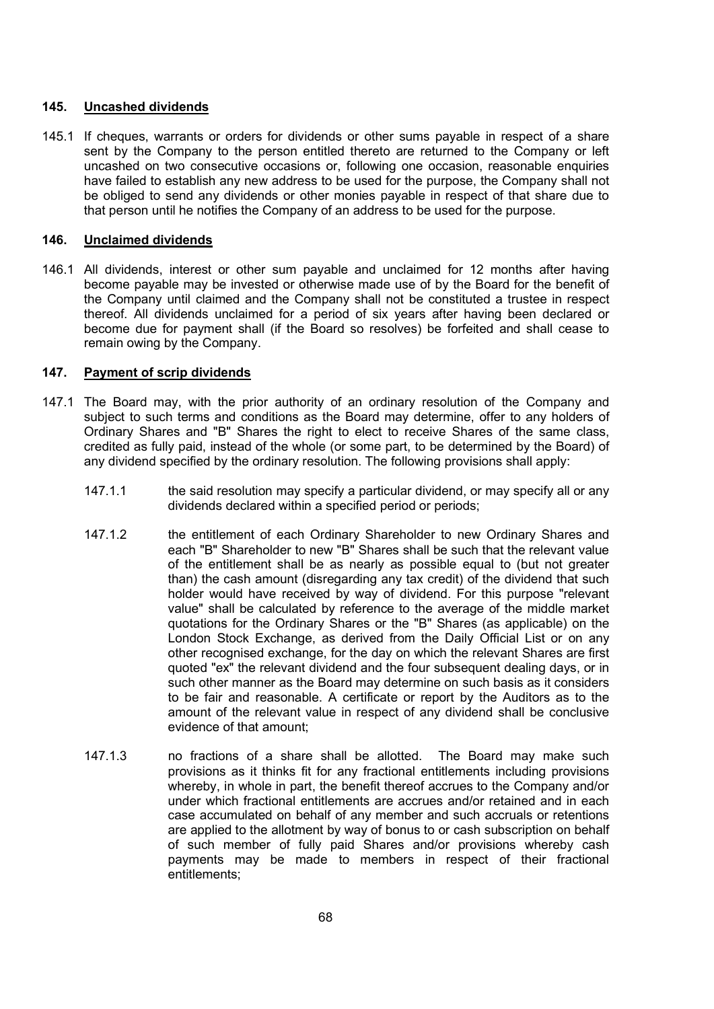## 145. Uncashed dividends

145.1 If cheques, warrants or orders for dividends or other sums payable in respect of a share sent by the Company to the person entitled thereto are returned to the Company or left uncashed on two consecutive occasions or, following one occasion, reasonable enquiries have failed to establish any new address to be used for the purpose, the Company shall not be obliged to send any dividends or other monies payable in respect of that share due to that person until he notifies the Company of an address to be used for the purpose.

## 146. Unclaimed dividends

146.1 All dividends, interest or other sum payable and unclaimed for 12 months after having become payable may be invested or otherwise made use of by the Board for the benefit of the Company until claimed and the Company shall not be constituted a trustee in respect thereof. All dividends unclaimed for a period of six years after having been declared or become due for payment shall (if the Board so resolves) be forfeited and shall cease to remain owing by the Company.

## 147. Payment of scrip dividends

- 147.1 The Board may, with the prior authority of an ordinary resolution of the Company and subject to such terms and conditions as the Board may determine, offer to any holders of Ordinary Shares and "B" Shares the right to elect to receive Shares of the same class, credited as fully paid, instead of the whole (or some part, to be determined by the Board) of any dividend specified by the ordinary resolution. The following provisions shall apply:
	- 147.1.1 the said resolution may specify a particular dividend, or may specify all or any dividends declared within a specified period or periods;
	- 147.1.2 the entitlement of each Ordinary Shareholder to new Ordinary Shares and each "B" Shareholder to new "B" Shares shall be such that the relevant value of the entitlement shall be as nearly as possible equal to (but not greater than) the cash amount (disregarding any tax credit) of the dividend that such holder would have received by way of dividend. For this purpose "relevant value" shall be calculated by reference to the average of the middle market quotations for the Ordinary Shares or the "B" Shares (as applicable) on the London Stock Exchange, as derived from the Daily Official List or on any other recognised exchange, for the day on which the relevant Shares are first quoted "ex" the relevant dividend and the four subsequent dealing days, or in such other manner as the Board may determine on such basis as it considers to be fair and reasonable. A certificate or report by the Auditors as to the amount of the relevant value in respect of any dividend shall be conclusive evidence of that amount;
	- 147.1.3 no fractions of a share shall be allotted. The Board may make such provisions as it thinks fit for any fractional entitlements including provisions whereby, in whole in part, the benefit thereof accrues to the Company and/or under which fractional entitlements are accrues and/or retained and in each case accumulated on behalf of any member and such accruals or retentions are applied to the allotment by way of bonus to or cash subscription on behalf of such member of fully paid Shares and/or provisions whereby cash payments may be made to members in respect of their fractional entitlements;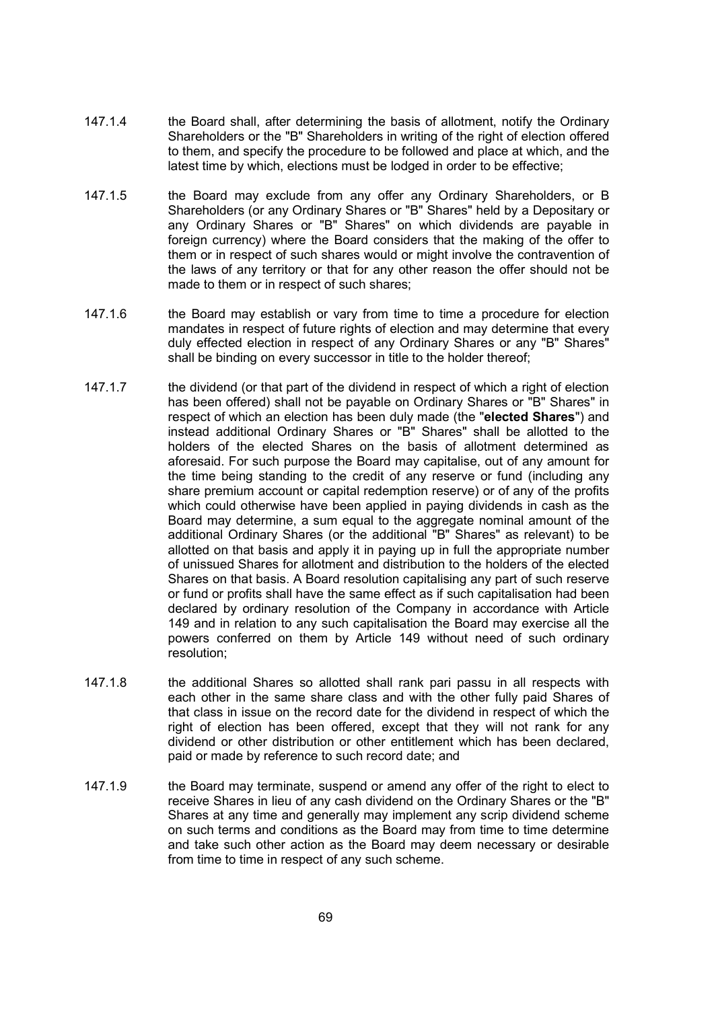- 147.1.4 the Board shall, after determining the basis of allotment, notify the Ordinary Shareholders or the "B" Shareholders in writing of the right of election offered to them, and specify the procedure to be followed and place at which, and the latest time by which, elections must be lodged in order to be effective;
- 147.1.5 the Board may exclude from any offer any Ordinary Shareholders, or B Shareholders (or any Ordinary Shares or "B" Shares" held by a Depositary or any Ordinary Shares or "B" Shares" on which dividends are payable in foreign currency) where the Board considers that the making of the offer to them or in respect of such shares would or might involve the contravention of the laws of any territory or that for any other reason the offer should not be made to them or in respect of such shares;
- 147.1.6 the Board may establish or vary from time to time a procedure for election mandates in respect of future rights of election and may determine that every dulv effected election in respect of any Ordinary Shares or any "B" Shares" shall be binding on every successor in title to the holder thereof;
- 147.1.7 the dividend (or that part of the dividend in respect of which a right of election has been offered) shall not be payable on Ordinary Shares or "B" Shares" in respect of which an election has been duly made (the "elected Shares") and instead additional Ordinary Shares or "B" Shares" shall be allotted to the holders of the elected Shares on the basis of allotment determined as aforesaid. For such purpose the Board may capitalise, out of any amount for the time being standing to the credit of any reserve or fund (including any share premium account or capital redemption reserve) or of any of the profits which could otherwise have been applied in paying dividends in cash as the Board may determine, a sum equal to the aggregate nominal amount of the additional Ordinary Shares (or the additional "B" Shares" as relevant) to be allotted on that basis and apply it in paying up in full the appropriate number of unissued Shares for allotment and distribution to the holders of the elected Shares on that basis. A Board resolution capitalising any part of such reserve or fund or profits shall have the same effect as if such capitalisation had been declared by ordinary resolution of the Company in accordance with Article 149 and in relation to any such capitalisation the Board may exercise all the powers conferred on them by Article 149 without need of such ordinary resolution;
- 147.1.8 the additional Shares so allotted shall rank pari passu in all respects with each other in the same share class and with the other fully paid Shares of that class in issue on the record date for the dividend in respect of which the right of election has been offered, except that they will not rank for any dividend or other distribution or other entitlement which has been declared, paid or made by reference to such record date; and
- 147.1.9 the Board may terminate, suspend or amend any offer of the right to elect to receive Shares in lieu of any cash dividend on the Ordinary Shares or the "B" Shares at any time and generally may implement any scrip dividend scheme on such terms and conditions as the Board may from time to time determine and take such other action as the Board may deem necessary or desirable from time to time in respect of any such scheme.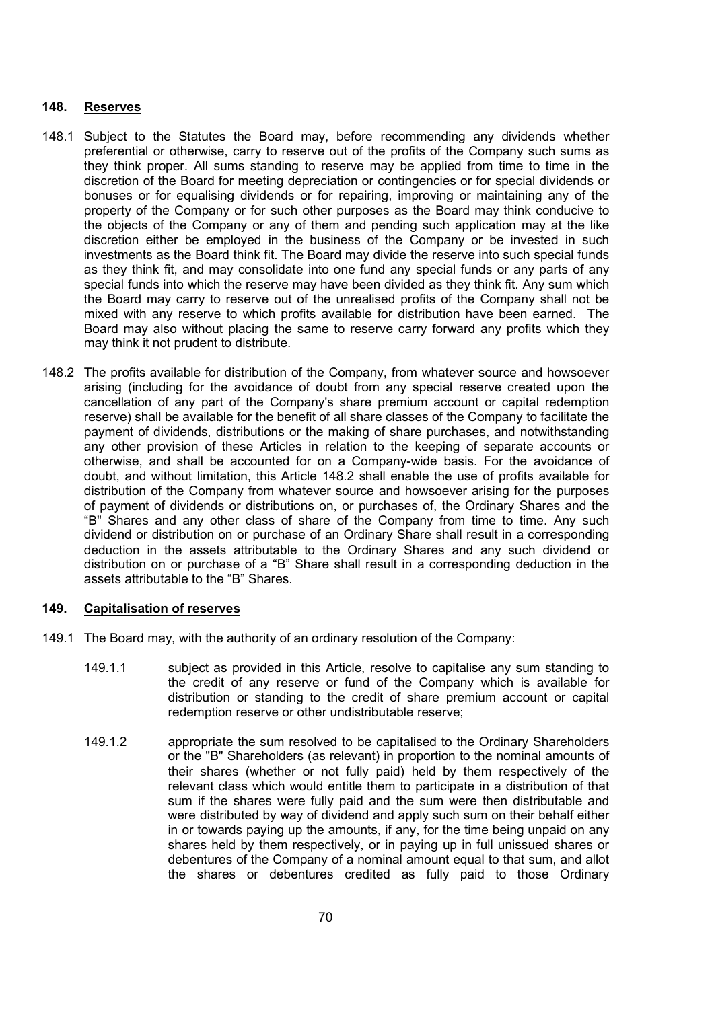### 148. Reserves

- 148.1 Subject to the Statutes the Board may, before recommending any dividends whether preferential or otherwise, carry to reserve out of the profits of the Company such sums as they think proper. All sums standing to reserve may be applied from time to time in the discretion of the Board for meeting depreciation or contingencies or for special dividends or bonuses or for equalising dividends or for repairing, improving or maintaining any of the property of the Company or for such other purposes as the Board may think conducive to the objects of the Company or any of them and pending such application may at the like discretion either be employed in the business of the Company or be invested in such investments as the Board think fit. The Board may divide the reserve into such special funds as they think fit, and may consolidate into one fund any special funds or any parts of any special funds into which the reserve may have been divided as they think fit. Any sum which the Board may carry to reserve out of the unrealised profits of the Company shall not be mixed with any reserve to which profits available for distribution have been earned. The Board may also without placing the same to reserve carry forward any profits which they may think it not prudent to distribute.
- 148.2 The profits available for distribution of the Company, from whatever source and howsoever arising (including for the avoidance of doubt from any special reserve created upon the cancellation of any part of the Company's share premium account or capital redemption reserve) shall be available for the benefit of all share classes of the Company to facilitate the payment of dividends, distributions or the making of share purchases, and notwithstanding any other provision of these Articles in relation to the keeping of separate accounts or otherwise, and shall be accounted for on a Company-wide basis. For the avoidance of doubt, and without limitation, this Article 148.2 shall enable the use of profits available for distribution of the Company from whatever source and howsoever arising for the purposes of payment of dividends or distributions on, or purchases of, the Ordinary Shares and the "B" Shares and any other class of share of the Company from time to time. Any such dividend or distribution on or purchase of an Ordinary Share shall result in a corresponding deduction in the assets attributable to the Ordinary Shares and any such dividend or distribution on or purchase of a "B" Share shall result in a corresponding deduction in the assets attributable to the "B" Shares.

### 149. Capitalisation of reserves

- 149.1 The Board may, with the authority of an ordinary resolution of the Company:
	- 149.1.1 subject as provided in this Article, resolve to capitalise any sum standing to the credit of any reserve or fund of the Company which is available for distribution or standing to the credit of share premium account or capital redemption reserve or other undistributable reserve;
	- 149.1.2 appropriate the sum resolved to be capitalised to the Ordinary Shareholders or the "B" Shareholders (as relevant) in proportion to the nominal amounts of their shares (whether or not fully paid) held by them respectively of the relevant class which would entitle them to participate in a distribution of that sum if the shares were fully paid and the sum were then distributable and were distributed by way of dividend and apply such sum on their behalf either in or towards paying up the amounts, if any, for the time being unpaid on any shares held by them respectively, or in paying up in full unissued shares or debentures of the Company of a nominal amount equal to that sum, and allot the shares or debentures credited as fully paid to those Ordinary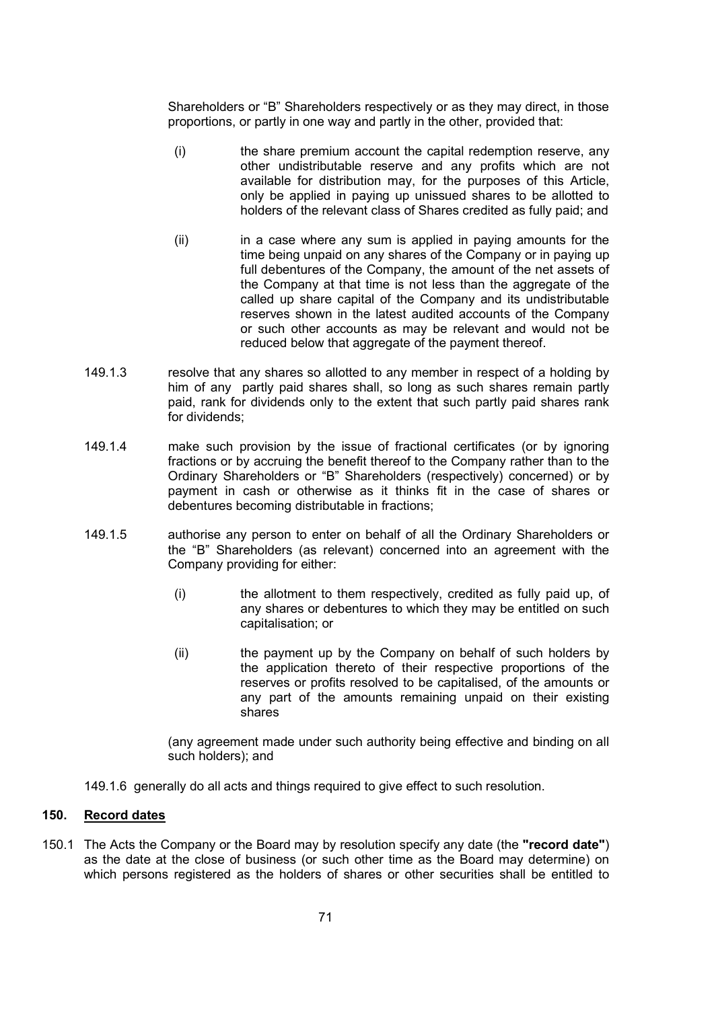Shareholders or "B" Shareholders respectively or as they may direct, in those proportions, or partly in one way and partly in the other, provided that:

- (i) the share premium account the capital redemption reserve, any other undistributable reserve and any profits which are not available for distribution may, for the purposes of this Article, only be applied in paying up unissued shares to be allotted to holders of the relevant class of Shares credited as fully paid; and
- (ii) in a case where any sum is applied in paying amounts for the time being unpaid on any shares of the Company or in paying up full debentures of the Company, the amount of the net assets of the Company at that time is not less than the aggregate of the called up share capital of the Company and its undistributable reserves shown in the latest audited accounts of the Company or such other accounts as may be relevant and would not be reduced below that aggregate of the payment thereof.
- 149.1.3 resolve that any shares so allotted to any member in respect of a holding by him of any partly paid shares shall, so long as such shares remain partly paid, rank for dividends only to the extent that such partly paid shares rank for dividends;
- 149.1.4 make such provision by the issue of fractional certificates (or by ignoring fractions or by accruing the benefit thereof to the Company rather than to the Ordinary Shareholders or "B" Shareholders (respectively) concerned) or by payment in cash or otherwise as it thinks fit in the case of shares or debentures becoming distributable in fractions;
- 149.1.5 authorise any person to enter on behalf of all the Ordinary Shareholders or the "B" Shareholders (as relevant) concerned into an agreement with the Company providing for either:
	- (i) the allotment to them respectively, credited as fully paid up, of any shares or debentures to which they may be entitled on such capitalisation; or
	- (ii) the payment up by the Company on behalf of such holders by the application thereto of their respective proportions of the reserves or profits resolved to be capitalised, of the amounts or any part of the amounts remaining unpaid on their existing shares

(any agreement made under such authority being effective and binding on all such holders); and

149.1.6 generally do all acts and things required to give effect to such resolution.

### 150. Record dates

150.1 The Acts the Company or the Board may by resolution specify any date (the "record date") as the date at the close of business (or such other time as the Board may determine) on which persons registered as the holders of shares or other securities shall be entitled to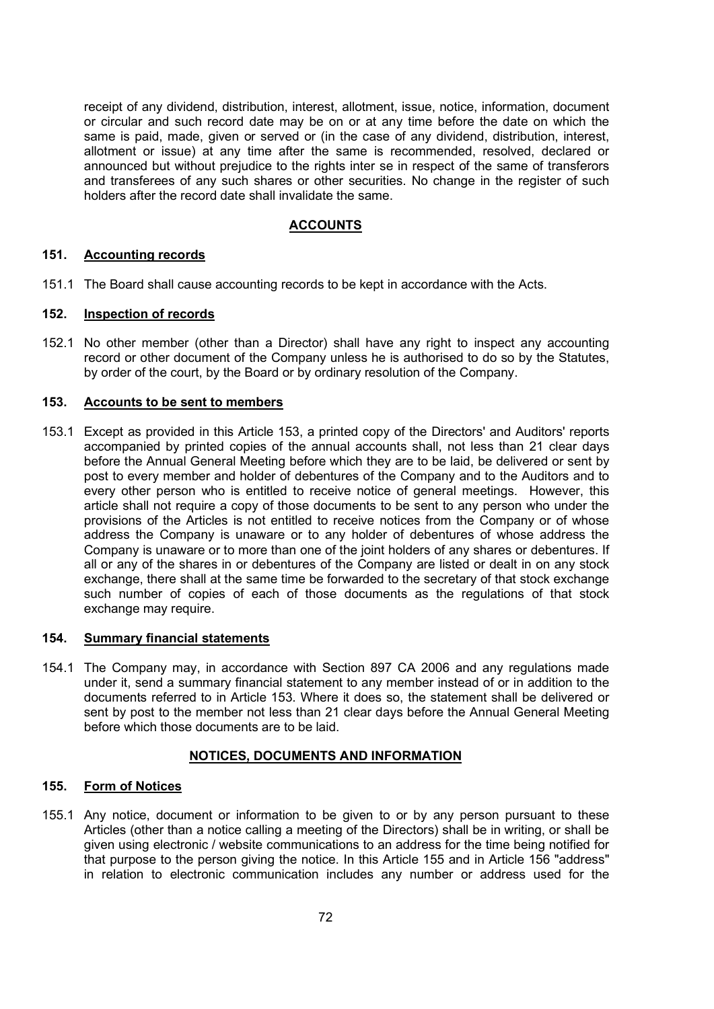receipt of any dividend, distribution, interest, allotment, issue, notice, information, document or circular and such record date may be on or at any time before the date on which the same is paid, made, given or served or (in the case of any dividend, distribution, interest, allotment or issue) at any time after the same is recommended, resolved, declared or announced but without prejudice to the rights inter se in respect of the same of transferors and transferees of any such shares or other securities. No change in the register of such holders after the record date shall invalidate the same.

### ACCOUNTS

#### 151. Accounting records

151.1 The Board shall cause accounting records to be kept in accordance with the Acts.

#### 152. Inspection of records

152.1 No other member (other than a Director) shall have any right to inspect any accounting record or other document of the Company unless he is authorised to do so by the Statutes, by order of the court, by the Board or by ordinary resolution of the Company.

#### 153. Accounts to be sent to members

153.1 Except as provided in this Article 153, a printed copy of the Directors' and Auditors' reports accompanied by printed copies of the annual accounts shall, not less than 21 clear days before the Annual General Meeting before which they are to be laid, be delivered or sent by post to every member and holder of debentures of the Company and to the Auditors and to every other person who is entitled to receive notice of general meetings. However, this article shall not require a copy of those documents to be sent to any person who under the provisions of the Articles is not entitled to receive notices from the Company or of whose address the Company is unaware or to any holder of debentures of whose address the Company is unaware or to more than one of the joint holders of any shares or debentures. If all or any of the shares in or debentures of the Company are listed or dealt in on any stock exchange, there shall at the same time be forwarded to the secretary of that stock exchange such number of copies of each of those documents as the regulations of that stock exchange may require.

#### 154. Summary financial statements

154.1 The Company may, in accordance with Section 897 CA 2006 and any regulations made under it, send a summary financial statement to any member instead of or in addition to the documents referred to in Article 153. Where it does so, the statement shall be delivered or sent by post to the member not less than 21 clear days before the Annual General Meeting before which those documents are to be laid.

### NOTICES, DOCUMENTS AND INFORMATION

## 155. Form of Notices

155.1 Any notice, document or information to be given to or by any person pursuant to these Articles (other than a notice calling a meeting of the Directors) shall be in writing, or shall be given using electronic / website communications to an address for the time being notified for that purpose to the person giving the notice. In this Article 155 and in Article 156 "address" in relation to electronic communication includes any number or address used for the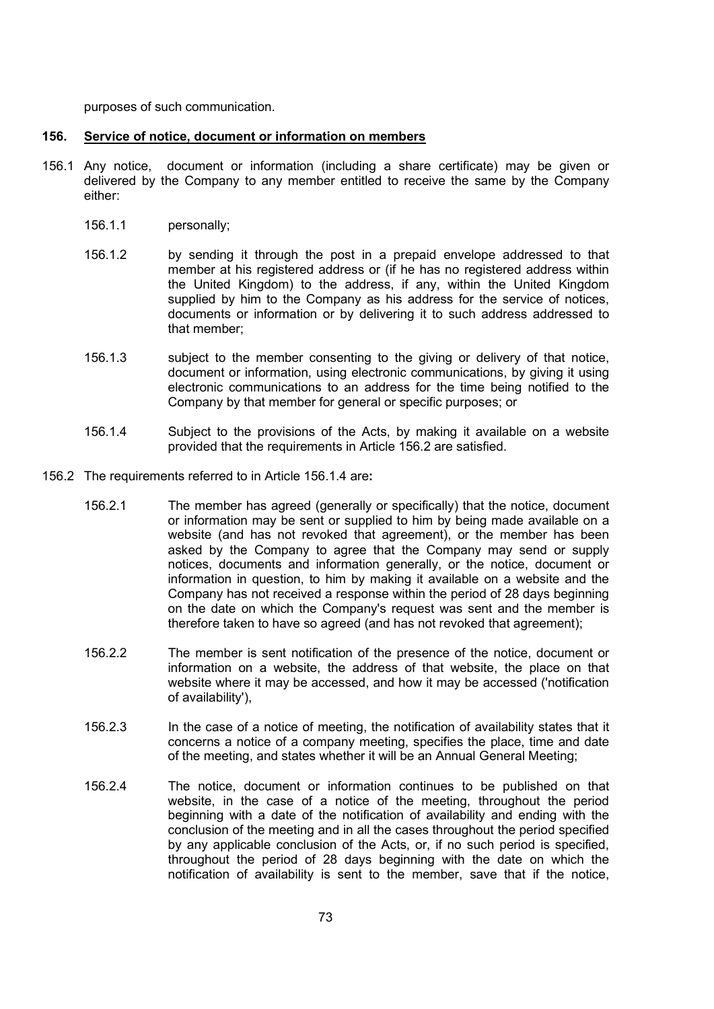purposes of such communication.

#### 156. Service of notice, document or information on members

- 156.1 Any notice, document or information (including a share certificate) may be given or delivered by the Company to any member entitled to receive the same by the Company either:
	- 156.1.1 personally;
	- 156.1.2 by sending it through the post in a prepaid envelope addressed to that member at his registered address or (if he has no registered address within the United Kingdom) to the address, if any, within the United Kingdom supplied by him to the Company as his address for the service of notices, documents or information or by delivering it to such address addressed to that member;
	- 156.1.3 subject to the member consenting to the giving or delivery of that notice, document or information, using electronic communications, by giving it using electronic communications to an address for the time being notified to the Company by that member for general or specific purposes; or
	- 156.1.4 Subject to the provisions of the Acts, by making it available on a website provided that the requirements in Article 156.2 are satisfied.
- 156.2 The requirements referred to in Article 156.1.4 are:
	- 156.2.1 The member has agreed (generally or specifically) that the notice, document or information may be sent or supplied to him by being made available on a website (and has not revoked that agreement), or the member has been asked by the Company to agree that the Company may send or supply notices, documents and information generally, or the notice, document or information in question, to him by making it available on a website and the Company has not received a response within the period of 28 days beginning on the date on which the Company's request was sent and the member is therefore taken to have so agreed (and has not revoked that agreement);
	- 156.2.2 The member is sent notification of the presence of the notice, document or information on a website, the address of that website, the place on that website where it may be accessed, and how it may be accessed ('notification of availability'),
	- 156.2.3 In the case of a notice of meeting, the notification of availability states that it concerns a notice of a company meeting, specifies the place, time and date of the meeting, and states whether it will be an Annual General Meeting;
	- 156.2.4 The notice, document or information continues to be published on that website, in the case of a notice of the meeting, throughout the period beginning with a date of the notification of availability and ending with the conclusion of the meeting and in all the cases throughout the period specified by any applicable conclusion of the Acts, or, if no such period is specified, throughout the period of 28 days beginning with the date on which the notification of availability is sent to the member, save that if the notice,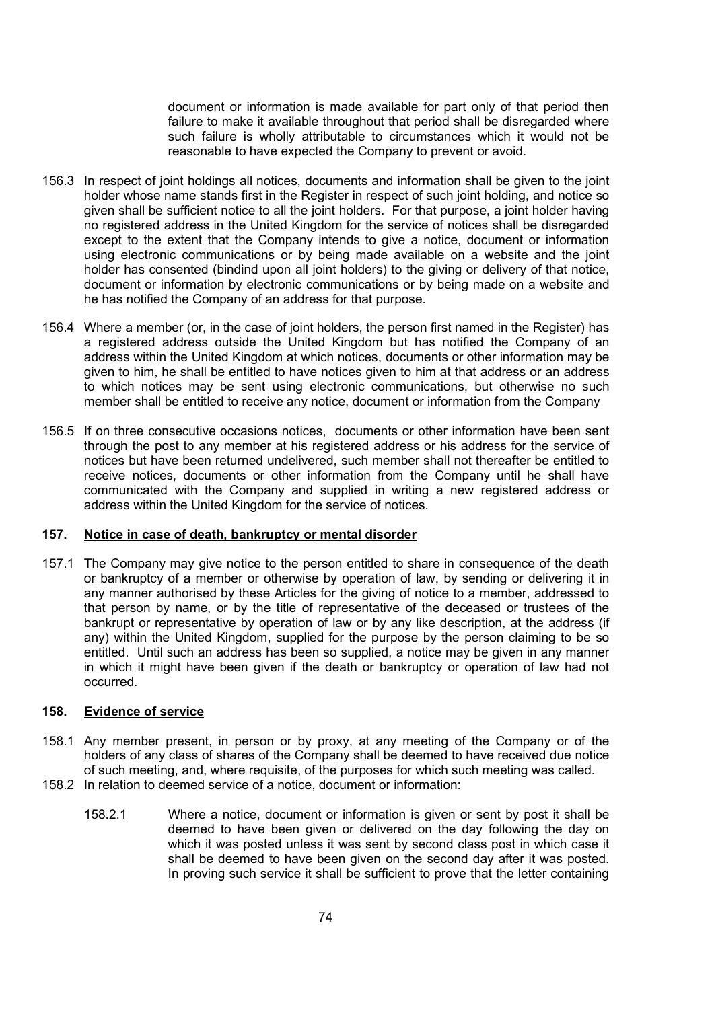document or information is made available for part only of that period then failure to make it available throughout that period shall be disregarded where such failure is wholly attributable to circumstances which it would not be reasonable to have expected the Company to prevent or avoid.

- 156.3 In respect of joint holdings all notices, documents and information shall be given to the joint holder whose name stands first in the Register in respect of such joint holding, and notice so given shall be sufficient notice to all the joint holders. For that purpose, a joint holder having no registered address in the United Kingdom for the service of notices shall be disregarded except to the extent that the Company intends to give a notice, document or information using electronic communications or by being made available on a website and the joint holder has consented (bindind upon all joint holders) to the giving or delivery of that notice, document or information by electronic communications or by being made on a website and he has notified the Company of an address for that purpose.
- 156.4 Where a member (or, in the case of joint holders, the person first named in the Register) has a registered address outside the United Kingdom but has notified the Company of an address within the United Kingdom at which notices, documents or other information may be given to him, he shall be entitled to have notices given to him at that address or an address to which notices may be sent using electronic communications, but otherwise no such member shall be entitled to receive any notice, document or information from the Company
- 156.5 If on three consecutive occasions notices, documents or other information have been sent through the post to any member at his registered address or his address for the service of notices but have been returned undelivered, such member shall not thereafter be entitled to receive notices, documents or other information from the Company until he shall have communicated with the Company and supplied in writing a new registered address or address within the United Kingdom for the service of notices.

#### 157. Notice in case of death, bankruptcy or mental disorder

157.1 The Company may give notice to the person entitled to share in consequence of the death or bankruptcy of a member or otherwise by operation of law, by sending or delivering it in any manner authorised by these Articles for the giving of notice to a member, addressed to that person by name, or by the title of representative of the deceased or trustees of the bankrupt or representative by operation of law or by any like description, at the address (if any) within the United Kingdom, supplied for the purpose by the person claiming to be so entitled. Until such an address has been so supplied, a notice may be given in any manner in which it might have been given if the death or bankruptcy or operation of law had not occurred.

#### 158. Evidence of service

- 158.1 Any member present, in person or by proxy, at any meeting of the Company or of the holders of any class of shares of the Company shall be deemed to have received due notice of such meeting, and, where requisite, of the purposes for which such meeting was called.
- 158.2 In relation to deemed service of a notice, document or information:
	- 158.2.1 Where a notice, document or information is given or sent by post it shall be deemed to have been given or delivered on the day following the day on which it was posted unless it was sent by second class post in which case it shall be deemed to have been given on the second day after it was posted. In proving such service it shall be sufficient to prove that the letter containing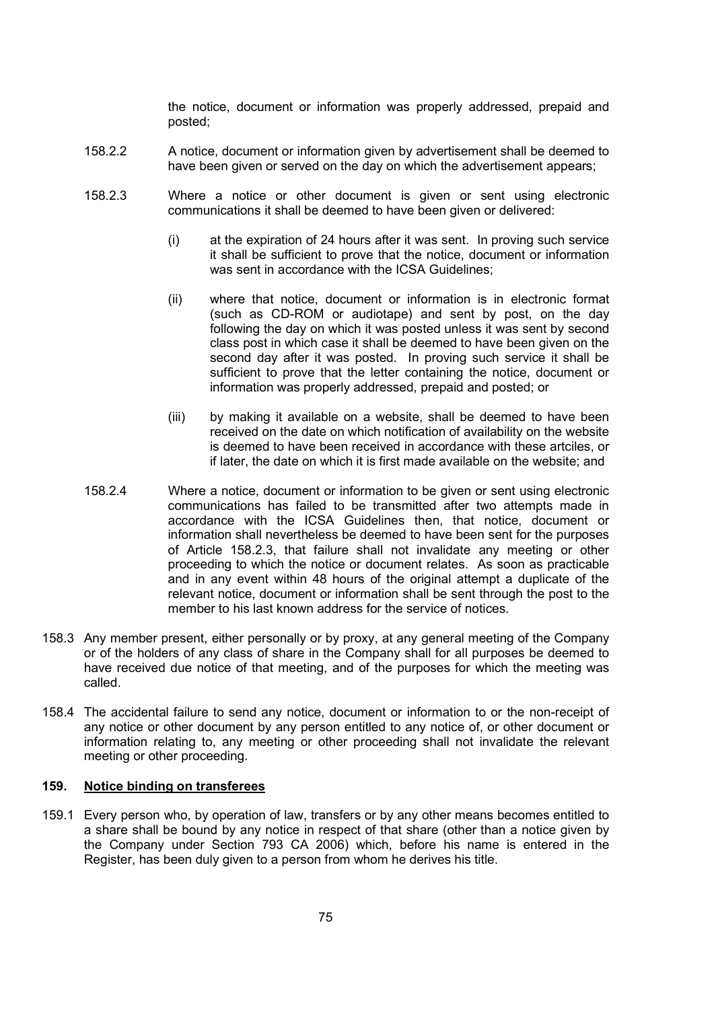the notice, document or information was properly addressed, prepaid and posted;

- 158.2.2 A notice, document or information given by advertisement shall be deemed to have been given or served on the day on which the advertisement appears;
- 158.2.3 Where a notice or other document is given or sent using electronic communications it shall be deemed to have been given or delivered:
	- (i) at the expiration of 24 hours after it was sent. In proving such service it shall be sufficient to prove that the notice, document or information was sent in accordance with the ICSA Guidelines:
	- (ii) where that notice, document or information is in electronic format (such as CD-ROM or audiotape) and sent by post, on the day following the day on which it was posted unless it was sent by second class post in which case it shall be deemed to have been given on the second day after it was posted. In proving such service it shall be sufficient to prove that the letter containing the notice, document or information was properly addressed, prepaid and posted; or
	- (iii) by making it available on a website, shall be deemed to have been received on the date on which notification of availability on the website is deemed to have been received in accordance with these artciles, or if later, the date on which it is first made available on the website; and
- 158.2.4 Where a notice, document or information to be given or sent using electronic communications has failed to be transmitted after two attempts made in accordance with the ICSA Guidelines then, that notice, document or information shall nevertheless be deemed to have been sent for the purposes of Article 158.2.3, that failure shall not invalidate any meeting or other proceeding to which the notice or document relates. As soon as practicable and in any event within 48 hours of the original attempt a duplicate of the relevant notice, document or information shall be sent through the post to the member to his last known address for the service of notices.
- 158.3 Any member present, either personally or by proxy, at any general meeting of the Company or of the holders of any class of share in the Company shall for all purposes be deemed to have received due notice of that meeting, and of the purposes for which the meeting was called.
- 158.4 The accidental failure to send any notice, document or information to or the non-receipt of any notice or other document by any person entitled to any notice of, or other document or information relating to, any meeting or other proceeding shall not invalidate the relevant meeting or other proceeding.

## 159. Notice binding on transferees

159.1 Every person who, by operation of law, transfers or by any other means becomes entitled to a share shall be bound by any notice in respect of that share (other than a notice given by the Company under Section 793 CA 2006) which, before his name is entered in the Register, has been duly given to a person from whom he derives his title.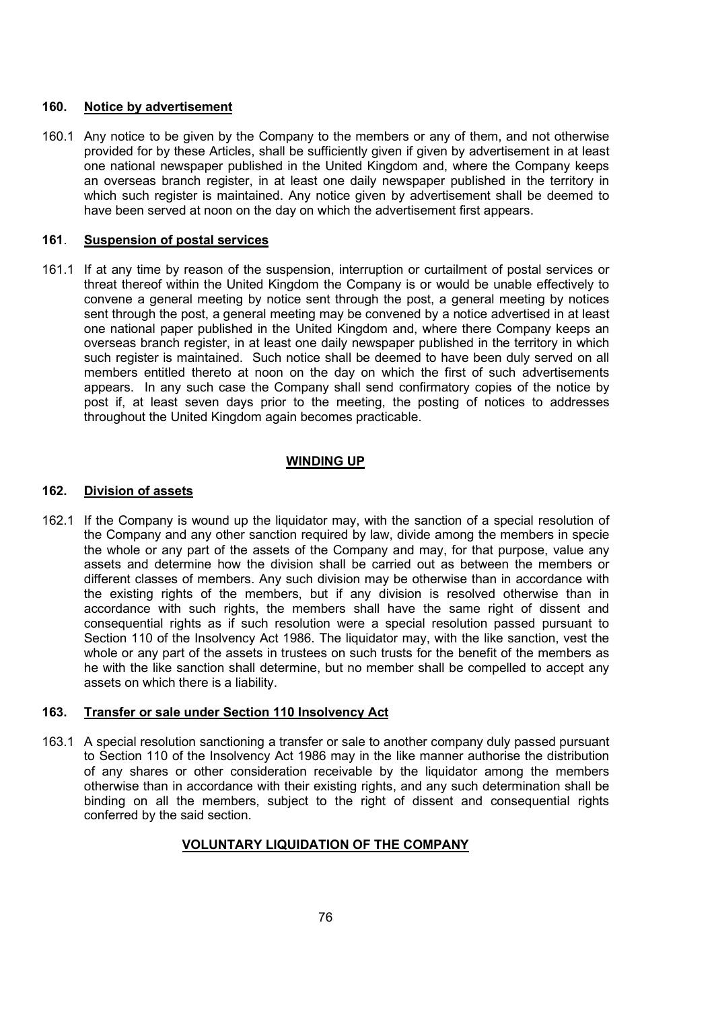#### 160. Notice by advertisement

160.1 Any notice to be given by the Company to the members or any of them, and not otherwise provided for by these Articles, shall be sufficiently given if given by advertisement in at least one national newspaper published in the United Kingdom and, where the Company keeps an overseas branch register, in at least one daily newspaper published in the territory in which such register is maintained. Any notice given by advertisement shall be deemed to have been served at noon on the day on which the advertisement first appears.

# 161. Suspension of postal services

161.1 If at any time by reason of the suspension, interruption or curtailment of postal services or threat thereof within the United Kingdom the Company is or would be unable effectively to convene a general meeting by notice sent through the post, a general meeting by notices sent through the post, a general meeting may be convened by a notice advertised in at least one national paper published in the United Kingdom and, where there Company keeps an overseas branch register, in at least one daily newspaper published in the territory in which such register is maintained. Such notice shall be deemed to have been duly served on all members entitled thereto at noon on the day on which the first of such advertisements appears. In any such case the Company shall send confirmatory copies of the notice by post if, at least seven days prior to the meeting, the posting of notices to addresses throughout the United Kingdom again becomes practicable.

## WINDING UP

## 162. Division of assets

162.1 If the Company is wound up the liquidator may, with the sanction of a special resolution of the Company and any other sanction required by law, divide among the members in specie the whole or any part of the assets of the Company and may, for that purpose, value any assets and determine how the division shall be carried out as between the members or different classes of members. Any such division may be otherwise than in accordance with the existing rights of the members, but if any division is resolved otherwise than in accordance with such rights, the members shall have the same right of dissent and consequential rights as if such resolution were a special resolution passed pursuant to Section 110 of the Insolvency Act 1986. The liquidator may, with the like sanction, vest the whole or any part of the assets in trustees on such trusts for the benefit of the members as he with the like sanction shall determine, but no member shall be compelled to accept any assets on which there is a liability.

#### 163. Transfer or sale under Section 110 Insolvency Act

163.1 A special resolution sanctioning a transfer or sale to another company duly passed pursuant to Section 110 of the Insolvency Act 1986 may in the like manner authorise the distribution of any shares or other consideration receivable by the liquidator among the members otherwise than in accordance with their existing rights, and any such determination shall be binding on all the members, subject to the right of dissent and consequential rights conferred by the said section.

# VOLUNTARY LIQUIDATION OF THE COMPANY